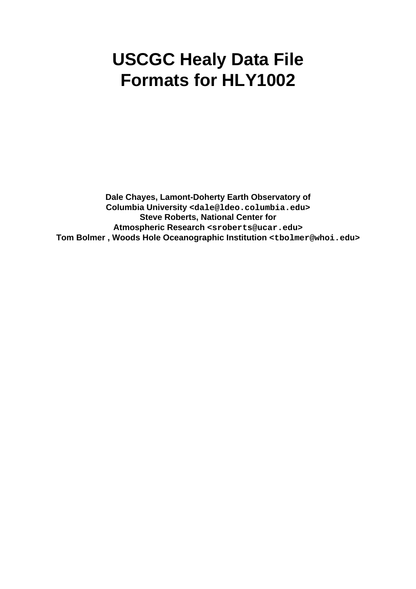# **USCGC Healy Data File Formats for HLY1002**

**Dale Chayes, Lamont-Doherty Earth Observatory of Columbia University <dale@ldeo.columbia.edu> Steve Roberts, National Center for Atmospheric Research <sroberts@ucar.edu> Tom Bolmer , Woods Hole Oceanographic Institution <tbolmer@whoi.edu>**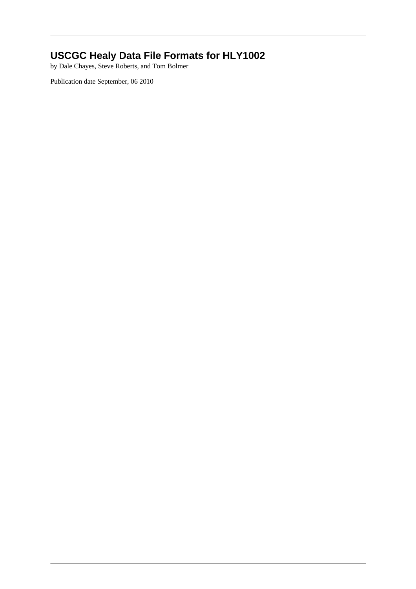## **USCGC Healy Data File Formats for HLY1002**

by Dale Chayes, Steve Roberts, and Tom Bolmer

Publication date September, 06 2010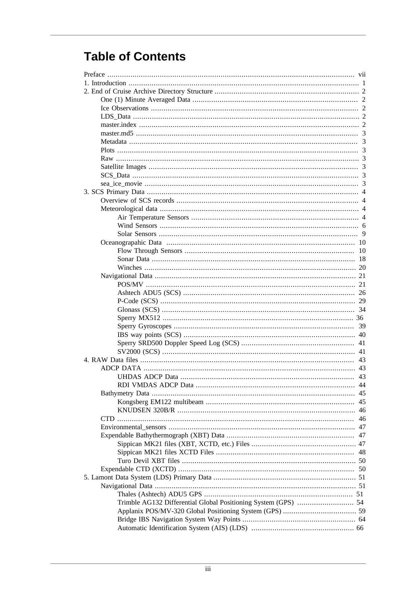# **Table of Contents**

|                                                                | 46 |
|----------------------------------------------------------------|----|
|                                                                |    |
|                                                                |    |
|                                                                |    |
|                                                                |    |
|                                                                |    |
|                                                                |    |
|                                                                |    |
|                                                                |    |
|                                                                |    |
| Trimble AG132 Differential Global Positioning System (GPS)  54 |    |
|                                                                |    |
|                                                                |    |
|                                                                |    |
|                                                                |    |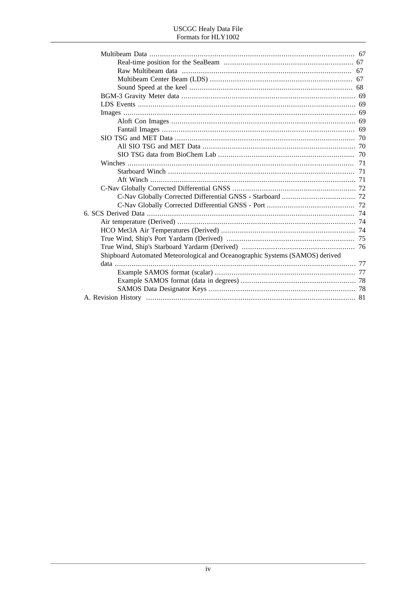#### **USCGC** Healy Data File Formats for HLY1002

| Shipboard Automated Meteorological and Oceanographic Systems (SAMOS) derived |  |
|------------------------------------------------------------------------------|--|
|                                                                              |  |
|                                                                              |  |
|                                                                              |  |
|                                                                              |  |
|                                                                              |  |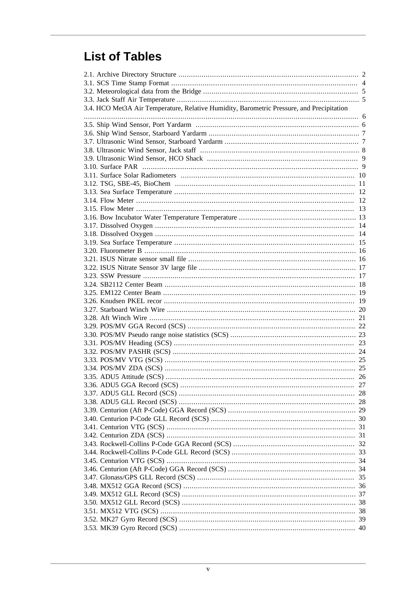# **List of Tables**

| 3.4. HCO Met3A Air Temperature, Relative Humidity, Barometric Pressure, and Precipitation |  |
|-------------------------------------------------------------------------------------------|--|
|                                                                                           |  |
|                                                                                           |  |
|                                                                                           |  |
|                                                                                           |  |
|                                                                                           |  |
|                                                                                           |  |
|                                                                                           |  |
|                                                                                           |  |
|                                                                                           |  |
|                                                                                           |  |
|                                                                                           |  |
|                                                                                           |  |
|                                                                                           |  |
|                                                                                           |  |
|                                                                                           |  |
|                                                                                           |  |
|                                                                                           |  |
|                                                                                           |  |
|                                                                                           |  |
|                                                                                           |  |
|                                                                                           |  |
|                                                                                           |  |
|                                                                                           |  |
|                                                                                           |  |
|                                                                                           |  |
|                                                                                           |  |
|                                                                                           |  |
|                                                                                           |  |
|                                                                                           |  |
|                                                                                           |  |
|                                                                                           |  |
|                                                                                           |  |
|                                                                                           |  |
|                                                                                           |  |
|                                                                                           |  |
|                                                                                           |  |
|                                                                                           |  |
|                                                                                           |  |
|                                                                                           |  |
|                                                                                           |  |
|                                                                                           |  |
|                                                                                           |  |
|                                                                                           |  |
|                                                                                           |  |
|                                                                                           |  |
|                                                                                           |  |
|                                                                                           |  |
|                                                                                           |  |
|                                                                                           |  |
|                                                                                           |  |
|                                                                                           |  |
|                                                                                           |  |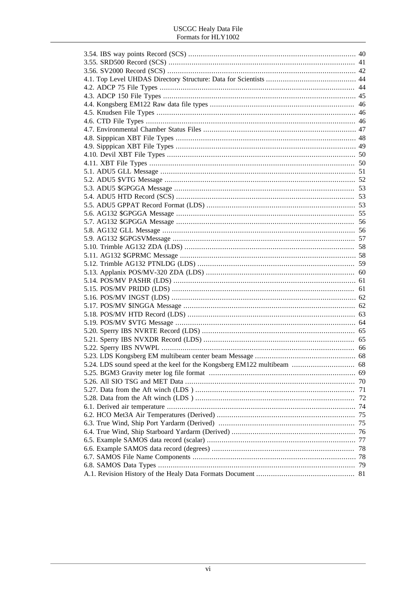#### **USCGC** Healy Data File Formats for HLY1002

| 71 |
|----|
|    |
|    |
|    |
|    |
|    |
|    |
|    |
|    |
|    |
|    |
|    |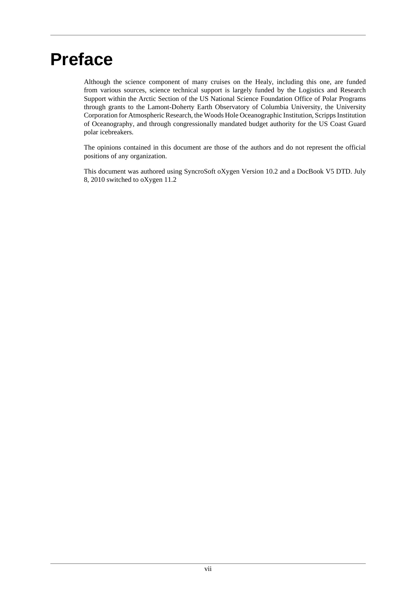# <span id="page-6-0"></span>**Preface**

Although the science component of many cruises on the Healy, including this one, are funded from various sources, science technical support is largely funded by the Logistics and Research Support within the Arctic Section of the US National Science Foundation Office of Polar Programs through grants to the Lamont-Doherty Earth Observatory of Columbia University, the University Corporation for Atmospheric Research, the Woods Hole Oceanographic Institution, Scripps Institution of Oceanography, and through congressionally mandated budget authority for the US Coast Guard polar icebreakers.

The opinions contained in this document are those of the authors and do not represent the official positions of any organization.

This document was authored using SyncroSoft oXygen Version 10.2 and a DocBook V5 DTD. July 8, 2010 switched to oXygen 11.2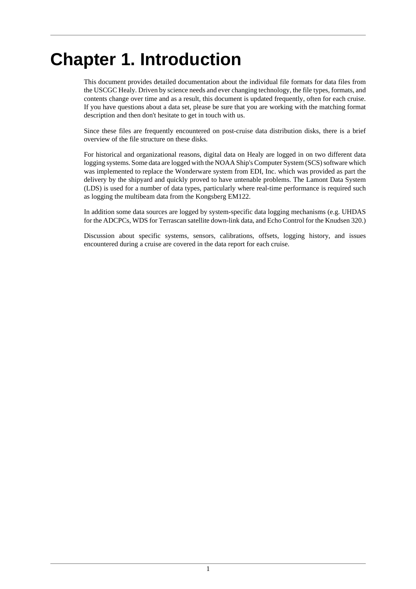# <span id="page-7-0"></span>**Chapter 1. Introduction**

This document provides detailed documentation about the individual file formats for data files from the USCGC Healy. Driven by science needs and ever changing technology, the file types, formats, and contents change over time and as a result, this document is updated frequently, often for each cruise. If you have questions about a data set, please be sure that you are working with the matching format description and then don't hesitate to get in touch with us.

Since these files are frequently encountered on post-cruise data distribution disks, there is a brief overview of the file structure on these disks.

For historical and organizational reasons, digital data on Healy are logged in on two different data logging systems. Some data are logged with the NOAA Ship's Computer System (SCS) software which was implemented to replace the Wonderware system from EDI, Inc. which was provided as part the delivery by the shipyard and quickly proved to have untenable problems. The Lamont Data System (LDS) is used for a number of data types, particularly where real-time performance is required such as logging the multibeam data from the Kongsberg EM122.

In addition some data sources are logged by system-specific data logging mechanisms (e.g. UHDAS for the ADCPCs, WDS for Terrascan satellite down-link data, and Echo Control for the Knudsen 320.)

Discussion about specific systems, sensors, calibrations, offsets, logging history, and issues encountered during a cruise are covered in the data report for each cruise.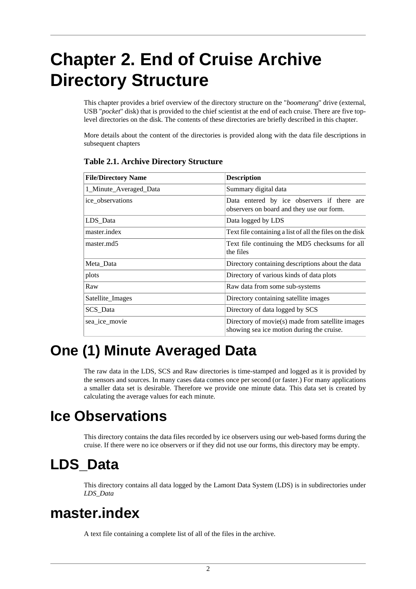# <span id="page-8-0"></span>**Chapter 2. End of Cruise Archive Directory Structure**

This chapter provides a brief overview of the directory structure on the "*boomerang*" drive (external, USB "*pocket*" disk) that is provided to the chief scientist at the end of each cruise. There are five toplevel directories on the disk. The contents of these directories are briefly described in this chapter.

More details about the content of the directories is provided along with the data file descriptions in subsequent chapters

| <b>File/Directory Name</b> | <b>Description</b>                                                                            |
|----------------------------|-----------------------------------------------------------------------------------------------|
| 1_Minute_Averaged_Data     | Summary digital data                                                                          |
| ice observations           | Data entered by ice observers if there are<br>observers on board and they use our form.       |
| LDS Data                   | Data logged by LDS                                                                            |
| master.index               | Text file containing a list of all the files on the disk                                      |
| master.md5                 | Text file continuing the MD5 checksums for all<br>the files                                   |
| Meta_Data                  | Directory containing descriptions about the data                                              |
| plots                      | Directory of various kinds of data plots                                                      |
| Raw                        | Raw data from some sub-systems                                                                |
| Satellite_Images           | Directory containing satellite images                                                         |
| SCS_Data                   | Directory of data logged by SCS                                                               |
| sea ice movie              | Directory of movie(s) made from satellite images<br>showing sea ice motion during the cruise. |

### <span id="page-8-5"></span>**Table 2.1. Archive Directory Structure**

# <span id="page-8-1"></span>**One (1) Minute Averaged Data**

The raw data in the LDS, SCS and Raw directories is time-stamped and logged as it is provided by the sensors and sources. In many cases data comes once per second (or faster.) For many applications a smaller data set is desirable. Therefore we provide one minute data. This data set is created by calculating the average values for each minute.

# <span id="page-8-2"></span>**Ice Observations**

This directory contains the data files recorded by ice observers using our web-based forms during the cruise. If there were no ice observers or if they did not use our forms, this directory may be empty.

# <span id="page-8-3"></span>**LDS\_Data**

This directory contains all data logged by the Lamont Data System (LDS) is in subdirectories under *LDS\_Data*

# <span id="page-8-4"></span>**master.index**

A text file containing a complete list of all of the files in the archive.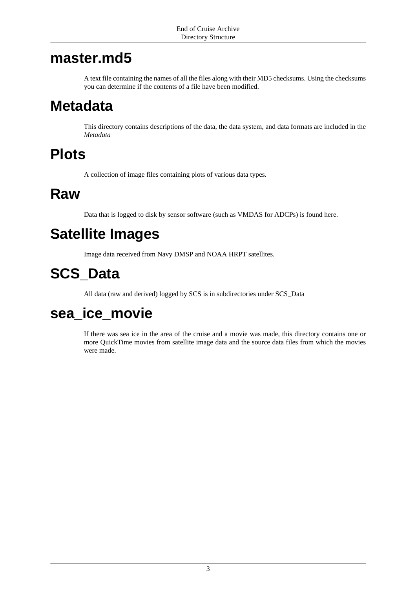# <span id="page-9-0"></span>**master.md5**

A text file containing the names of all the files along with their MD5 checksums. Using the checksums you can determine if the contents of a file have been modified.

# <span id="page-9-1"></span>**Metadata**

This directory contains descriptions of the data, the data system, and data formats are included in the *Metadata*

# <span id="page-9-2"></span>**Plots**

A collection of image files containing plots of various data types.

# <span id="page-9-3"></span>**Raw**

Data that is logged to disk by sensor software (such as VMDAS for ADCPs) is found here.

# <span id="page-9-4"></span>**Satellite Images**

Image data received from Navy DMSP and NOAA HRPT satellites.

# <span id="page-9-5"></span>**SCS\_Data**

All data (raw and derived) logged by SCS is in subdirectories under SCS\_Data

# <span id="page-9-6"></span>**sea\_ice\_movie**

If there was sea ice in the area of the cruise and a movie was made, this directory contains one or more QuickTime movies from satellite image data and the source data files from which the movies were made.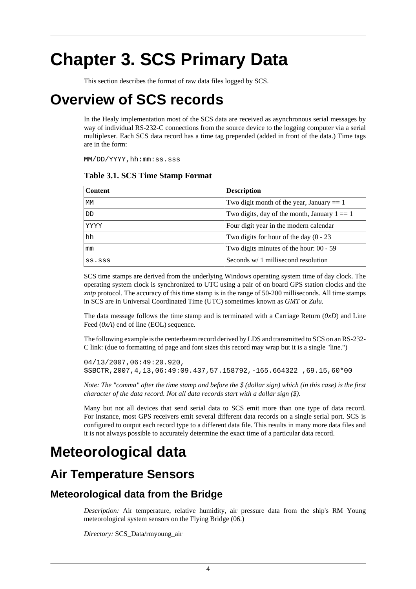# <span id="page-10-0"></span>**Chapter 3. SCS Primary Data**

This section describes the format of raw data files logged by SCS.

# <span id="page-10-1"></span>**Overview of SCS records**

In the Healy implementation most of the SCS data are received as asynchronous serial messages by way of individual RS-232-C connections from the source device to the logging computer via a serial multiplexer. Each SCS data record has a time tag prepended (added in front of the data.) Time tags are in the form:

<span id="page-10-4"></span>MM/DD/YYYY,hh:mm:ss.sss

| <b>Content</b> | <b>Description</b>                             |
|----------------|------------------------------------------------|
| МM             | Two digit month of the year, January $== 1$    |
| DD             | Two digits, day of the month, January $1 == 1$ |
| YYYY           | Four digit year in the modern calendar         |
| hh             | Two digits for hour of the day $(0 - 23)$      |
| mm             | Two digits minutes of the hour: 00 - 59        |
| SS.SSS         | Seconds $w/1$ millisecond resolution           |

### **Table 3.1. SCS Time Stamp Format**

SCS time stamps are derived from the underlying Windows operating system time of day clock. The operating system clock is synchronized to UTC using a pair of on board GPS station clocks and the *xntp* protocol. The accuracy of this time stamp is in the range of 50-200 milliseconds. All time stamps in SCS are in Universal Coordinated Time (UTC) sometimes known as *GMT* or *Zulu*.

The data message follows the time stamp and is terminated with a Carriage Return (*0xD*) and Line Feed ( $0xA$ ) end of line (EOL) sequence.

The following example is the centerbeam record derived by LDS and transmitted to SCS on an RS-232- C link: (due to formatting of page and font sizes this record may wrap but it is a single "line.")

```
04/13/2007,06:49:20.920,
$SBCTR,2007,4,13,06:49:09.437,57.158792,-165.664322 ,69.15,60*00
```
*Note: The "comma" after the time stamp and before the \$ (dollar sign) which (in this case) is the first character of the data record. Not all data records start with a dollar sign (\$).*

Many but not all devices that send serial data to SCS emit more than one type of data record. For instance, most GPS receivers emit several different data records on a single serial port. SCS is configured to output each record type to a different data file. This results in many more data files and it is not always possible to accurately determine the exact time of a particular data record.

# <span id="page-10-2"></span>**Meteorological data**

# <span id="page-10-3"></span>**Air Temperature Sensors**

## **Meteorological data from the Bridge**

*Description:* Air temperature, relative humidity, air pressure data from the ship's RM Young meteorological system sensors on the Flying Bridge (06.)

*Directory:* SCS\_Data/rmyoung\_air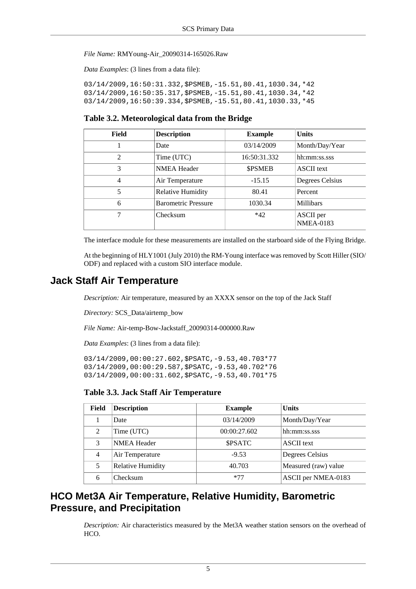*File Name:* RMYoung-Air\_20090314-165026.Raw

*Data Examples*: (3 lines from a data file):

03/14/2009,16:50:31.332,\$PSMEB,-15.51,80.41,1030.34,\*42 03/14/2009,16:50:35.317,\$PSMEB,-15.51,80.41,1030.34,\*42 03/14/2009,16:50:39.334,\$PSMEB,-15.51,80.41,1030.33,\*45

#### <span id="page-11-0"></span>**Table 3.2. Meteorological data from the Bridge**

| Field          | <b>Description</b>         | <b>Example</b> | <b>Units</b>                  |
|----------------|----------------------------|----------------|-------------------------------|
|                | Date                       | 03/14/2009     | Month/Day/Year                |
| $\mathfrak{D}$ | Time (UTC)                 | 16:50:31.332   | hh:mm:ss.sss                  |
| 3              | <b>NMEA Header</b>         | <b>SPSMEB</b>  | <b>ASCII</b> text             |
| $\overline{4}$ | Air Temperature            | $-15.15$       | Degrees Celsius               |
| 5              | <b>Relative Humidity</b>   | 80.41          | Percent                       |
| 6              | <b>Barometric Pressure</b> | 1030.34        | <b>Millibars</b>              |
| 7              | Checksum                   | $*42$          | ASCII per<br><b>NMEA-0183</b> |

The interface module for these measurements are installed on the starboard side of the Flying Bridge.

At the beginning of HLY1001 (July 2010) the RM-Young interface was removed by Scott Hiller (SIO/ ODF) and replaced with a custom SIO interface module.

## **Jack Staff Air Temperature**

*Description:* Air temperature, measured by an XXXX sensor on the top of the Jack Staff

*Directory:* SCS\_Data/airtemp\_bow

*File Name:* Air-temp-Bow-Jackstaff\_20090314-000000.Raw

*Data Examples*: (3 lines from a data file):

03/14/2009,00:00:27.602,\$PSATC,-9.53,40.703\*77 03/14/2009,00:00:29.587,\$PSATC,-9.53,40.702\*76 03/14/2009,00:00:31.602,\$PSATC,-9.53,40.701\*75

#### <span id="page-11-1"></span>**Table 3.3. Jack Staff Air Temperature**

| Field | <b>Description</b>       | <b>Example</b> | <b>Units</b>         |
|-------|--------------------------|----------------|----------------------|
|       | Date                     | 03/14/2009     | Month/Day/Year       |
| 2     | Time (UTC)               | 00:00:27.602   | hh:mm:ss.sss         |
| 3     | <b>NMEA Header</b>       | <b>SPSATC</b>  | <b>ASCII</b> text    |
| 4     | Air Temperature          | $-9.53$        | Degrees Celsius      |
| 5     | <b>Relative Humidity</b> | 40.703         | Measured (raw) value |
| 6     | Checksum                 | $*77$          | ASCII per NMEA-0183  |

## **HCO Met3A Air Temperature, Relative Humidity, Barometric Pressure, and Precipitation**

*Description:* Air characteristics measured by the Met3A weather station sensors on the overhead of HCO.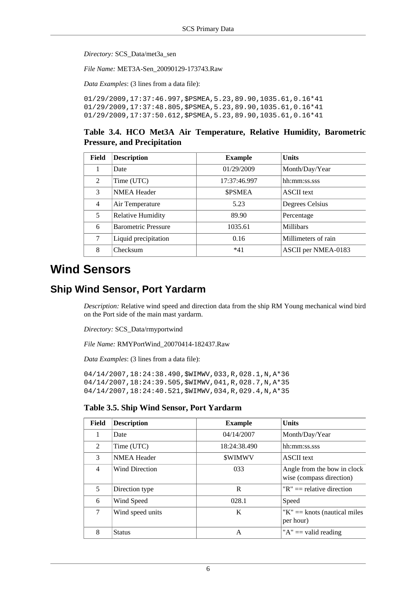*Directory:* SCS\_Data/met3a\_sen

*File Name:* MET3A-Sen\_20090129-173743.Raw

*Data Examples*: (3 lines from a data file):

01/29/2009,17:37:46.997,\$PSMEA,5.23,89.90,1035.61,0.16\*41 01/29/2009,17:37:48.805,\$PSMEA,5.23,89.90,1035.61,0.16\*41 01/29/2009,17:37:50.612,\$PSMEA,5.23,89.90,1035.61,0.16\*41

### <span id="page-12-1"></span>**Table 3.4. HCO Met3A Air Temperature, Relative Humidity, Barometric Pressure, and Precipitation**

| Field          | <b>Description</b>         | <b>Example</b> | <b>Units</b>        |
|----------------|----------------------------|----------------|---------------------|
| 1              | Date                       | 01/29/2009     | Month/Day/Year      |
| $\mathfrak{D}$ | Time (UTC)                 | 17:37:46.997   | hh:mm:ss.sss        |
| 3              | <b>NMEA Header</b>         | <b>SPSMEA</b>  | <b>ASCII</b> text   |
| $\overline{4}$ | Air Temperature            | 5.23           | Degrees Celsius     |
| 5              | Relative Humidity          | 89.90          | Percentage          |
| 6              | <b>Barometric Pressure</b> | 1035.61        | <b>Millibars</b>    |
| 7              | Liquid precipitation       | 0.16           | Millimeters of rain |
| 8              | Checksum                   | $*41$          | ASCII per NMEA-0183 |

# <span id="page-12-0"></span>**Wind Sensors**

## **Ship Wind Sensor, Port Yardarm**

*Description:* Relative wind speed and direction data from the ship RM Young mechanical wind bird on the Port side of the main mast yardarm.

*Directory:* SCS\_Data/rmyportwind

*File Name:* RMYPortWind\_20070414-182437.Raw

*Data Examples*: (3 lines from a data file):

04/14/2007,18:24:38.490,\$WIMWV,033,R,028.1,N,A\*36 04/14/2007,18:24:39.505,\$WIMWV,041,R,028.7,N,A\*35 04/14/2007,18:24:40.521,\$WIMWV,034,R,029.4,N,A\*35

#### <span id="page-12-2"></span>**Table 3.5. Ship Wind Sensor, Port Yardarm**

| Field         | <b>Description</b>    | <b>Example</b> | <b>Units</b>                                            |
|---------------|-----------------------|----------------|---------------------------------------------------------|
| 1             | Date                  | 04/14/2007     | Month/Day/Year                                          |
| $\mathcal{L}$ | Time (UTC)            | 18:24:38.490   | hh:mm:ss.sss                                            |
| 3             | <b>NMEA Header</b>    | <b>SWIMWV</b>  | <b>ASCII</b> text                                       |
| 4             | <b>Wind Direction</b> | 033            | Angle from the bow in clock<br>wise (compass direction) |
| 5             | Direction type        | R              | " $R$ " == relative direction                           |
| 6             | Wind Speed            | 028.1          | Speed                                                   |
| 7             | Wind speed units      | K              | "K" $==$ knots (nautical miles)"<br>per hour)           |
| 8             | <b>Status</b>         | A              | " $A$ " = valid reading"                                |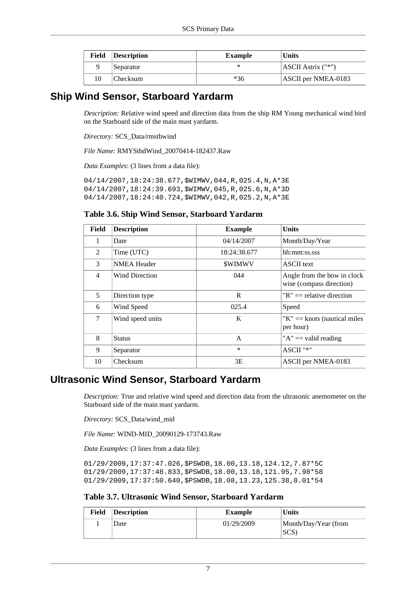| Field | Description | <b>Example</b> | <b>Units</b>        |
|-------|-------------|----------------|---------------------|
|       | Separator   |                | ASCII Astrix ("*")  |
| 10    | Checksum    | *36            | ASCII per NMEA-0183 |

## **Ship Wind Sensor, Starboard Yardarm**

*Description:* Relative wind speed and direction data from the ship RM Young mechanical wind bird on the Starboard side of the main mast yardarm.

*Directory:* SCS\_Data/rmstbwind

*File Name:* RMYStbdWind\_20070414-182437.Raw

*Data Examples*: (3 lines from a data file):

04/14/2007,18:24:38.677,\$WIMWV,044,R,025.4,N,A\*3E 04/14/2007,18:24:39.693,\$WIMWV,045,R,025.6,N,A\*3D 04/14/2007,18:24:40.724,\$WIMWV,042,R,025.2,N,A\*3E

### <span id="page-13-0"></span>**Table 3.6. Ship Wind Sensor, Starboard Yardarm**

| Field          | <b>Description</b> | <b>Example</b> | <b>Units</b>                                            |
|----------------|--------------------|----------------|---------------------------------------------------------|
| $\mathbf{1}$   | Date               | 04/14/2007     | Month/Day/Year                                          |
| 2              | Time (UTC)         | 18:24:38.677   | hh:mm:ss.sss                                            |
| 3              | <b>NMEA Header</b> | <b>SWIMWV</b>  | <b>ASCII</b> text                                       |
| $\overline{4}$ | Wind Direction     | 044            | Angle from the bow in clock<br>wise (compass direction) |
| 5              | Direction type     | R              | " $R$ " == relative direction                           |
| 6              | Wind Speed         | 025.4          | Speed                                                   |
| 7              | Wind speed units   | K              | " $K$ " = knots (nautical miles<br>per hour)            |
| 8              | <b>Status</b>      | A              | " $A$ " = valid reading                                 |
| 9              | Separator          | $\ast$         | ASCII "*"                                               |
| 10             | Checksum           | 3E             | ASCII per NMEA-0183                                     |

## **Ultrasonic Wind Sensor, Starboard Yardarm**

*Description:* True and relative wind speed and direction data from the ultrasonic anemometer on the Starboard side of the main mast yardarm.

*Directory:* SCS\_Data/wind\_mid

*File Name:* WIND-MID\_20090129-173743.Raw

*Data Examples*: (3 lines from a data file):

01/29/2009,17:37:47.026,\$PSWDB,18.00,13.18,124.12,7.87\*5C 01/29/2009,17:37:48.833,\$PSWDB,18.00,13.18,121.95,7.98\*58 01/29/2009,17:37:50.640,\$PSWDB,18.08,13.23,125.38,8.01\*54

#### <span id="page-13-1"></span>**Table 3.7. Ultrasonic Wind Sensor, Starboard Yardarm**

| Field | <b>Description</b> | Example    | <b>Units</b>                 |
|-------|--------------------|------------|------------------------------|
|       | Date               | 01/29/2009 | Month/Day/Year (from<br>SCS) |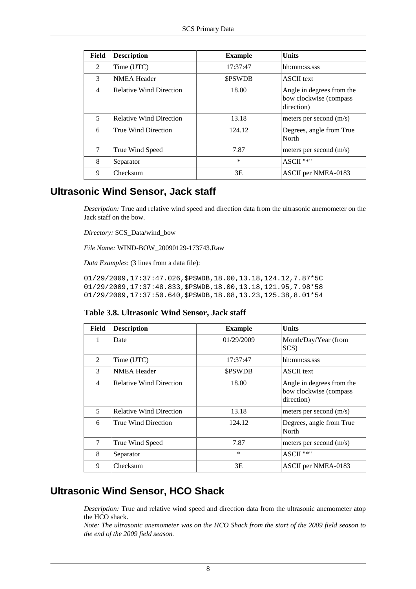| Field         | <b>Description</b>             | <b>Example</b> | <b>Units</b>                                                      |
|---------------|--------------------------------|----------------|-------------------------------------------------------------------|
| $\mathcal{L}$ | Time (UTC)                     | 17:37:47       | hh:mm:ss.sss                                                      |
| 3             | <b>NMEA</b> Header             | <b>SPSWDB</b>  | <b>ASCII</b> text                                                 |
| 4             | <b>Relative Wind Direction</b> | 18.00          | Angle in degrees from the<br>bow clockwise (compass<br>direction) |
| 5             | <b>Relative Wind Direction</b> | 13.18          | meters per second (m/s)                                           |
| 6             | True Wind Direction            | 124.12         | Degrees, angle from True<br>North                                 |
| 7             | True Wind Speed                | 7.87           | meters per second $(m/s)$                                         |
| 8             | Separator                      | $\ast$         | ASCII "*"                                                         |
| 9             | Checksum                       | 3E             | ASCII per NMEA-0183                                               |

## **Ultrasonic Wind Sensor, Jack staff**

*Description:* True and relative wind speed and direction data from the ultrasonic anemometer on the Jack staff on the bow.

*Directory:* SCS\_Data/wind\_bow

*File Name:* WIND-BOW\_20090129-173743.Raw

*Data Examples*: (3 lines from a data file):

01/29/2009,17:37:47.026,\$PSWDB,18.00,13.18,124.12,7.87\*5C 01/29/2009,17:37:48.833,\$PSWDB,18.00,13.18,121.95,7.98\*58 01/29/2009,17:37:50.640,\$PSWDB,18.08,13.23,125.38,8.01\*54

#### <span id="page-14-0"></span>**Table 3.8. Ultrasonic Wind Sensor, Jack staff**

| Field          | <b>Description</b>             | <b>Example</b> | Units                                                             |
|----------------|--------------------------------|----------------|-------------------------------------------------------------------|
| 1              | Date                           | 01/29/2009     | Month/Day/Year (from<br>SCS)                                      |
| $\mathfrak{D}$ | Time (UTC)                     | 17:37:47       | hh:mm:ss.sss                                                      |
| 3              | <b>NMEA</b> Header             | <b>SPSWDB</b>  | <b>ASCII</b> text                                                 |
| 4              | <b>Relative Wind Direction</b> | 18.00          | Angle in degrees from the<br>bow clockwise (compass<br>direction) |
| 5              | <b>Relative Wind Direction</b> | 13.18          | meters per second $(m/s)$                                         |
| 6              | True Wind Direction            | 124.12         | Degrees, angle from True<br>North                                 |
| 7              | True Wind Speed                | 7.87           | meters per second $(m/s)$                                         |
| 8              | Separator                      | $\ast$         | ASCII "*"                                                         |
| 9              | Checksum                       | 3E             | ASCII per NMEA-0183                                               |

## **Ultrasonic Wind Sensor, HCO Shack**

*Description:* True and relative wind speed and direction data from the ultrasonic anemometer atop the HCO shack.

*Note: The ultrasonic anemometer was on the HCO Shack from the start of the 2009 field season to the end of the 2009 field season.*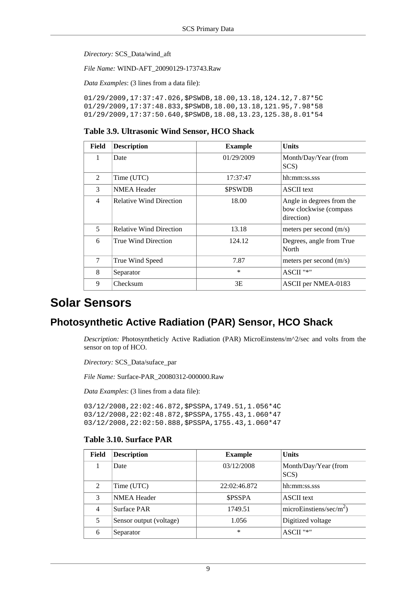*Directory:* SCS\_Data/wind\_aft

*File Name:* WIND-AFT\_20090129-173743.Raw

*Data Examples*: (3 lines from a data file):

01/29/2009,17:37:47.026,\$PSWDB,18.00,13.18,124.12,7.87\*5C 01/29/2009,17:37:48.833,\$PSWDB,18.00,13.18,121.95,7.98\*58 01/29/2009,17:37:50.640,\$PSWDB,18.08,13.23,125.38,8.01\*54

#### <span id="page-15-1"></span>**Table 3.9. Ultrasonic Wind Sensor, HCO Shack**

| Field          | <b>Description</b>             | <b>Example</b> | <b>Units</b>                                                      |
|----------------|--------------------------------|----------------|-------------------------------------------------------------------|
|                | Date                           | 01/29/2009     | Month/Day/Year (from<br>SCS)                                      |
| $\mathfrak{D}$ | Time (UTC)                     | 17:37:47       | hh:mm:ss.sss                                                      |
| 3              | <b>NMEA Header</b>             | <b>SPSWDB</b>  | <b>ASCII</b> text                                                 |
| $\overline{4}$ | <b>Relative Wind Direction</b> | 18.00          | Angle in degrees from the<br>bow clockwise (compass<br>direction) |
| 5              | <b>Relative Wind Direction</b> | 13.18          | meters per second $(m/s)$                                         |
| 6              | True Wind Direction            | 124.12         | Degrees, angle from True<br>North                                 |
| $\tau$         | True Wind Speed                | 7.87           | meters per second $(m/s)$                                         |
| 8              | Separator                      | $\ast$         | ASCII "*"                                                         |
| 9              | Checksum                       | 3E             | ASCII per NMEA-0183                                               |

## <span id="page-15-0"></span>**Solar Sensors**

## **Photosynthetic Active Radiation (PAR) Sensor, HCO Shack**

*Description:* Photosyntheticly Active Radiation (PAR) MicroEinstens/m^2/sec and volts from the sensor on top of HCO.

*Directory:* SCS\_Data/suface\_par

*File Name:* Surface-PAR\_20080312-000000.Raw

*Data Examples*: (3 lines from a data file):

03/12/2008,22:02:46.872,\$PSSPA,1749.51,1.056\*4C 03/12/2008,22:02:48.872,\$PSSPA,1755.43,1.060\*47 03/12/2008,22:02:50.888,\$PSSPA,1755.43,1.060\*47

#### <span id="page-15-2"></span>**Table 3.10. Surface PAR**

| Field          | <b>Description</b>      | <b>Example</b> | <b>Units</b>                        |
|----------------|-------------------------|----------------|-------------------------------------|
|                | Date                    | 03/12/2008     | Month/Day/Year (from<br>SCS)        |
| 2              | Time (UTC)              | 22:02:46.872   | hh:mm:ss.sss                        |
| 3              | <b>NMEA Header</b>      | <b>SPSSPA</b>  | <b>ASCII</b> text                   |
| $\overline{4}$ | <b>Surface PAR</b>      | 1749.51        | microEinstiens/sec/m <sup>2</sup> ) |
| 5              | Sensor output (voltage) | 1.056          | Digitized voltage                   |
| 6              | Separator               | *              | ASCII "*"                           |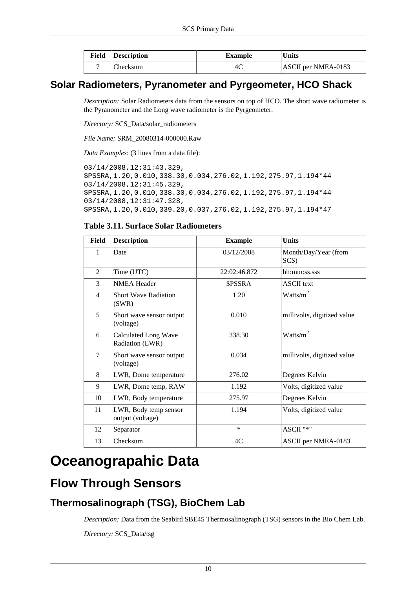| Field | Description | <b>Example</b> | <b>Units</b>        |
|-------|-------------|----------------|---------------------|
|       | Checksum    |                | ASCII per NMEA-0183 |

## **Solar Radiometers, Pyranometer and Pyrgeometer, HCO Shack**

*Description:* Solar Radiometers data from the sensors on top of HCO. The short wave radiometer is the Pyranometer and the Long wave radiometer is the Pyrgeometer.

*Directory:* SCS\_Data/solar\_radiometers

*File Name:* SRM\_20080314-000000.Raw

*Data Examples*: (3 lines from a data file):

```
03/14/2008,12:31:43.329,
$PSSRA,1.20,0.010,338.30,0.034,276.02,1.192,275.97,1.194*44
03/14/2008,12:31:45.329,
$PSSRA,1.20,0.010,338.30,0.034,276.02,1.192,275.97,1.194*44
03/14/2008,12:31:47.328,
$PSSRA,1.20,0.010,339.20,0.037,276.02,1.192,275.97,1.194*47
```
#### <span id="page-16-2"></span>**Table 3.11. Surface Solar Radiometers**

| <b>Field</b>   | <b>Description</b>                             | <b>Example</b> | <b>Units</b>                 |
|----------------|------------------------------------------------|----------------|------------------------------|
| 1              | Date                                           | 03/12/2008     | Month/Day/Year (from<br>SCS) |
| 2              | Time (UTC)                                     | 22:02:46.872   | hh:mm:ss.sss                 |
| 3              | <b>NMEA Header</b>                             | <b>\$PSSRA</b> | <b>ASCII</b> text            |
| $\overline{4}$ | <b>Short Wave Radiation</b><br>(SWR)           | 1.20           | Watts/ $m^2$                 |
| 5              | Short wave sensor output<br>(voltage)          | 0.010          | millivolts, digitized value  |
| 6              | <b>Calculated Long Wave</b><br>Radiation (LWR) | 338.30         | Watts/ $m^2$                 |
| $\tau$         | Short wave sensor output<br>(voltage)          | 0.034          | millivolts, digitized value  |
| 8              | LWR, Dome temperature                          | 276.02         | Degrees Kelvin               |
| 9              | LWR, Dome temp, RAW                            | 1.192          | Volts, digitized value       |
| 10             | LWR, Body temperature                          | 275.97         | Degrees Kelvin               |
| 11             | LWR, Body temp sensor<br>output (voltage)      | 1.194          | Volts, digitized value       |
| 12             | Separator                                      | $\ast$         | ASCII "*"                    |
| 13             | Checksum                                       | 4C             | ASCII per NMEA-0183          |

# <span id="page-16-0"></span>**Oceanograpahic Data**

# <span id="page-16-1"></span>**Flow Through Sensors**

## **Thermosalinograph (TSG), BioChem Lab**

*Description:* Data from the Seabird SBE45 Thermosalinograph (TSG) sensors in the Bio Chem Lab.

*Directory:* SCS\_Data/tsg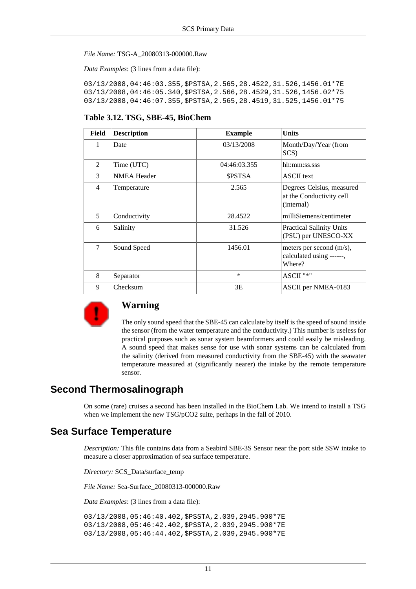#### *File Name:* TSG-A\_20080313-000000.Raw

*Data Examples*: (3 lines from a data file):

03/13/2008,04:46:03.355,\$PSTSA,2.565,28.4522,31.526,1456.01\*7E 03/13/2008,04:46:05.340,\$PSTSA,2.566,28.4529,31.526,1456.02\*75 03/13/2008,04:46:07.355,\$PSTSA,2.565,28.4519,31.525,1456.01\*75

#### <span id="page-17-0"></span>**Table 3.12. TSG, SBE-45, BioChem**

| Field          | <b>Description</b> | <b>Example</b> | <b>Units</b>                                                        |
|----------------|--------------------|----------------|---------------------------------------------------------------------|
| 1              | Date               | 03/13/2008     | Month/Day/Year (from<br>SCS)                                        |
| $\mathfrak{D}$ | Time (UTC)         | 04:46:03.355   | hh:mm:ss.sss                                                        |
| $\mathcal{F}$  | <b>NMEA Header</b> | <b>SPSTSA</b>  | <b>ASCII</b> text                                                   |
| $\overline{4}$ | Temperature        | 2.565          | Degrees Celsius, measured<br>at the Conductivity cell<br>(internal) |
| 5              | Conductivity       | 28.4522        | milliSiemens/centimeter                                             |
| 6              | Salinity           | 31.526         | <b>Practical Salinity Units</b><br>(PSU) per UNESCO-XX              |
| $\tau$         | Sound Speed        | 1456.01        | meters per second (m/s),<br>calculated using ------,<br>Where?      |
| 8              | Separator          | $\ast$         | ASCII "*"                                                           |
| 9              | Checksum           | 3E             | ASCII per NMEA-0183                                                 |



### **Warning**

The only sound speed that the SBE-45 can calculate by itself is the speed of sound inside the sensor (from the water temperature and the conductivity.) This number is useless for practical purposes such as sonar system beamformers and could easily be misleading. A sound speed that makes sense for use with sonar systems can be calculated from the salinity (derived from measured conductivity from the SBE-45) with the seawater temperature measured at (significantly nearer) the intake by the remote temperature sensor.

### **Second Thermosalinograph**

On some (rare) cruises a second has been installed in the BioChem Lab. We intend to install a TSG when we implement the new TSG/pCO2 suite, perhaps in the fall of 2010.

## **Sea Surface Temperature**

*Description:* This file contains data from a Seabird SBE-3S Sensor near the port side SSW intake to measure a closer approximation of sea surface temperature.

*Directory:* SCS\_Data/surface\_temp

*File Name:* Sea-Surface\_20080313-000000.Raw

*Data Examples*: (3 lines from a data file):

03/13/2008,05:46:40.402,\$PSSTA,2.039,2945.900\*7E 03/13/2008,05:46:42.402,\$PSSTA,2.039,2945.900\*7E 03/13/2008,05:46:44.402,\$PSSTA,2.039,2945.900\*7E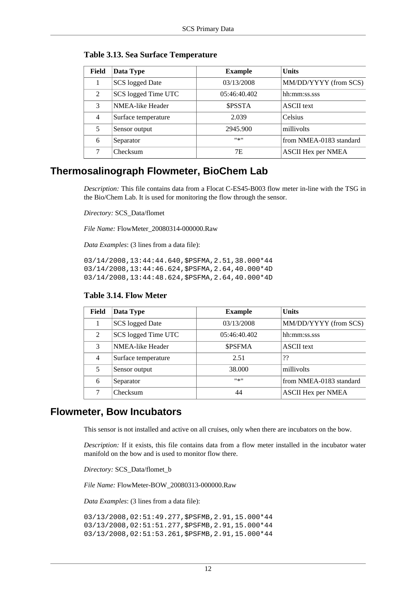| Field          | Data Type              | <b>Example</b> | <b>Units</b>              |
|----------------|------------------------|----------------|---------------------------|
|                | <b>SCS</b> logged Date | 03/13/2008     | MM/DD/YYYY (from SCS)     |
| 2              | SCS logged Time UTC    | 05:46:40.402   | hh:mm:ss.sss              |
| $\mathcal{F}$  | NMEA-like Header       | <b>SPSSTA</b>  | <b>ASCII</b> text         |
| $\overline{4}$ | Surface temperature    | 2.039          | <b>Celsius</b>            |
| 5              | Sensor output          | 2945.900       | millivolts                |
| 6              | Separator              | $11*11$        | from NMEA-0183 standard   |
|                | Checksum               | 7E             | <b>ASCII Hex per NMEA</b> |

#### <span id="page-18-0"></span>**Table 3.13. Sea Surface Temperature**

## **Thermosalinograph Flowmeter, BioChem Lab**

*Description:* This file contains data from a Flocat C-ES45-B003 flow meter in-line with the TSG in the Bio/Chem Lab. It is used for monitoring the flow through the sensor.

*Directory:* SCS\_Data/flomet

*File Name:* FlowMeter\_20080314-000000.Raw

*Data Examples*: (3 lines from a data file):

03/14/2008,13:44:44.640,\$PSFMA,2.51,38.000\*44 03/14/2008,13:44:46.624,\$PSFMA,2.64,40.000\*4D 03/14/2008,13:44:48.624,\$PSFMA,2.64,40.000\*4D

| Field          | Data Type           | <b>Example</b> | <b>Units</b>              |
|----------------|---------------------|----------------|---------------------------|
|                | SCS logged Date     | 03/13/2008     | MM/DD/YYYY (from SCS)     |
| $\mathfrak{D}$ | SCS logged Time UTC | 05:46:40.402   | hh:mm:ss.sss              |
| 3              | NMEA-like Header    | <b>SPSFMA</b>  | <b>ASCII</b> text         |
| $\overline{4}$ | Surface temperature | 2.51           | ??                        |
| 5              | Sensor output       | 38,000         | millivolts                |
| 6              | Separator           | #来#            | from NMEA-0183 standard   |
| 7              | Checksum            | 44             | <b>ASCII Hex per NMEA</b> |

#### <span id="page-18-1"></span>**Table 3.14. Flow Meter**

## **Flowmeter, Bow Incubators**

This sensor is not installed and active on all cruises, only when there are incubators on the bow.

*Description:* If it exists, this file contains data from a flow meter installed in the incubator water manifold on the bow and is used to monitor flow there.

*Directory:* SCS\_Data/flomet\_b

*File Name:* FlowMeter-BOW\_20080313-000000.Raw

*Data Examples*: (3 lines from a data file):

03/13/2008,02:51:49.277,\$PSFMB,2.91,15.000\*44 03/13/2008,02:51:51.277,\$PSFMB,2.91,15.000\*44 03/13/2008,02:51:53.261,\$PSFMB,2.91,15.000\*44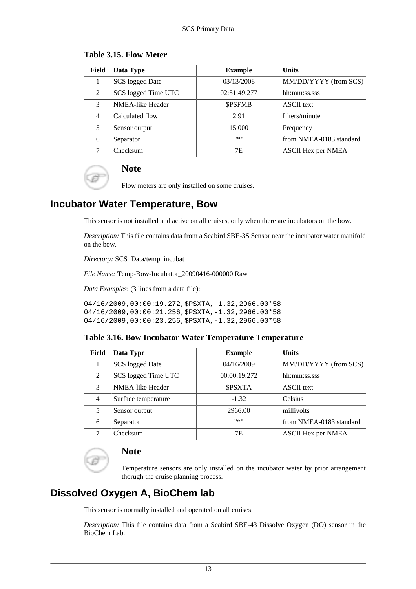| Field          | Data Type              | <b>Example</b> | <b>Units</b>              |
|----------------|------------------------|----------------|---------------------------|
|                | <b>SCS</b> logged Date | 03/13/2008     | MM/DD/YYYY (from SCS)     |
| 2              | SCS logged Time UTC    | 02:51:49.277   | hh:mm:ss.sss              |
| 3              | NMEA-like Header       | <b>SPSFMB</b>  | <b>ASCII</b> text         |
| $\overline{4}$ | Calculated flow        | 2.91           | Liters/minute             |
| 5              | Sensor output          | 15.000         | Frequency                 |
| 6              | Separator              | ***            | from NMEA-0183 standard   |
|                | Checksum               | 7E             | <b>ASCII Hex per NMEA</b> |

#### <span id="page-19-0"></span>**Table 3.15. Flow Meter**



## **Note**

Flow meters are only installed on some cruises.

# **Incubator Water Temperature, Bow**

This sensor is not installed and active on all cruises, only when there are incubators on the bow.

*Description:* This file contains data from a Seabird SBE-3S Sensor near the incubator water manifold on the bow.

*Directory:* SCS\_Data/temp\_incubat

*File Name:* Temp-Bow-Incubator\_20090416-000000.Raw

*Data Examples*: (3 lines from a data file):

04/16/2009,00:00:19.272,\$PSXTA,-1.32,2966.00\*58 04/16/2009,00:00:21.256,\$PSXTA,-1.32,2966.00\*58 04/16/2009,00:00:23.256,\$PSXTA,-1.32,2966.00\*58

#### <span id="page-19-1"></span>**Table 3.16. Bow Incubator Water Temperature Temperature**

| Field          | Data Type           | <b>Example</b> | <b>Units</b>              |
|----------------|---------------------|----------------|---------------------------|
|                | SCS logged Date     | 04/16/2009     | MM/DD/YYYY (from SCS)     |
| 2              | SCS logged Time UTC | 00:00:19.272   | hh:mm:ss.sss              |
| 3              | NMEA-like Header    | <b>SPSXTA</b>  | <b>ASCII</b> text         |
| $\overline{4}$ | Surface temperature | $-1.32$        | <b>Celsius</b>            |
| 5              | Sensor output       | 2966.00        | millivolts                |
| 6              | Separator           | $11*11$        | from NMEA-0183 standard   |
|                | Checksum            | 7E             | <b>ASCII Hex per NMEA</b> |

## **Note**

Temperature sensors are only installed on the incubator water by prior arrangement thorugh the cruise planning process.

## **Dissolved Oxygen A, BioChem lab**

This sensor is normally installed and operated on all cruises.

*Description:* This file contains data from a Seabird SBE-43 Dissolve Oxygen (DO) sensor in the BioChem Lab.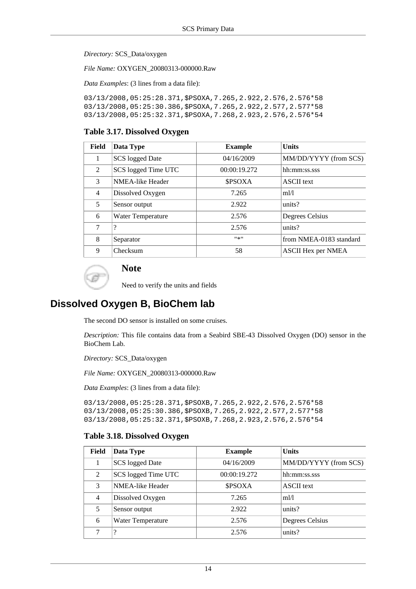*Directory:* SCS\_Data/oxygen

*File Name:* OXYGEN\_20080313-000000.Raw

*Data Examples*: (3 lines from a data file):

```
03/13/2008,05:25:28.371,$PSOXA,7.265,2.922,2.576,2.576*58
03/13/2008,05:25:30.386,$PSOXA,7.265,2.922,2.577,2.577*58
03/13/2008,05:25:32.371,$PSOXA,7.268,2.923,2.576,2.576*54
```
#### <span id="page-20-0"></span>**Table 3.17. Dissolved Oxygen**

| Field          | Data Type              | <b>Example</b> | <b>Units</b>              |
|----------------|------------------------|----------------|---------------------------|
|                | <b>SCS</b> logged Date | 04/16/2009     | MM/DD/YYYY (from SCS)     |
| $\mathcal{L}$  | SCS logged Time UTC    | 00:00:19.272   | hh:mm:ss.sss              |
| $\mathcal{F}$  | NMEA-like Header       | <b>SPSOXA</b>  | <b>ASCII</b> text         |
| $\overline{4}$ | Dissolved Oxygen       | 7.265          | m1/1                      |
| 5              | Sensor output          | 2.922          | units?                    |
| 6              | Water Temperature      | 2.576          | Degrees Celsius           |
| 7              | $\gamma$               | 2.576          | units?                    |
| 8              | Separator              | #来#            | from NMEA-0183 standard   |
| 9              | Checksum               | 58             | <b>ASCII Hex per NMEA</b> |



### **Note**

Need to verify the units and fields

## **Dissolved Oxygen B, BioChem lab**

The second DO sensor is installed on some cruises.

*Description:* This file contains data from a Seabird SBE-43 Dissolved Oxygen (DO) sensor in the BioChem Lab.

*Directory:* SCS\_Data/oxygen

*File Name:* OXYGEN\_20080313-000000.Raw

*Data Examples*: (3 lines from a data file):

03/13/2008,05:25:28.371,\$PSOXB,7.265,2.922,2.576,2.576\*58 03/13/2008,05:25:30.386,\$PSOXB,7.265,2.922,2.577,2.577\*58 03/13/2008,05:25:32.371,\$PSOXB,7.268,2.923,2.576,2.576\*54

#### <span id="page-20-1"></span>**Table 3.18. Dissolved Oxygen**

|  | Field | Data Type              | <b>Example</b> | <b>Units</b>          |
|--|-------|------------------------|----------------|-----------------------|
|  | 1     | <b>SCS</b> logged Date | 04/16/2009     | MM/DD/YYYY (from SCS) |
|  | 2     | SCS logged Time UTC    | 00:00:19.272   | hh:mm:ss.sss          |
|  | 3     | NMEA-like Header       | <b>SPSOXA</b>  | <b>ASCII</b> text     |
|  | 4     | Dissolved Oxygen       | 7.265          | ml/l                  |
|  | 5     | Sensor output          | 2.922          | units?                |
|  | 6     | Water Temperature      | 2.576          | Degrees Celsius       |
|  |       | $\gamma$               | 2.576          | units?                |
|  |       |                        |                |                       |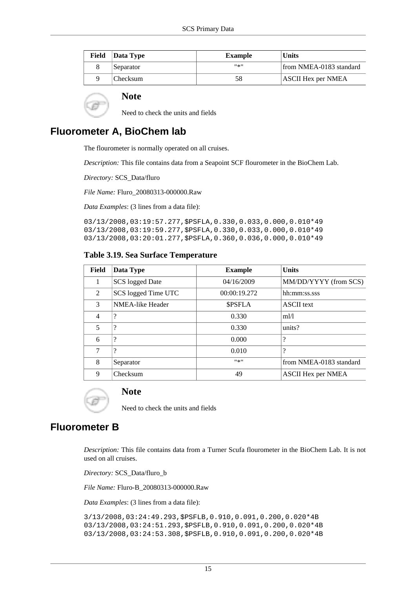| Field | Data Type | <b>Example</b> | <b>Units</b>              |
|-------|-----------|----------------|---------------------------|
|       | Separator | #종!!           | from NMEA-0183 standard   |
|       | Checksum  |                | <b>ASCII Hex per NMEA</b> |

#### **Note**

Need to check the units and fields

## **Fluorometer A, BioChem lab**

The flourometer is normally operated on all cruises.

*Description:* This file contains data from a Seapoint SCF flourometer in the BioChem Lab.

*Directory:* SCS\_Data/fluro

*File Name:* Fluro\_20080313-000000.Raw

*Data Examples*: (3 lines from a data file):

03/13/2008,03:19:57.277,\$PSFLA,0.330,0.033,0.000,0.010\*49 03/13/2008,03:19:59.277,\$PSFLA,0.330,0.033,0.000,0.010\*49 03/13/2008,03:20:01.277,\$PSFLA,0.360,0.036,0.000,0.010\*49

#### <span id="page-21-0"></span>**Table 3.19. Sea Surface Temperature**

| <b>Field</b>   | Data Type               | <b>Example</b> | <b>Units</b>              |
|----------------|-------------------------|----------------|---------------------------|
| 1              | <b>SCS</b> logged Date  | 04/16/2009     | MM/DD/YYYY (from SCS)     |
| $\overline{2}$ | SCS logged Time UTC     | 00:00:19.272   | hh:mm:ss.sss              |
| 3              | <b>NMEA-like Header</b> | <b>SPSFLA</b>  | <b>ASCII</b> text         |
| $\overline{4}$ | $\overline{\cdot}$      | 0.330          | m!/l                      |
| 5              | $\overline{\cdot}$      | 0.330          | units?                    |
| 6              | $\overline{\cdot}$      | 0.000          | ?                         |
| 7              | $\gamma$                | 0.010          | ?                         |
| 8              | Separator               | $11*11$        | from NMEA-0183 standard   |
| 9              | Checksum                | 49             | <b>ASCII Hex per NMEA</b> |



#### **Note**

Need to check the units and fields

### **Fluorometer B**

*Description:* This file contains data from a Turner Scufa flourometer in the BioChem Lab. It is not used on all cruises.

*Directory:* SCS\_Data/fluro\_b

*File Name:* Fluro-B\_20080313-000000.Raw

*Data Examples*: (3 lines from a data file):

3/13/2008,03:24:49.293,\$PSFLB,0.910,0.091,0.200,0.020\*4B 03/13/2008,03:24:51.293,\$PSFLB,0.910,0.091,0.200,0.020\*4B 03/13/2008,03:24:53.308,\$PSFLB,0.910,0.091,0.200,0.020\*4B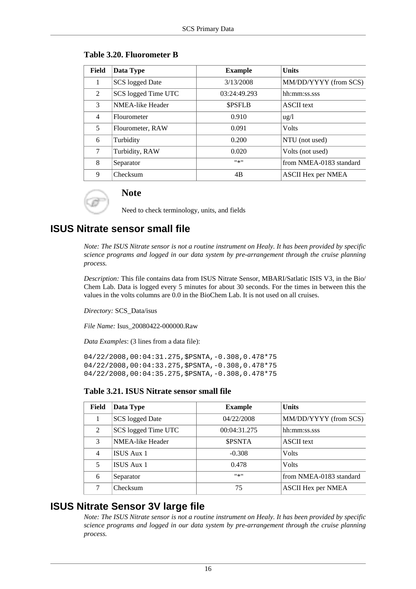| Field | Data Type               | <b>Example</b> | <b>Units</b>              |
|-------|-------------------------|----------------|---------------------------|
|       | SCS logged Date         | 3/13/2008      | MM/DD/YYYY (from SCS)     |
| 2     | SCS logged Time UTC     | 03:24:49.293   | hh:mm:ss.sss              |
| 3     | <b>NMEA-like Header</b> | <b>SPSFLB</b>  | <b>ASCII</b> text         |
| 4     | Flourometer             | 0.910          | $u\text{g}/l$             |
| 5     | Flourometer, RAW        | 0.091          | <b>Volts</b>              |
| 6     | Turbidity               | 0.200          | NTU (not used)            |
| 7     | Turbidity, RAW          | 0.020          | Volts (not used)          |
| 8     | Separator               | $11 \times 11$ | from NMEA-0183 standard   |
| 9     | Checksum                | 4B             | <b>ASCII Hex per NMEA</b> |

#### <span id="page-22-0"></span>**Table 3.20. Fluorometer B**

Need to check terminology, units, and fields

## **ISUS Nitrate sensor small file**

**Note**

*Note: The ISUS Nitrate sensor is not a routine instrument on Healy. It has been provided by specific science programs and logged in our data system by pre-arrangement through the cruise planning process.*

*Description:* This file contains data from ISUS Nitrate Sensor, MBARI/Satlatic ISIS V3, in the Bio/ Chem Lab. Data is logged every 5 minutes for about 30 seconds. For the times in between this the values in the volts columns are 0.0 in the BioChem Lab. It is not used on all cruises.

*Directory:* SCS\_Data/isus

*File Name:* Isus\_20080422-000000.Raw

*Data Examples*: (3 lines from a data file):

04/22/2008,00:04:31.275,\$PSNTA,-0.308,0.478\*75 04/22/2008,00:04:33.275,\$PSNTA,-0.308,0.478\*75 04/22/2008,00:04:35.275,\$PSNTA,-0.308,0.478\*75

#### <span id="page-22-1"></span>**Table 3.21. ISUS Nitrate sensor small file**

| Field          | Data Type           | <b>Example</b> | <b>Units</b>              |
|----------------|---------------------|----------------|---------------------------|
| 1              | SCS logged Date     | 04/22/2008     | MM/DD/YYYY (from SCS)     |
| 2              | SCS logged Time UTC | 00:04:31.275   | hh:mm:ss.sss              |
| 3              | NMEA-like Header    | <b>SPSNTA</b>  | <b>ASCII</b> text         |
| $\overline{4}$ | ISUS Aux 1          | $-0.308$       | <b>Volts</b>              |
| 5              | ISUS Aux 1          | 0.478          | <b>Volts</b>              |
| 6              | Separator           | #来#            | from NMEA-0183 standard   |
| 7              | Checksum            | 75             | <b>ASCII Hex per NMEA</b> |

## **ISUS Nitrate Sensor 3V large file**

*Note: The ISUS Nitrate sensor is not a routine instrument on Healy. It has been provided by specific science programs and logged in our data system by pre-arrangement through the cruise planning process.*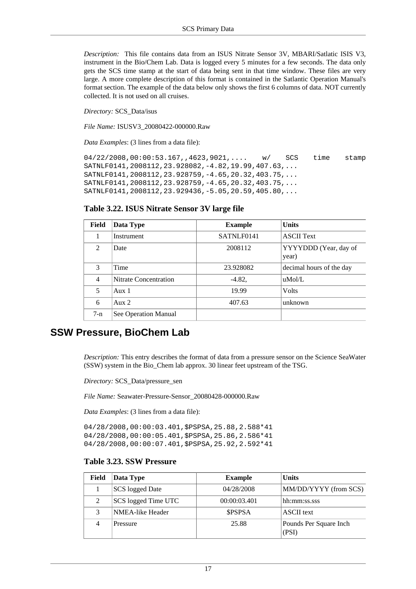*Description:* This file contains data from an ISUS Nitrate Sensor 3V, MBARI/Satlatic ISIS V3, instrument in the Bio/Chem Lab. Data is logged every 5 minutes for a few seconds. The data only gets the SCS time stamp at the start of data being sent in that time window. These files are very large. A more complete description of this format is contained in the Satlantic Operation Manual's format section. The example of the data below only shows the first 6 columns of data. NOT currently collected. It is not used on all cruises.

*Directory:* SCS\_Data/isus

*File Name:* ISUSV3\_20080422-000000.Raw

*Data Examples*: (3 lines from a data file):

04/22/2008,00:00:53.167,,4623,9021,.... w/ SCS time stamp SATNLF0141,2008112,23.928082,-4.82,19.99,407.63,... SATNLF0141,2008112,23.928759,-4.65,20.32,403.75,... SATNLF0141,2008112,23.928759,-4.65,20.32,403.75,... SATNLF0141,2008112,23.929436,-5.05,20.59,405.80,...

#### <span id="page-23-0"></span>**Table 3.22. ISUS Nitrate Sensor 3V large file**

| Field          | Data Type             | <b>Example</b> | <b>Units</b>                   |
|----------------|-----------------------|----------------|--------------------------------|
|                | Instrument            | SATNLF0141     | <b>ASCII Text</b>              |
| $\mathcal{L}$  | Date                  | 2008112        | YYYYDDD (Year, day of<br>year) |
| $\mathcal{F}$  | Time                  | 23.928082      | decimal hours of the day       |
| $\overline{4}$ | Nitrate Concentration | $-4.82$ ,      | $u$ Mol/L                      |
| 5              | Aux $1$               | 19.99          | <b>Volts</b>                   |
| 6              | Aux $2$               | 407.63         | unknown                        |
| $7-n$          | See Operation Manual  |                |                                |

### **SSW Pressure, BioChem Lab**

*Description:* This entry describes the format of data from a pressure sensor on the Science SeaWater (SSW) system in the Bio\_Chem lab approx. 30 linear feet upstream of the TSG.

*Directory:* SCS\_Data/pressure\_sen

*File Name:* Seawater-Pressure-Sensor\_20080428-000000.Raw

*Data Examples*: (3 lines from a data file):

04/28/2008,00:00:03.401,\$PSPSA,25.88,2.588\*41 04/28/2008,00:00:05.401,\$PSPSA,25.86,2.586\*41 04/28/2008,00:00:07.401,\$PSPSA,25.92,2.592\*41

#### <span id="page-23-1"></span>**Table 3.23. SSW Pressure**

| Field | Data Type           | <b>Example</b> | <b>Units</b>                    |
|-------|---------------------|----------------|---------------------------------|
|       | SCS logged Date     | 04/28/2008     | MM/DD/YYYY (from SCS)           |
|       | SCS logged Time UTC | 00:00:03.401   | hh:mm:ss.sss                    |
| 3     | NMEA-like Header    | <b>\$PSPSA</b> | ASCII text                      |
|       | Pressure            | 25.88          | Pounds Per Square Inch<br>(PSI) |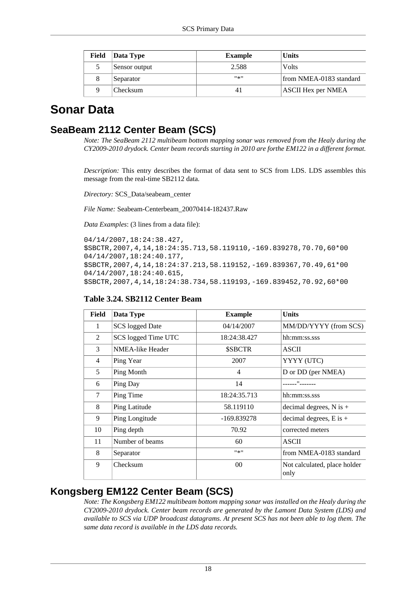| Field | Data Type       | <b>Example</b> | <b>Units</b>              |
|-------|-----------------|----------------|---------------------------|
|       | Sensor output   | 2.588          | Volts                     |
| 8     | Separator       | #종!!           | from NMEA-0183 standard   |
| q     | <b>Checksum</b> |                | <b>ASCII Hex per NMEA</b> |

# <span id="page-24-0"></span>**Sonar Data**

## **SeaBeam 2112 Center Beam (SCS)**

*Note: The SeaBeam 2112 multibeam bottom mapping sonar was removed from the Healy during the CY2009-2010 drydock. Center beam records starting in 2010 are forthe EM122 in a different format.*

*Description:* This entry describes the format of data sent to SCS from LDS. LDS assembles this message from the real-time SB2112 data.

*Directory:* SCS\_Data/seabeam\_center

*File Name:* Seabeam-Centerbeam\_20070414-182437.Raw

*Data Examples*: (3 lines from a data file):

```
04/14/2007,18:24:38.427,
$SBCTR,2007,4,14,18:24:35.713,58.119110,-169.839278,70.70,60*00
04/14/2007,18:24:40.177,
$SBCTR,2007,4,14,18:24:37.213,58.119152,-169.839367,70.49,61*00
04/14/2007,18:24:40.615,
$SBCTR,2007,4,14,18:24:38.734,58.119193,-169.839452,70.92,60*00
```

| Field | Data Type               | <b>Example</b> | <b>Units</b>                         |
|-------|-------------------------|----------------|--------------------------------------|
| 1     | <b>SCS</b> logged Date  | 04/14/2007     | MM/DD/YYYY (from SCS)                |
| 2     | SCS logged Time UTC     | 18:24:38.427   | hh:mm:ss.sss                         |
| 3     | <b>NMEA-like Header</b> | \$SBCTR        | <b>ASCII</b>                         |
| 4     | Ping Year               | 2007           | YYYY (UTC)                           |
| 5     | Ping Month              | 4              | D or DD (per NMEA)                   |
| 6     | Ping Day                | 14             | $"$ -------                          |
| 7     | Ping Time               | 18:24:35.713   | hh:mm:ss.sss                         |
| 8     | Ping Latitude           | 58.119110      | decimal degrees, $N$ is $+$          |
| 9     | Ping Longitude          | -169.839278    | decimal degrees, $E$ is $+$          |
| 10    | Ping depth              | 70.92          | corrected meters                     |
| 11    | Number of beams         | 60             | <b>ASCII</b>                         |
| 8     | Separator               | $11*11$        | from NMEA-0183 standard              |
| 9     | Checksum                | $00\,$         | Not calculated, place holder<br>only |

#### <span id="page-24-1"></span>**Table 3.24. SB2112 Center Beam**

## **Kongsberg EM122 Center Beam (SCS)**

*Note: The Kongsberg EM122 multibeam bottom mapping sonar was installed on the Healy during the CY2009-2010 drydock. Center beam records are generated by the Lamont Data System (LDS) and available to SCS via UDP broadcast datagrams. At present SCS has not been able to log them. The same data record is available in the LDS data records.*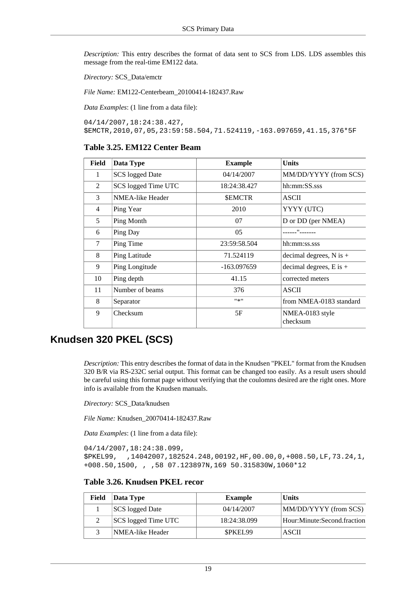*Description:* This entry describes the format of data sent to SCS from LDS. LDS assembles this message from the real-time EM122 data.

*Directory:* SCS\_Data/emctr

*File Name:* EM122-Centerbeam\_20100414-182437.Raw

*Data Examples*: (1 line from a data file):

04/14/2007,18:24:38.427, \$EMCTR,2010,07,05,23:59:58.504,71.524119,-163.097659,41.15,376\*5F

#### <span id="page-25-0"></span>**Table 3.25. EM122 Center Beam**

| Field | Data Type               | <b>Example</b> | Units                       |
|-------|-------------------------|----------------|-----------------------------|
| 1     | <b>SCS</b> logged Date  | 04/14/2007     | MM/DD/YYYY (from SCS)       |
| 2     | SCS logged Time UTC     | 18:24:38.427   | hh:mm:SS.sss                |
| 3     | <b>NMEA-like Header</b> | <b>SEMCTR</b>  | <b>ASCII</b>                |
| 4     | Ping Year               | 2010           | YYYY (UTC)                  |
| 5     | Ping Month              | 07             | D or DD (per NMEA)          |
| 6     | Ping Day                | 05             | $\mathbf{H}_{\text{reco}}$  |
| 7     | Ping Time               | 23:59:58.504   | hh:mm:ss.sss                |
| 8     | Ping Latitude           | 71.524119      | decimal degrees, $N$ is $+$ |
| 9     | Ping Longitude          | $-163.097659$  | decimal degrees, $E$ is $+$ |
| 10    | Ping depth              | 41.15          | corrected meters            |
| 11    | Number of beams         | 376            | ASCII                       |
| 8     | Separator               | #来!!           | from NMEA-0183 standard     |
| 9     | Checksum                | 5F             | NMEA-0183 style<br>checksum |

## **Knudsen 320 PKEL (SCS)**

*Description:* This entry describes the format of data in the Knudsen "PKEL" format from the Knudsen 320 B/R via RS-232C serial output. This format can be changed too easily. As a result users should be careful using this format page without verifying that the coulomns desired are the right ones. More info is available from the Knudsen manuals.

*Directory:* SCS\_Data/knudsen

*File Name:* Knudsen\_20070414-182437.Raw

*Data Examples*: (1 line from a data file):

```
04/14/2007,18:24:38.099,
$PKEL99, ,14042007,182524.248,00192,HF,00.00,0,+008.50,LF,73.24,1,
+008.50,1500, , ,58 07.123897N,169 50.315830W,1060*12
```
### <span id="page-25-1"></span>**Table 3.26. Knudsen PKEL recor**

| Field | Data Type           | <b>Example</b> | <b>Units</b>                |
|-------|---------------------|----------------|-----------------------------|
|       | SCS logged Date     | 04/14/2007     | MM/DD/YYYY (from SCS)       |
|       | SCS logged Time UTC | 18:24:38.099   | Hour:Minute:Second.fraction |
|       | NMEA-like Header    | <b>SPKEL99</b> | ASCII                       |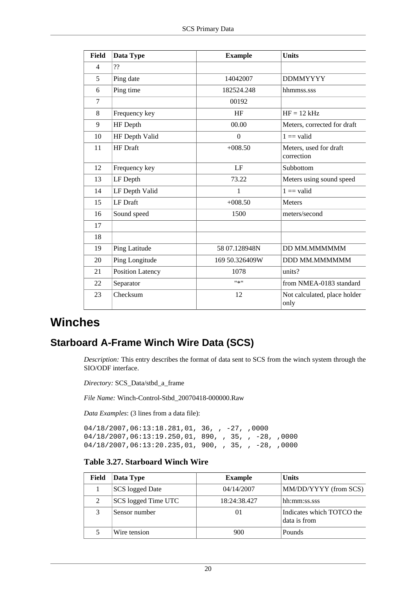| Field | Data Type        | <b>Example</b> | <b>Units</b>                         |
|-------|------------------|----------------|--------------------------------------|
| 4     | ??               |                |                                      |
| 5     | Ping date        | 14042007       | <b>DDMMYYYY</b>                      |
| 6     | Ping time        | 182524.248     | hhmmss.sss                           |
| 7     |                  | 00192          |                                      |
| 8     | Frequency key    | HF             | $HF = 12 kHz$                        |
| 9     | HF Depth         | 00.00          | Meters, corrected for draft          |
| 10    | HF Depth Valid   | $\mathbf{0}$   | $1 == valid$                         |
| 11    | <b>HF</b> Draft  | $+008.50$      | Meters, used for draft<br>correction |
| 12    | Frequency key    | LF             | Subbottom                            |
| 13    | LF Depth         | 73.22          | Meters using sound speed             |
| 14    | LF Depth Valid   | 1              | $1 == valid$                         |
| 15    | <b>LF</b> Draft  | $+008.50$      | Meters                               |
| 16    | Sound speed      | 1500           | meters/second                        |
| 17    |                  |                |                                      |
| 18    |                  |                |                                      |
| 19    | Ping Latitude    | 58 07.128948N  | DD MM.MMMMMM                         |
| 20    | Ping Longitude   | 169 50.326409W | DDD MM.MMMMMM                        |
| 21    | Position Latency | 1078           | units?                               |
| 22    | Separator        | $11*11$        | from NMEA-0183 standard              |
| 23    | Checksum         | 12             | Not calculated, place holder<br>only |

# <span id="page-26-0"></span>**Winches**

## **Starboard A-Frame Winch Wire Data (SCS)**

*Description:* This entry describes the format of data sent to SCS from the winch system through the SIO/ODF interface.

*Directory:* SCS\_Data/stbd\_a\_frame

*File Name:* Winch-Control-Stbd\_20070418-000000.Raw

*Data Examples*: (3 lines from a data file):

04/18/2007,06:13:18.281,01, 36, , -27, ,0000 04/18/2007,06:13:19.250,01, 890, , 35, , -28, ,0000 04/18/2007,06:13:20.235,01, 900, , 35, , -28, ,0000

### <span id="page-26-1"></span>**Table 3.27. Starboard Winch Wire**

| <b>Field</b> | Data Type           | <b>Example</b> | <b>Units</b>                              |
|--------------|---------------------|----------------|-------------------------------------------|
|              | SCS logged Date     | 04/14/2007     | MM/DD/YYYY (from SCS)                     |
| 2            | SCS logged Time UTC | 18:24:38.427   | hh:mm:ss.sss                              |
|              | Sensor number       | 01             | Indicates which TOTCO the<br>data is from |
|              | Wire tension        | 900            | Pounds                                    |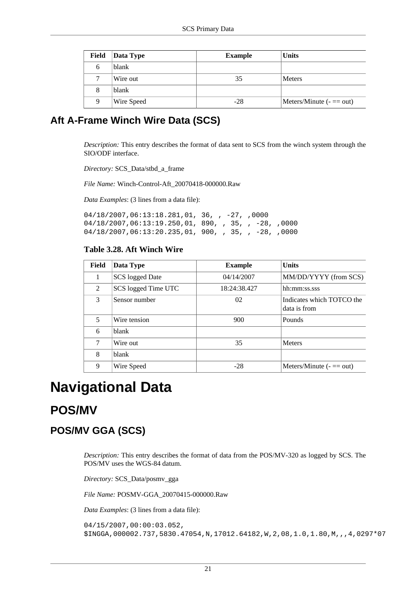| <b>Field</b> | Data Type  | <b>Example</b> | <b>Units</b>                 |
|--------------|------------|----------------|------------------------------|
| 6            | blank      |                |                              |
|              | Wire out   | 35             | <b>Meters</b>                |
| 8            | blank      |                |                              |
| 9            | Wire Speed | $-28$          | Meters/Minute $($ - $=$ out) |

## **Aft A-Frame Winch Wire Data (SCS)**

*Description:* This entry describes the format of data sent to SCS from the winch system through the SIO/ODF interface.

*Directory:* SCS\_Data/stbd\_a\_frame

*File Name:* Winch-Control-Aft\_20070418-000000.Raw

*Data Examples*: (3 lines from a data file):

04/18/2007,06:13:18.281,01, 36, , -27, ,0000 04/18/2007,06:13:19.250,01, 890, , 35, , -28, ,0000 04/18/2007,06:13:20.235,01, 900, , 35, , -28, ,0000

### <span id="page-27-2"></span>**Table 3.28. Aft Winch Wire**

| Field          | Data Type           | <b>Example</b> | <b>Units</b>                              |
|----------------|---------------------|----------------|-------------------------------------------|
|                | SCS logged Date     | 04/14/2007     | MM/DD/YYYY (from SCS)                     |
| $\overline{2}$ | SCS logged Time UTC | 18:24:38.427   | hh:mm:ss.sss                              |
| $\mathcal{F}$  | Sensor number       | 02             | Indicates which TOTCO the<br>data is from |
| 5              | Wire tension        | 900            | Pounds                                    |
| 6              | blank               |                |                                           |
| 7              | Wire out            | 35             | <b>Meters</b>                             |
| 8              | blank               |                |                                           |
| 9              | Wire Speed          | $-28$          | Meters/Minute $($ = $=$ out)              |

# <span id="page-27-0"></span>**Navigational Data**

# <span id="page-27-1"></span>**POS/MV**

## **POS/MV GGA (SCS)**

*Description:* This entry describes the format of data from the POS/MV-320 as logged by SCS. The POS/MV uses the WGS-84 datum.

*Directory:* SCS\_Data/posmv\_gga

*File Name:* POSMV-GGA\_20070415-000000.Raw

*Data Examples*: (3 lines from a data file):

```
04/15/2007,00:00:03.052,
$INGGA,000002.737,5830.47054,N,17012.64182,W,2,08,1.0,1.80,M,,,4,0297*07
```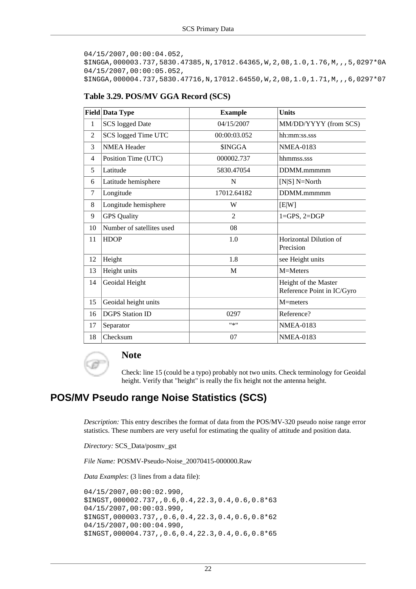```
04/15/2007,00:00:04.052,
$INGGA,000003.737,5830.47385,N,17012.64365,W,2,08,1.0,1.76,M,,,5,0297*0A
04/15/2007,00:00:05.052,
$INGGA,000004.737,5830.47716,N,17012.64550,W,2,08,1.0,1.71,M,,,6,0297*07
```

|                | <b>Field Data Type</b>    | <b>Example</b> | <b>Units</b>                                       |
|----------------|---------------------------|----------------|----------------------------------------------------|
| $\mathbf{1}$   | <b>SCS</b> logged Date    | 04/15/2007     | MM/DD/YYYY (from SCS)                              |
| 2              | SCS logged Time UTC       | 00:00:03.052   | hh:mm:ss.sss                                       |
| 3              | <b>NMEA Header</b>        | <b>SINGGA</b>  | <b>NMEA-0183</b>                                   |
| $\overline{4}$ | Position Time (UTC)       | 000002.737     | hhmmss.sss                                         |
| 5              | Latitude                  | 5830.47054     | DDMM.mmmmm                                         |
| 6              | Latitude hemisphere       | N              | [ $N S]$ $N=North$                                 |
| 7              | Longitude                 | 17012.64182    | DDMM.mmmmm                                         |
| 8              | Longitude hemisphere      | W              | [E W]                                              |
| 9              | <b>GPS</b> Quality        | $\overline{2}$ | $1 = GPS, 2 = DGP$                                 |
| 10             | Number of satellites used | 08             |                                                    |
| 11             | <b>HDOP</b>               | 1.0            | Horizontal Dilution of<br>Precision                |
| 12             | Height                    | 1.8            | see Height units                                   |
| 13             | Height units              | M              | M=Meters                                           |
| 14             | Geoidal Height            |                | Height of the Master<br>Reference Point in IC/Gyro |
| 15             | Geoidal height units      |                | $M=$ meters                                        |
| 16             | <b>DGPS</b> Station ID    | 0297           | Reference?                                         |
| 17             | Separator                 | 11米11          | <b>NMEA-0183</b>                                   |
| 18             | Checksum                  | 07             | <b>NMEA-0183</b>                                   |

#### <span id="page-28-0"></span>**Table 3.29. POS/MV GGA Record (SCS)**



### **Note**

Check: line 15 (could be a typo) probably not two units. Check terminology for Geoidal height. Verify that "height" is really the fix height not the antenna height.

## **POS/MV Pseudo range Noise Statistics (SCS)**

*Description:* This entry describes the format of data from the POS/MV-320 pseudo noise range error statistics. These numbers are very useful for estimating the quality of attitude and position data.

*Directory:* SCS\_Data/posmv\_gst

*File Name:* POSMV-Pseudo-Noise\_20070415-000000.Raw

*Data Examples*: (3 lines from a data file):

```
04/15/2007,00:00:02.990,
$INGST,000002.737,,0.6,0.4,22.3,0.4,0.6,0.8*63
04/15/2007,00:00:03.990,
$INGST,000003.737,,0.6,0.4,22.3,0.4,0.6,0.8*62
04/15/2007,00:00:04.990,
$INGST,000004.737,,0.6,0.4,22.3,0.4,0.6,0.8*65
```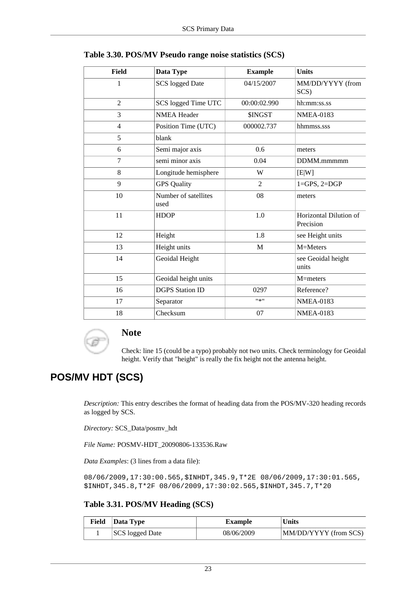| <b>Field</b>   | Data Type                    | <b>Example</b> | <b>Units</b>                        |
|----------------|------------------------------|----------------|-------------------------------------|
| 1              | <b>SCS</b> logged Date       | 04/15/2007     | MM/DD/YYYY (from<br>SCS)            |
| $\overline{2}$ | SCS logged Time UTC          | 00:00:02.990   | hh:mm:ss.ss                         |
| 3              | <b>NMEA Header</b>           | \$INGST        | <b>NMEA-0183</b>                    |
| $\overline{4}$ | Position Time (UTC)          | 000002.737     | hhmmss.sss                          |
| 5              | blank                        |                |                                     |
| 6              | Semi major axis              | 0.6            | meters                              |
| 7              | semi minor axis              | 0.04           | DDMM.mmmmm                          |
| 8              | Longitude hemisphere         | W              | [E W]                               |
| 9              | <b>GPS Quality</b>           | $\overline{2}$ | $1 = GPS, 2 = DGP$                  |
| 10             | Number of satellites<br>used | 08             | meters                              |
| 11             | <b>HDOP</b>                  | 1.0            | Horizontal Dilution of<br>Precision |
| 12             | Height                       | 1.8            | see Height units                    |
| 13             | Height units                 | M              | M=Meters                            |
| 14             | Geoidal Height               |                | see Geoidal height<br>units         |
| 15             | Geoidal height units         |                | M=meters                            |
| 16             | <b>DGPS</b> Station ID       | 0297           | Reference?                          |
| 17             | Separator                    | $11*11$        | <b>NMEA-0183</b>                    |
| 18             | Checksum                     | 07             | <b>NMEA-0183</b>                    |

<span id="page-29-0"></span>

|  |  | Table 3.30. POS/MV Pseudo range noise statistics (SCS) |
|--|--|--------------------------------------------------------|
|--|--|--------------------------------------------------------|



### **Note**

Check: line 15 (could be a typo) probably not two units. Check terminology for Geoidal height. Verify that "height" is really the fix height not the antenna height.

## **POS/MV HDT (SCS)**

*Description:* This entry describes the format of heading data from the POS/MV-320 heading records as logged by SCS.

*Directory:* SCS\_Data/posmv\_hdt

*File Name:* POSMV-HDT\_20090806-133536.Raw

*Data Examples*: (3 lines from a data file):

08/06/2009,17:30:00.565,\$INHDT,345.9,T\*2E 08/06/2009,17:30:01.565, \$INHDT,345.8,T\*2F 08/06/2009,17:30:02.565,\$INHDT,345.7,T\*20

#### <span id="page-29-1"></span>**Table 3.31. POS/MV Heading (SCS)**

| Field | Data Type              | <b>Example</b> | <b>Units</b>          |
|-------|------------------------|----------------|-----------------------|
|       | <b>SCS</b> logged Date | 08/06/2009     | MM/DD/YYYY (from SCS) |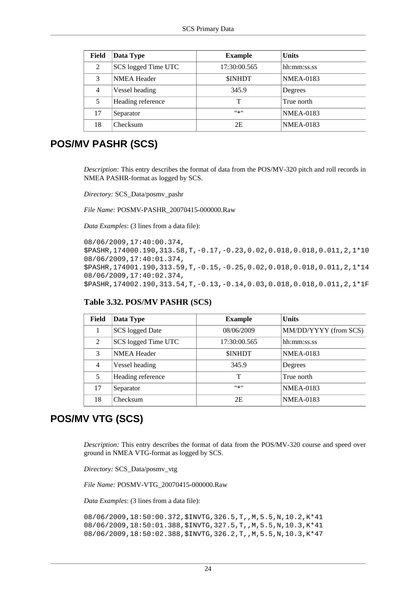| Field          | Data Type           | <b>Example</b> | <b>Units</b>     |
|----------------|---------------------|----------------|------------------|
| 2              | SCS logged Time UTC | 17:30:00.565   | hh:mm:ss.ss      |
| 3              | <b>NMEA Header</b>  | <b>SINHDT</b>  | <b>NMEA-0183</b> |
| $\overline{4}$ | Vessel heading      | 345.9          | Degrees          |
| 5              | Heading reference   |                | True north       |
| 17             | Separator           | #종!!           | <b>NMEA-0183</b> |
| 18             | Checksum            | 2E             | <b>NMEA-0183</b> |

## **POS/MV PASHR (SCS)**

*Description:* This entry describes the format of data from the POS/MV-320 pitch and roll records in NMEA PASHR-format as logged by SCS.

*Directory:* SCS\_Data/posmv\_pashr

*File Name:* POSMV-PASHR\_20070415-000000.Raw

*Data Examples*: (3 lines from a data file):

```
08/06/2009,17:40:00.374,
$PASHR,174000.190,313.58,T,-0.17,-0.23,0.02,0.018,0.018,0.011,2,1*10
08/06/2009,17:40:01.374,
$PASHR,174001.190,313.59,T,-0.15,-0.25,0.02,0.018,0.018,0.011,2,1*14
08/06/2009,17:40:02.374,
$PASHR,174002.190,313.54,T,-0.13,-0.14,0.03,0.018,0.018,0.011,2,1*1F
```

| Field          | Data Type              | <b>Example</b> | <b>Units</b>          |
|----------------|------------------------|----------------|-----------------------|
|                | <b>SCS</b> logged Date | 08/06/2009     | MM/DD/YYYY (from SCS) |
| 2              | SCS logged Time UTC    | 17:30:00.565   | hh:mm:ss.ss           |
| 3              | <b>NMEA</b> Header     | <b>SINHDT</b>  | <b>NMEA-0183</b>      |
| $\overline{4}$ | Vessel heading         | 345.9          | Degrees               |
| 5              | Heading reference      | т              | True north            |
| 17             | Separator              | #来#            | <b>NMEA-0183</b>      |
| 18             | Checksum               | 2E             | <b>NMEA-0183</b>      |

### <span id="page-30-0"></span>**Table 3.32. POS/MV PASHR (SCS)**

## **POS/MV VTG (SCS)**

*Description:* This entry describes the format of data from the POS/MV-320 course and speed over ground in NMEA VTG-format as logged by SCS.

*Directory:* SCS\_Data/posmv\_vtg

*File Name:* POSMV-VTG\_20070415-000000.Raw

*Data Examples*: (3 lines from a data file):

```
08/06/2009,18:50:00.372,$INVTG,326.5,T,,M,5.5,N,10.2,K*41
08/06/2009,18:50:01.388,$INVTG,327.5,T,,M,5.5,N,10.3,K*41
08/06/2009,18:50:02.388,$INVTG,326.2,T,,M,5.5,N,10.3,K*47
```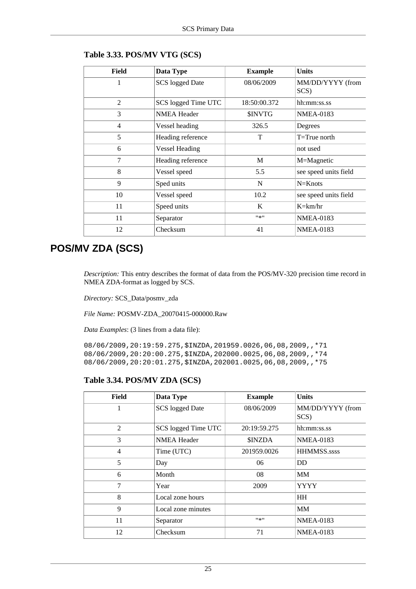| Field          | Data Type              | <b>Example</b> | <b>Units</b>             |
|----------------|------------------------|----------------|--------------------------|
| 1              | <b>SCS</b> logged Date | 08/06/2009     | MM/DD/YYYY (from<br>SCS) |
| $\overline{2}$ | SCS logged Time UTC    | 18:50:00.372   | hh:mm:ss.ss              |
| 3              | <b>NMEA</b> Header     | <b>SINVTG</b>  | <b>NMEA-0183</b>         |
| $\overline{4}$ | Vessel heading         | 326.5          | Degrees                  |
| 5              | Heading reference      | T              | $T = True$ north         |
| 6              | <b>Vessel Heading</b>  |                | not used                 |
| 7              | Heading reference      | M              | M=Magnetic               |
| 8              | Vessel speed           | 5.5            | see speed units field    |
| 9              | Sped units             | N              | $N=Knots$                |
| 10             | Vessel speed           | 10.2           | see speed units field    |
| 11             | Speed units            | K              | $K=\text{km/hr}$         |
| 11             | Separator              | $11 \times 11$ | <b>NMEA-0183</b>         |
| 12             | Checksum               | 41             | <b>NMEA-0183</b>         |

#### <span id="page-31-0"></span>**Table 3.33. POS/MV VTG (SCS)**

# **POS/MV ZDA (SCS)**

*Description:* This entry describes the format of data from the POS/MV-320 precision time record in NMEA ZDA-format as logged by SCS.

*Directory:* SCS\_Data/posmv\_zda

*File Name:* POSMV-ZDA\_20070415-000000.Raw

*Data Examples*: (3 lines from a data file):

08/06/2009,20:19:59.275,\$INZDA,201959.0026,06,08,2009,,\*71 08/06/2009,20:20:00.275,\$INZDA,202000.0025,06,08,2009,,\*74 08/06/2009,20:20:01.275,\$INZDA,202001.0025,06,08,2009,,\*75

#### <span id="page-31-1"></span>**Table 3.34. POS/MV ZDA (SCS)**

| Field          | Data Type              | <b>Example</b> | <b>Units</b>             |
|----------------|------------------------|----------------|--------------------------|
|                | <b>SCS</b> logged Date | 08/06/2009     | MM/DD/YYYY (from<br>SCS) |
| $\mathfrak{D}$ | SCS logged Time UTC    | 20:19:59.275   | hh:mm:ss.ss              |
| $\mathcal{R}$  | <b>NMEA Header</b>     | <b>SINZDA</b>  | <b>NMEA-0183</b>         |
| $\overline{4}$ | Time (UTC)             | 201959.0026    | <b>HHMMSS.ssss</b>       |
| 5              | Day                    | 06             | DD                       |
| 6              | Month                  | 08             | MМ                       |
| $\overline{7}$ | Year                   | 2009           | <b>YYYY</b>              |
| 8              | Local zone hours       |                | <b>HH</b>                |
| 9              | Local zone minutes     |                | <b>MM</b>                |
| 11             | Separator              | $11*11$        | <b>NMEA-0183</b>         |
| 12             | Checksum               | 71             | <b>NMEA-0183</b>         |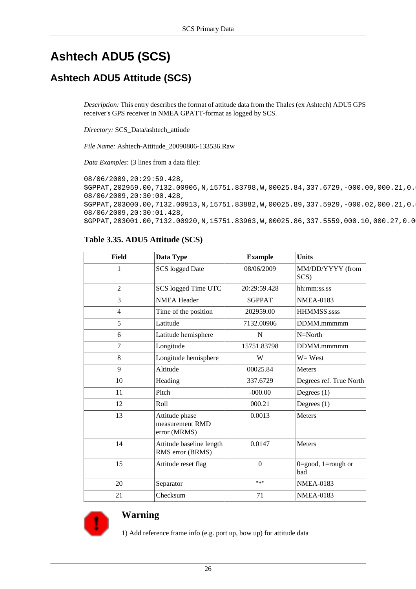# <span id="page-32-0"></span>**Ashtech ADU5 (SCS)**

## **Ashtech ADU5 Attitude (SCS)**

*Description:* This entry describes the format of attitude data from the Thales (ex Ashtech) ADU5 GPS receiver's GPS receiver in NMEA GPATT-format as logged by SCS.

*Directory:* SCS\_Data/ashtech\_attiude

*File Name:* Ashtech-Attitude\_20090806-133536.Raw

*Data Examples*: (3 lines from a data file):

08/06/2009,20:29:59.428, \$GPPAT,202959.00,7132.00906,N,15751.83798,W,00025.84,337.6729,-000.00,000.21,0. 08/06/2009,20:30:00.428, \$GPPAT,203000.00,7132.00913,N,15751.83882,W,00025.89,337.5929,-000.02,000.21,0. 08/06/2009,20:30:01.428, \$GPPAT,203001.00,7132.00920,N,15751.83963,W,00025.86,337.5559,000.10,000.27,0.0

### <span id="page-32-1"></span>**Table 3.35. ADU5 Attitude (SCS)**

| <b>Field</b>   | Data Type                                         | <b>Example</b>   | <b>Units</b>                                  |
|----------------|---------------------------------------------------|------------------|-----------------------------------------------|
| 1              | <b>SCS</b> logged Date                            | 08/06/2009       | MM/DD/YYYY (from<br>SCS)                      |
| $\overline{2}$ | SCS logged Time UTC                               | 20:29:59.428     | hh:mm:ss.ss                                   |
| 3              | <b>NMEA Header</b>                                | <b>SGPPAT</b>    | <b>NMEA-0183</b>                              |
| $\overline{4}$ | Time of the position                              | 202959.00        | HHMMSS.ssss                                   |
| 5              | Latitude                                          | 7132.00906       | DDMM.mmmmm                                    |
| 6              | Latitude hemisphere                               | N                | $N=North$                                     |
| $\tau$         | Longitude                                         | 15751.83798      | DDMM.mmmmm                                    |
| 8              | Longitude hemisphere                              | W                | $W = West$                                    |
| 9              | Altitude                                          | 00025.84         | <b>Meters</b>                                 |
| 10             | Heading                                           | 337.6729         | Degrees ref. True North                       |
| 11             | Pitch                                             | $-000.00$        | Degrees $(1)$                                 |
| 12             | Roll                                              | 000.21           | Degrees $(1)$                                 |
| 13             | Attitude phase<br>measurement RMD<br>error (MRMS) | 0.0013           | <b>Meters</b>                                 |
| 14             | Attitude baseline length<br>RMS error (BRMS)      | 0.0147           | Meters                                        |
| 15             | Attitude reset flag                               | $\boldsymbol{0}$ | $0 = \text{good}, 1 = \text{rough}$ or<br>bad |
| 20             | Separator                                         | #来!!             | <b>NMEA-0183</b>                              |
| 21             | Checksum                                          | 71               | <b>NMEA-0183</b>                              |



### **Warning**

1) Add reference frame info (e.g. port up, bow up) for attitude data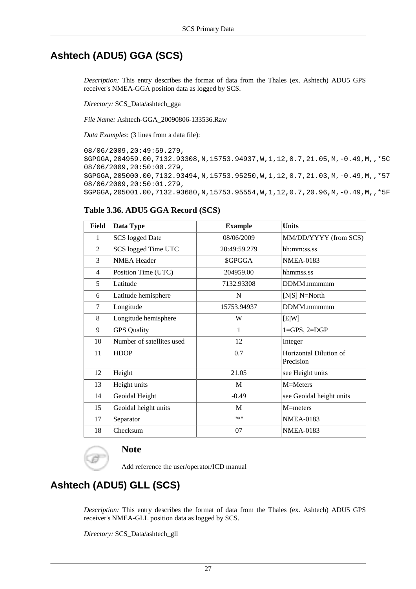## **Ashtech (ADU5) GGA (SCS)**

*Description:* This entry describes the format of data from the Thales (ex. Ashtech) ADU5 GPS receiver's NMEA-GGA position data as logged by SCS.

*Directory:* SCS\_Data/ashtech\_gga

*File Name:* Ashtech-GGA\_20090806-133536.Raw

*Data Examples*: (3 lines from a data file):

08/06/2009,20:49:59.279, \$GPGGA,204959.00,7132.93308,N,15753.94937,W,1,12,0.7,21.05,M,-0.49,M,,\*5C 08/06/2009,20:50:00.279, \$GPGGA,205000.00,7132.93494,N,15753.95250,W,1,12,0.7,21.03,M,-0.49,M,,\*57 08/06/2009,20:50:01.279, \$GPGGA,205001.00,7132.93680,N,15753.95554,W,1,12,0.7,20.96,M,-0.49,M,,\*5F

### <span id="page-33-0"></span>**Table 3.36. ADU5 GGA Record (SCS)**

| Field  | Data Type                 | <b>Example</b> | <b>Units</b>             |
|--------|---------------------------|----------------|--------------------------|
| 1      | <b>SCS</b> logged Date    | 08/06/2009     | MM/DD/YYYY (from SCS)    |
| 2      | SCS logged Time UTC       | 20:49:59.279   | hh:mm:ss.ss              |
| 3      | <b>NMEA Header</b>        | \$GPGGA        | <b>NMEA-0183</b>         |
| 4      | Position Time (UTC)       | 204959.00      | hhmmss.ss                |
| 5      | Latitude                  | 7132.93308     | DDMM.mmmmm               |
| 6      | Latitude hemisphere       | N              | [ $N S]$ $N=North$       |
| $\tau$ | Longitude                 | 15753.94937    | DDMM.mmmmm               |
| 8      | Longitude hemisphere      | W              | [E W]                    |
| 9      | <b>GPS</b> Quality        | 1              | $1 = GPS, 2 = DGP$       |
| 10     | Number of satellites used | 12             | Integer                  |
| 11     | <b>HDOP</b>               | 0.7            | Horizontal Dilution of   |
|        |                           |                | Precision                |
| 12     | Height                    | 21.05          | see Height units         |
| 13     | Height units              | M              | M=Meters                 |
| 14     | Geoidal Height            | $-0.49$        | see Geoidal height units |
| 15     | Geoidal height units      | M              | $M=$ meters              |
| 17     | Separator                 | $"$ * $"$      | <b>NMEA-0183</b>         |
| 18     | Checksum                  | 07             | <b>NMEA-0183</b>         |



## **Note**

Add reference the user/operator/ICD manual

## **Ashtech (ADU5) GLL (SCS)**

*Description:* This entry describes the format of data from the Thales (ex. Ashtech) ADU5 GPS receiver's NMEA-GLL position data as logged by SCS.

*Directory:* SCS\_Data/ashtech\_gll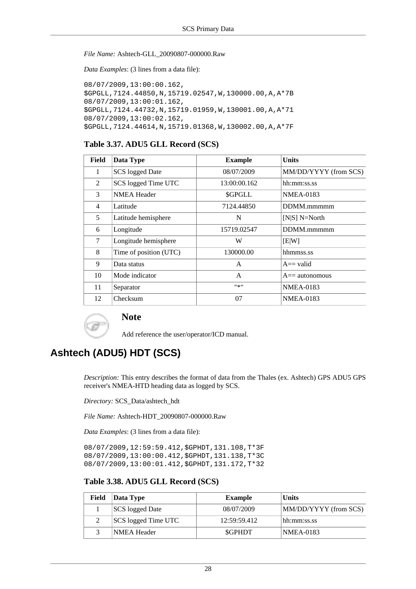#### *File Name:* Ashtech-GLL\_20090807-000000.Raw

*Data Examples*: (3 lines from a data file):

```
08/07/2009,13:00:00.162,
$GPGLL,7124.44850,N,15719.02547,W,130000.00,A,A*7B
08/07/2009,13:00:01.162,
$GPGLL,7124.44732,N,15719.01959,W,130001.00,A,A*71
08/07/2009,13:00:02.162,
$GPGLL,7124.44614,N,15719.01368,W,130002.00,A,A*7F
```
#### <span id="page-34-0"></span>**Table 3.37. ADU5 GLL Record (SCS)**

| Field          | Data Type              | <b>Example</b> | <b>Units</b>          |
|----------------|------------------------|----------------|-----------------------|
| 1              | <b>SCS</b> logged Date | 08/07/2009     | MM/DD/YYYY (from SCS) |
| $\overline{2}$ | SCS logged Time UTC    | 13:00:00.162   | hh:mm:ss.ss           |
| 3              | <b>NMEA Header</b>     | \$GPGLL        | <b>NMEA-0183</b>      |
| 4              | Latitude               | 7124.44850     | DDMM.mmmmm            |
| 5              | Latitude hemisphere    | N              | $[N S]$ N=North       |
| 6              | Longitude              | 15719.02547    | DDMM.mmmmm            |
| 7              | Longitude hemisphere   | W              | [E W]                 |
| 8              | Time of position (UTC) | 130000.00      | hhmmss.ss             |
| 9              | Data status            | $\mathsf{A}$   | $A = \text{valid}$    |
| 10             | Mode indicator         | A              | $A ==$ autonomous     |
| 11             | Separator              | ***            | <b>NMEA-0183</b>      |
| 12             | Checksum               | 07             | <b>NMEA-0183</b>      |



### **Note**

Add reference the user/operator/ICD manual.

## **Ashtech (ADU5) HDT (SCS)**

*Description:* This entry describes the format of data from the Thales (ex. Ashtech) GPS ADU5 GPS receiver's NMEA-HTD heading data as logged by SCS.

*Directory:* SCS\_Data/ashtech\_hdt

*File Name:* Ashtech-HDT\_20090807-000000.Raw

*Data Examples*: (3 lines from a data file):

```
08/07/2009,12:59:59.412,$GPHDT,131.108,T*3F
08/07/2009,13:00:00.412,$GPHDT,131.138,T*3C
08/07/2009,13:00:01.412,$GPHDT,131.172,T*32
```
#### <span id="page-34-1"></span>**Table 3.38. ADU5 GLL Record (SCS)**

| Field | Data Type           | <b>Example</b> | <b>Units</b>          |
|-------|---------------------|----------------|-----------------------|
|       | SCS logged Date     | 08/07/2009     | MM/DD/YYYY (from SCS) |
|       | SCS logged Time UTC | 12:59:59.412   | hh:mm:ss.ss           |
|       | NMEA Header         | <b>SGPHDT</b>  | <b>NMEA-0183</b>      |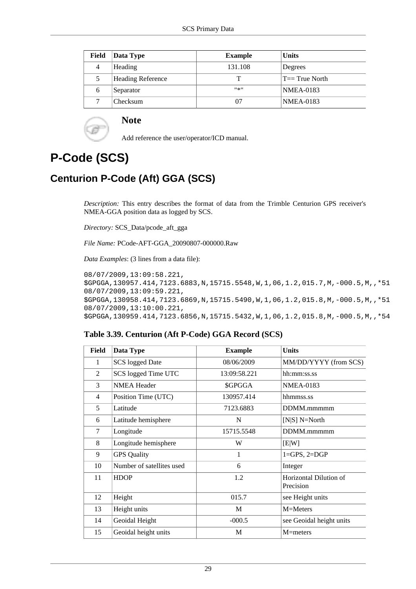| Field | Data Type                | <b>Example</b> | <b>Units</b>      |
|-------|--------------------------|----------------|-------------------|
| 4     | Heading                  | 131.108        | Degrees           |
| 5     | <b>Heading Reference</b> | т              | $T == True$ North |
| 6     | Separator                | $11*11$        | <b>NMEA-0183</b>  |
| 7     | Checksum                 | 07             | <b>NMEA-0183</b>  |

### **Note**

Add reference the user/operator/ICD manual.

# <span id="page-35-0"></span>**P-Code (SCS)**

## **Centurion P-Code (Aft) GGA (SCS)**

*Description:* This entry describes the format of data from the Trimble Centurion GPS receiver's NMEA-GGA position data as logged by SCS.

*Directory:* SCS\_Data/pcode\_aft\_gga

*File Name:* PCode-AFT-GGA\_20090807-000000.Raw

*Data Examples*: (3 lines from a data file):

```
08/07/2009,13:09:58.221,
$GPGGA,130957.414,7123.6883,N,15715.5548,W,1,06,1.2,015.7,M,-000.5,M,,*51
08/07/2009,13:09:59.221,
$GPGGA,130958.414,7123.6869,N,15715.5490,W,1,06,1.2,015.8,M,-000.5,M,,*51
08/07/2009,13:10:00.221,
$GPGGA,130959.414,7123.6856,N,15715.5432,W,1,06,1.2,015.8,M,-000.5,M,,*54
```
#### <span id="page-35-1"></span>**Table 3.39. Centurion (Aft P-Code) GGA Record (SCS)**

| <b>Field</b> | Data Type                 | <b>Example</b> | <b>Units</b>                        |
|--------------|---------------------------|----------------|-------------------------------------|
| 1            | <b>SCS</b> logged Date    | 08/06/2009     | MM/DD/YYYY (from SCS)               |
| 2            | SCS logged Time UTC       | 13:09:58.221   | hh:mm:ss.ss                         |
| 3            | <b>NMEA Header</b>        | \$GPGGA        | <b>NMEA-0183</b>                    |
| 4            | Position Time (UTC)       | 130957.414     | hhmmss.ss                           |
| 5            | Latitude                  | 7123.6883      | DDMM.mmmmm                          |
| 6            | Latitude hemisphere       | N              | $[N S]$ N=North                     |
| 7            | Longitude                 | 15715.5548     | DDMM.mmmmm                          |
| 8            | Longitude hemisphere      | W              | [E W]                               |
| 9            | <b>GPS</b> Quality        | 1              | $1 = GPS, 2 = DGP$                  |
| 10           | Number of satellites used | 6              | Integer                             |
| 11           | <b>HDOP</b>               | 1.2            | Horizontal Dilution of<br>Precision |
| 12           | Height                    | 015.7          | see Height units                    |
| 13           | Height units              | M              | M=Meters                            |
| 14           | Geoidal Height            | $-000.5$       | see Geoidal height units            |
| 15           | Geoidal height units      | M              | $M=$ meters                         |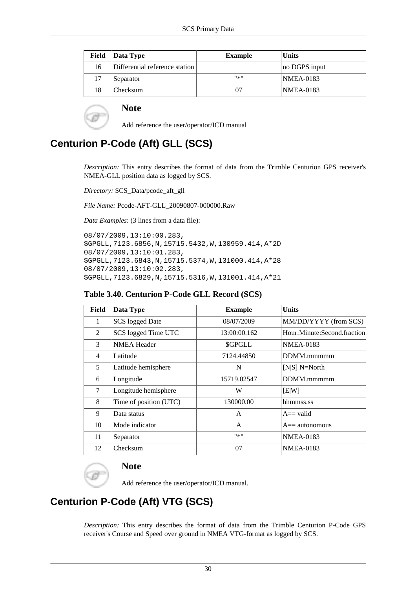| <b>Field</b> | Data Type                      | <b>Example</b> | <b>Units</b>  |
|--------------|--------------------------------|----------------|---------------|
| 16           | Differential reference station |                | no DGPS input |
| 17           | Separator                      | $11 \times 11$ | NMEA-0183     |
| 18           | Checksum                       | 07             | NMEA-0183     |

Add reference the user/operator/ICD manual

## **Centurion P-Code (Aft) GLL (SCS)**

*Description:* This entry describes the format of data from the Trimble Centurion GPS receiver's NMEA-GLL position data as logged by SCS.

*Directory:* SCS\_Data/pcode\_aft\_gll

*File Name:* Pcode-AFT-GLL\_20090807-000000.Raw

*Data Examples*: (3 lines from a data file):

```
08/07/2009,13:10:00.283,
$GPGLL,7123.6856,N,15715.5432,W,130959.414,A*2D
08/07/2009,13:10:01.283,
$GPGLL,7123.6843,N,15715.5374,W,131000.414,A*28
08/07/2009,13:10:02.283,
$GPGLL,7123.6829,N,15715.5316,W,131001.414,A*21
```
#### **Table 3.40. Centurion P-Code GLL Record (SCS)**

| Field | Data Type              | <b>Example</b> | <b>Units</b>                |
|-------|------------------------|----------------|-----------------------------|
| 1     | <b>SCS</b> logged Date | 08/07/2009     | MM/DD/YYYY (from SCS)       |
| 2     | SCS logged Time UTC    | 13:00:00.162   | Hour:Minute:Second.fraction |
| 3     | <b>NMEA Header</b>     | <b>SGPGLL</b>  | <b>NMEA-0183</b>            |
| 4     | Latitude               | 7124.44850     | DDMM.mmmmm                  |
| 5     | Latitude hemisphere    | N              | $[N S]$ N=North             |
| 6     | Longitude              | 15719.02547    | DDMM.mmmmm                  |
| 7     | Longitude hemisphere   | W              | E[W]                        |
| 8     | Time of position (UTC) | 130000.00      | hhmmss.ss                   |
| 9     | Data status            | A              | $A = \text{valid}$          |
| 10    | Mode indicator         | A              | $A ==$ autonomous           |
| 11    | Separator              | $11*11$        | <b>NMEA-0183</b>            |
| 12    | Checksum               | 07             | <b>NMEA-0183</b>            |

# **Note**

Add reference the user/operator/ICD manual.

# **Centurion P-Code (Aft) VTG (SCS)**

*Description:* This entry describes the format of data from the Trimble Centurion P-Code GPS receiver's Course and Speed over ground in NMEA VTG-format as logged by SCS.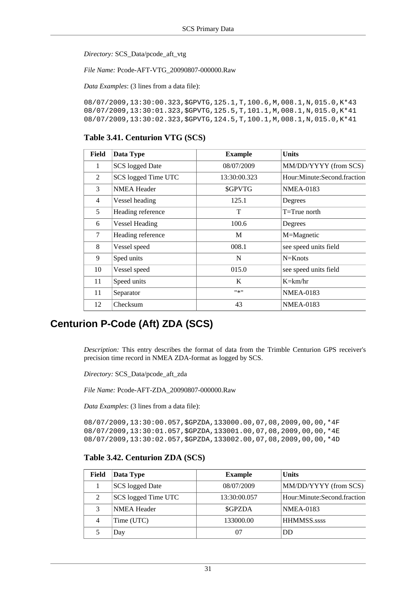*Directory:* SCS\_Data/pcode\_aft\_vtg

*File Name:* Pcode-AFT-VTG\_20090807-000000.Raw

*Data Examples*: (3 lines from a data file):

08/07/2009,13:30:00.323,\$GPVTG,125.1,T,100.6,M,008.1,N,015.0,K\*43 08/07/2009,13:30:01.323,\$GPVTG,125.5,T,101.1,M,008.1,N,015.0,K\*41 08/07/2009,13:30:02.323,\$GPVTG,124.5,T,100.1,M,008.1,N,015.0,K\*41

#### **Table 3.41. Centurion VTG (SCS)**

| <b>Field</b>   | Data Type              | <b>Example</b> | <b>Units</b>                |
|----------------|------------------------|----------------|-----------------------------|
| 1              | <b>SCS</b> logged Date | 08/07/2009     | MM/DD/YYYY (from SCS)       |
| 2              | SCS logged Time UTC    | 13:30:00.323   | Hour:Minute:Second.fraction |
| 3              | <b>NMEA Header</b>     | \$GPVTG        | <b>NMEA-0183</b>            |
| $\overline{4}$ | Vessel heading         | 125.1          | Degrees                     |
| 5              | Heading reference      | T              | $T=T$ rue north             |
| 6              | <b>Vessel Heading</b>  | 100.6          | Degrees                     |
| 7              | Heading reference      | М              | M=Magnetic                  |
| 8              | Vessel speed           | 008.1          | see speed units field       |
| 9              | Sped units             | N              | $N=Knots$                   |
| 10             | Vessel speed           | 015.0          | see speed units field       |
| 11             | Speed units            | K              | $K=\text{km/hr}$            |
| 11             | Separator              | $11 - 11$      | <b>NMEA-0183</b>            |
| 12             | Checksum               | 43             | <b>NMEA-0183</b>            |

### **Centurion P-Code (Aft) ZDA (SCS)**

*Description:* This entry describes the format of data from the Trimble Centurion GPS receiver's precision time record in NMEA ZDA-format as logged by SCS.

*Directory:* SCS\_Data/pcode\_aft\_zda

*File Name:* Pcode-AFT-ZDA\_20090807-000000.Raw

*Data Examples*: (3 lines from a data file):

08/07/2009,13:30:00.057,\$GPZDA,133000.00,07,08,2009,00,00,\*4F 08/07/2009,13:30:01.057,\$GPZDA,133001.00,07,08,2009,00,00,\*4E 08/07/2009,13:30:02.057,\$GPZDA,133002.00,07,08,2009,00,00,\*4D

#### **Table 3.42. Centurion ZDA (SCS)**

| Field | Data Type           | <b>Example</b> | <b>Units</b>                |
|-------|---------------------|----------------|-----------------------------|
|       | SCS logged Date     | 08/07/2009     | MM/DD/YYYY (from SCS)       |
| 2     | SCS logged Time UTC | 13:30:00.057   | Hour:Minute:Second.fraction |
| 3     | <b>NMEA Header</b>  | <b>SGPZDA</b>  | <b>NMEA-0183</b>            |
| 4     | Time (UTC)          | 133000.00      | <b>HHMMSS.ssss</b>          |
|       | Day                 |                | DD                          |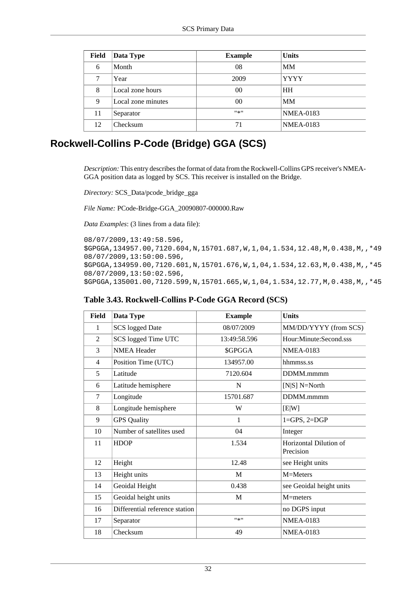| Field | Data Type          | <b>Example</b> | <b>Units</b>     |
|-------|--------------------|----------------|------------------|
| 6     | Month              | 08             | <b>MM</b>        |
| 7     | Year               | 2009           | <b>YYYY</b>      |
| 8     | Local zone hours   | 00             | <b>HH</b>        |
| 9     | Local zone minutes | 00             | <b>MM</b>        |
| 11    | Separator          | $11*11$        | <b>NMEA-0183</b> |
| 12    | Checksum           | 71             | <b>NMEA-0183</b> |

# **Rockwell-Collins P-Code (Bridge) GGA (SCS)**

*Description:* This entry describes the format of data from the Rockwell-Collins GPS receiver's NMEA-GGA position data as logged by SCS. This receiver is installed on the Bridge.

*Directory:* SCS\_Data/pcode\_bridge\_gga

*File Name:* PCode-Bridge-GGA\_20090807-000000.Raw

*Data Examples*: (3 lines from a data file):

```
08/07/2009,13:49:58.596,
$GPGGA,134957.00,7120.604,N,15701.687,W,1,04,1.534,12.48,M,0.438,M,,*49
08/07/2009,13:50:00.596,
$GPGGA,134959.00,7120.601,N,15701.676,W,1,04,1.534,12.63,M,0.438,M,,*45
08/07/2009,13:50:02.596,
$GPGGA,135001.00,7120.599,N,15701.665,W,1,04,1.534,12.77,M,0.438,M,,*45
```

| <b>Field</b>   | Data Type                      | <b>Example</b> | <b>Units</b>                        |
|----------------|--------------------------------|----------------|-------------------------------------|
| 1              | <b>SCS</b> logged Date         | 08/07/2009     | MM/DD/YYYY (from SCS)               |
| 2              | SCS logged Time UTC            | 13:49:58.596   | Hour:Minute:Second.sss              |
| 3              | <b>NMEA Header</b>             | \$GPGGA        | <b>NMEA-0183</b>                    |
| $\overline{4}$ | Position Time (UTC)            | 134957.00      | hhmmss.ss                           |
| 5              | Latitude                       | 7120.604       | DDMM.mmmm                           |
| 6              | Latitude hemisphere            | N              | [ $N S]$ $N=North$                  |
| 7              | Longitude                      | 15701.687      | DDMM.mmmm                           |
| 8              | Longitude hemisphere           | W              | [E W]                               |
| 9              | <b>GPS</b> Quality             | 1              | $1 = GPS, 2 = DGP$                  |
| 10             | Number of satellites used      | 04             | Integer                             |
| 11             | <b>HDOP</b>                    | 1.534          | Horizontal Dilution of<br>Precision |
| 12             | Height                         | 12.48          | see Height units                    |
| 13             | Height units                   | M              | M=Meters                            |
| 14             | Geoidal Height                 | 0.438          | see Geoidal height units            |
| 15             | Geoidal height units           | M              | $M=$ meters                         |
| 16             | Differential reference station |                | no DGPS input                       |
| 17             | Separator                      | $11 \times 11$ | <b>NMEA-0183</b>                    |
| 18             | Checksum                       | 49             | <b>NMEA-0183</b>                    |

|  | Table 3.43. Rockwell-Collins P-Code GGA Record (SCS) |  |  |  |  |
|--|------------------------------------------------------|--|--|--|--|
|--|------------------------------------------------------|--|--|--|--|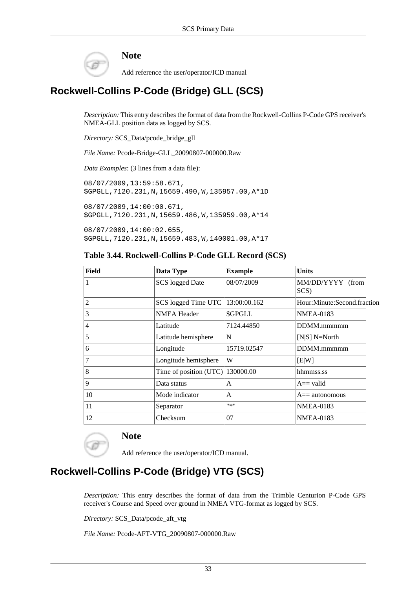

Add reference the user/operator/ICD manual

# **Rockwell-Collins P-Code (Bridge) GLL (SCS)**

*Description:* This entry describes the format of data from the Rockwell-Collins P-Code GPS receiver's NMEA-GLL position data as logged by SCS.

*Directory:* SCS\_Data/pcode\_bridge\_gll

*File Name:* Pcode-Bridge-GLL\_20090807-000000.Raw

*Data Examples*: (3 lines from a data file):

08/07/2009,13:59:58.671, \$GPGLL,7120.231,N,15659.490,W,135957.00,A\*1D 08/07/2009,14:00:00.671, \$GPGLL,7120.231,N,15659.486,W,135959.00,A\*14

08/07/2009,14:00:02.655,

\$GPGLL,7120.231,N,15659.483,W,140001.00,A\*17

### **Table 3.44. Rockwell-Collins P-Code GLL Record (SCS)**

| Field | Data Type              | <b>Example</b> | <b>Units</b>                |  |
|-------|------------------------|----------------|-----------------------------|--|
|       | <b>SCS</b> logged Date | 08/07/2009     | MM/DD/YYYY (from<br>SCS)    |  |
| 2     | SCS logged Time UTC    | 13:00:00.162   | Hour:Minute:Second.fraction |  |
| 3     | <b>NMEA Header</b>     | \$GPGLL        | <b>NMEA-0183</b>            |  |
| 4     | Latitude               | 7124.44850     | DDMM.mmmmm                  |  |
| 5     | Latitude hemisphere    | N              | $[N S]$ N=North             |  |
| 6     | Longitude              | 15719.02547    | DDMM.mmmmm                  |  |
| 7     | Longitude hemisphere   | W              | [E W]                       |  |
| 8     | Time of position (UTC) | 130000.00      | hhmmss.ss                   |  |
| 9     | Data status            | A              | $A ==$ valid                |  |
| 10    | Mode indicator         | A              | $A ==$ autonomous           |  |
| 11    | Separator              | $11 \times 11$ | <b>NMEA-0183</b>            |  |
| 12    | Checksum               | 07             | <b>NMEA-0183</b>            |  |

### **Note**

Add reference the user/operator/ICD manual.

# **Rockwell-Collins P-Code (Bridge) VTG (SCS)**

*Description:* This entry describes the format of data from the Trimble Centurion P-Code GPS receiver's Course and Speed over ground in NMEA VTG-format as logged by SCS.

*Directory:* SCS\_Data/pcode\_aft\_vtg

*File Name:* Pcode-AFT-VTG\_20090807-000000.Raw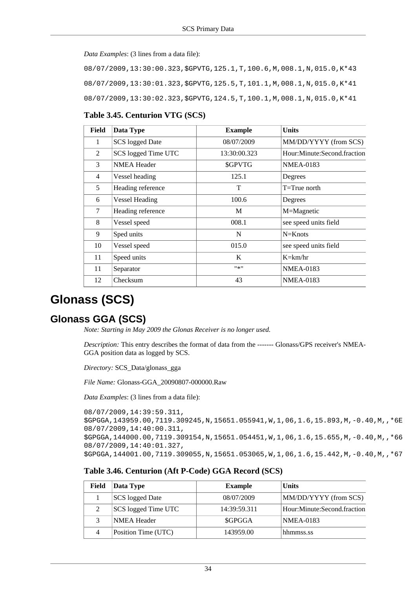*Data Examples*: (3 lines from a data file):

08/07/2009,13:30:00.323,\$GPVTG,125.1,T,100.6,M,008.1,N,015.0,K\*43 08/07/2009,13:30:01.323,\$GPVTG,125.5,T,101.1,M,008.1,N,015.0,K\*41 08/07/2009,13:30:02.323,\$GPVTG,124.5,T,100.1,M,008.1,N,015.0,K\*41

### **Table 3.45. Centurion VTG (SCS)**

| Field          | Data Type              | <b>Example</b> | <b>Units</b>                |
|----------------|------------------------|----------------|-----------------------------|
| 1              | <b>SCS</b> logged Date | 08/07/2009     | MM/DD/YYYY (from SCS)       |
| $\mathcal{L}$  | SCS logged Time UTC    | 13:30:00.323   | Hour:Minute:Second.fraction |
| 3              | <b>NMEA Header</b>     | \$GPVTG        | <b>NMEA-0183</b>            |
| $\overline{4}$ | Vessel heading         | 125.1          | Degrees                     |
| 5              | Heading reference      | Т              | $T = True$ north            |
| 6              | <b>Vessel Heading</b>  | 100.6          | Degrees                     |
| 7              | Heading reference      | M              | M=Magnetic                  |
| 8              | Vessel speed           | 008.1          | see speed units field       |
| 9              | Sped units             | N              | $N=Knots$                   |
| 10             | Vessel speed           | 015.0          | see speed units field       |
| 11             | Speed units            | K              | $K=\text{km/hr}$            |
| 11             | Separator              | $11 - 11$      | <b>NMEA-0183</b>            |
| 12             | Checksum               | 43             | <b>NMEA-0183</b>            |

# **Glonass (SCS)**

### **Glonass GGA (SCS)**

*Note: Starting in May 2009 the Glonas Receiver is no longer used.*

*Description:* This entry describes the format of data from the ------- Glonass/GPS receiver's NMEA-GGA position data as logged by SCS.

*Directory:* SCS\_Data/glonass\_gga

*File Name:* Glonass-GGA\_20090807-000000.Raw

*Data Examples*: (3 lines from a data file):

```
08/07/2009,14:39:59.311,
$GPGGA,143959.00,7119.309245,N,15651.055941,W,1,06,1.6,15.893,M,-0.40,M,,*6E
08/07/2009,14:40:00.311,
$GPGGA,144000.00,7119.309154,N,15651.054451,W,1,06,1.6,15.655,M,-0.40,M,,*66
08/07/2009,14:40:01.327,
$GPGGA,144001.00,7119.309055,N,15651.053065,W,1,06,1.6,15.442,M,-0.40,M,,*67
```
### **Table 3.46. Centurion (Aft P-Code) GGA Record (SCS)**

|  | Field | Data Type              | <b>Example</b> | <b>Units</b>                |
|--|-------|------------------------|----------------|-----------------------------|
|  |       | <b>SCS</b> logged Date | 08/07/2009     | MM/DD/YYYY (from SCS)       |
|  | 2     | SCS logged Time UTC    | 14:39:59.311   | Hour:Minute:Second.fraction |
|  | 3     | NMEA Header            | \$GPGGA        | <b>NMEA-0183</b>            |
|  |       | Position Time (UTC)    | 143959.00      | hhmmss.ss                   |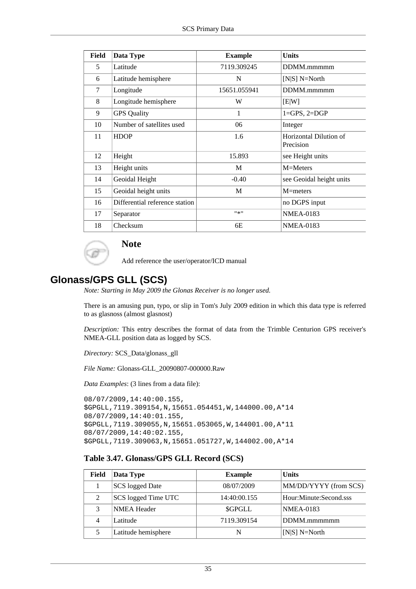| <b>Field</b> | Data Type                      | <b>Example</b> | <b>Units</b>             |
|--------------|--------------------------------|----------------|--------------------------|
| 5            | Latitude                       | 7119.309245    | DDMM.mmmmm               |
| 6            | Latitude hemisphere            | N              | [ $N S]$ $N=North$       |
| 7            | Longitude                      | 15651.055941   | DDMM.mmmmm               |
| 8            | Longitude hemisphere           | W              | E[W]                     |
| 9            | <b>GPS</b> Quality             | 1              | $1 = GPS, 2 = DGP$       |
| 10           | Number of satellites used      | 06             | Integer                  |
| 11           | <b>HDOP</b>                    | 1.6            | Horizontal Dilution of   |
|              |                                |                | Precision                |
| 12           | Height                         | 15.893         | see Height units         |
| 13           | Height units                   | M              | M=Meters                 |
| 14           | Geoidal Height                 | $-0.40$        | see Geoidal height units |
| 15           | Geoidal height units           | M              | $M=$ meters              |
| 16           | Differential reference station |                | no DGPS input            |
| 17           | Separator                      | $11*11$        | <b>NMEA-0183</b>         |
| 18           | Checksum                       | 6E             | <b>NMEA-0183</b>         |

Add reference the user/operator/ICD manual

### **Glonass/GPS GLL (SCS)**

*Note: Starting in May 2009 the Glonas Receiver is no longer used.*

There is an amusing pun, typo, or slip in Tom's July 2009 edition in which this data type is referred to as glasnoss (almost glasnost)

*Description:* This entry describes the format of data from the Trimble Centurion GPS receiver's NMEA-GLL position data as logged by SCS.

*Directory:* SCS\_Data/glonass\_gll

*File Name:* Glonass-GLL\_20090807-000000.Raw

*Data Examples*: (3 lines from a data file):

08/07/2009,14:40:00.155, \$GPGLL,7119.309154,N,15651.054451,W,144000.00,A\*14 08/07/2009,14:40:01.155, \$GPGLL,7119.309055,N,15651.053065,W,144001.00,A\*11 08/07/2009,14:40:02.155, \$GPGLL,7119.309063,N,15651.051727,W,144002.00,A\*14

### **Table 3.47. Glonass/GPS GLL Record (SCS)**

| Field | Data Type           | <b>Example</b> | <b>Units</b>           |
|-------|---------------------|----------------|------------------------|
|       | SCS logged Date     | 08/07/2009     | MM/DD/YYYY (from SCS)  |
| 2     | SCS logged Time UTC | 14:40:00.155   | Hour:Minute:Second.sss |
| 3     | <b>NMEA Header</b>  | <b>SGPGLL</b>  | <b>NMEA-0183</b>       |
| 4     | Latitude            | 7119.309154    | DDMM.mmmmmm            |
|       | Latitude hemisphere | N              | [N S] N=North          |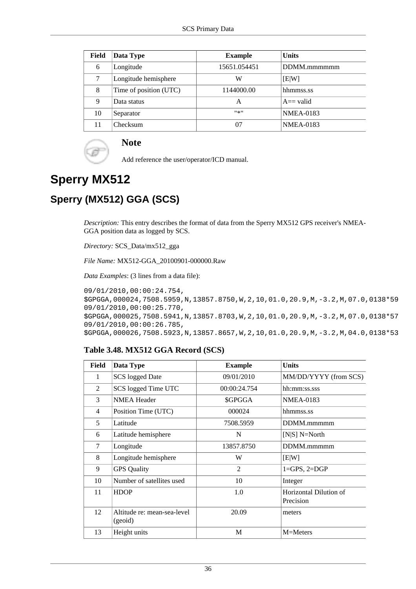| Field | Data Type              | <b>Example</b> | <b>Units</b>       |
|-------|------------------------|----------------|--------------------|
| 6     | Longitude              | 15651.054451   | DDMM.mmmmmm        |
| 7     | Longitude hemisphere   | W              | E[W]               |
| 8     | Time of position (UTC) | 1144000.00     | hhmmss.ss          |
| 9     | Data status            | А              | $A = \text{valid}$ |
| 10    | Separator              | $11 - 11$      | <b>NMEA-0183</b>   |
| 11    | Checksum               | 07             | <b>NMEA-0183</b>   |

Add reference the user/operator/ICD manual.

# **Sperry MX512**

# **Sperry (MX512) GGA (SCS)**

*Description:* This entry describes the format of data from the Sperry MX512 GPS receiver's NMEA-GGA position data as logged by SCS.

*Directory:* SCS\_Data/mx512\_gga

*File Name:* MX512-GGA\_20100901-000000.Raw

*Data Examples*: (3 lines from a data file):

```
09/01/2010,00:00:24.754,
$GPGGA,000024,7508.5959,N,13857.8750,W,2,10,01.0,20.9,M,-3.2,M,07.0,0138*59
09/01/2010,00:00:25.770,
$GPGGA,000025,7508.5941,N,13857.8703,W,2,10,01.0,20.9,M,-3.2,M,07.0,0138*57
09/01/2010,00:00:26.785,
$GPGGA,000026,7508.5923,N,13857.8657,W,2,10,01.0,20.9,M,-3.2,M,04.0,0138*53
```
### **Table 3.48. MX512 GGA Record (SCS)**

| Field | Data Type                              | <b>Example</b> | <b>Units</b>                        |
|-------|----------------------------------------|----------------|-------------------------------------|
| 1     | <b>SCS</b> logged Date                 | 09/01/2010     | MM/DD/YYYY (from SCS)               |
| 2     | SCS logged Time UTC                    | 00:00:24.754   | hh:mm:ss.sss                        |
| 3     | <b>NMEA Header</b>                     | \$GPGGA        | <b>NMEA-0183</b>                    |
| 4     | Position Time (UTC)                    | 000024         | hhmmss.ss                           |
| 5     | Latitude                               | 7508.5959      | DDMM.mmmmm                          |
| 6     | Latitude hemisphere                    | N              | $[N S]$ N=North                     |
| 7     | Longitude                              | 13857.8750     | DDMM.mmmmm                          |
| 8     | Longitude hemisphere                   | W              | E[W]                                |
| 9     | <b>GPS</b> Quality                     | $\overline{c}$ | $1 = GPS, 2 = DGP$                  |
| 10    | Number of satellites used              | 10             | Integer                             |
| 11    | <b>HDOP</b>                            | 1.0            | Horizontal Dilution of<br>Precision |
| 12    | Altitude re: mean-sea-level<br>(geoid) | 20.09          | meters                              |
| 13    | Height units                           | M              | M=Meters                            |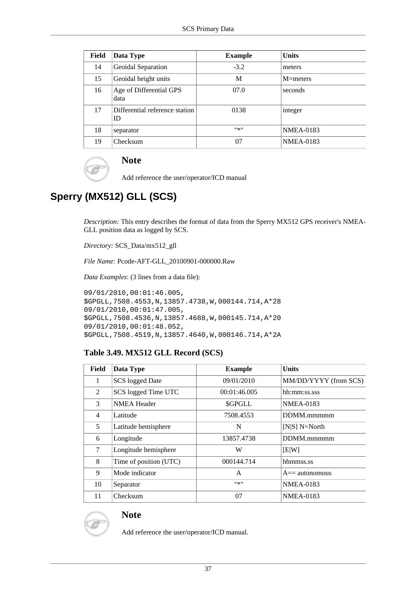| Field | Data Type                            | <b>Example</b> | <b>Units</b>     |
|-------|--------------------------------------|----------------|------------------|
| 14    | Geoidal Separation                   | $-3.2$         | meters           |
| 15    | Geoidal height units                 | M              | $M=$ meters      |
| 16    | Age of Differential GPS<br>data      | 07.0           | seconds          |
| 17    | Differential reference station<br>ID | 0138           | integer          |
| 18    | separator                            | $11 - 11$      | <b>NMEA-0183</b> |
| 19    | Checksum                             | 07             | <b>NMEA-0183</b> |

Add reference the user/operator/ICD manual

# **Sperry (MX512) GLL (SCS)**

*Description:* This entry describes the format of data from the Sperry MX512 GPS receiver's NMEA-GLL position data as logged by SCS.

*Directory:* SCS\_Data/mx512\_gll

*File Name:* Pcode-AFT-GLL\_20100901-000000.Raw

*Data Examples*: (3 lines from a data file):

```
09/01/2010,00:01:46.005,
$GPGLL,7508.4553,N,13857.4738,W,000144.714,A*28
09/01/2010,00:01:47.005,
$GPGLL,7508.4536,N,13857.4688,W,000145.714,A*20
09/01/2010,00:01:48.052,
$GPGLL,7508.4519,N,13857.4640,W,000146.714,A*2A
```
### **Table 3.49. MX512 GLL Record (SCS)**

| Field | Data Type              | <b>Example</b> | <b>Units</b>          |
|-------|------------------------|----------------|-----------------------|
| 1     | <b>SCS</b> logged Date | 09/01/2010     | MM/DD/YYYY (from SCS) |
| 2     | SCS logged Time UTC    | 00:01:46.005   | hh:mm:ss.sss          |
| 3     | <b>NMEA Header</b>     | \$GPGLL        | <b>NMEA-0183</b>      |
| 4     | Latitude               | 7508.4553      | DDMM.mmmmm            |
| 5     | Latitude hemisphere    | N              | $[N S]$ N=North       |
| 6     | Longitude              | 13857.4738     | DDMM.mmmmm            |
| 7     | Longitude hemisphere   | W              | [EW]                  |
| 8     | Time of position (UTC) | 000144.714     | hhmmss.ss             |
| 9     | Mode indicator         | A              | $A ==$ autonomous     |
| 10    | Separator              | #来#            | <b>NMEA-0183</b>      |
| 11    | Checksum               | 07             | <b>NMEA-0183</b>      |



### **Note**

Add reference the user/operator/ICD manual.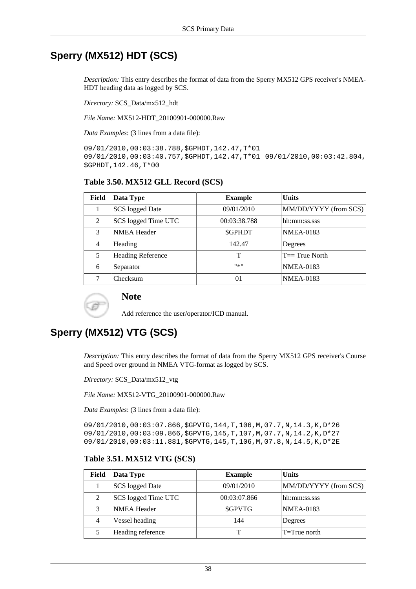# **Sperry (MX512) HDT (SCS)**

*Description:* This entry describes the format of data from the Sperry MX512 GPS receiver's NMEA-HDT heading data as logged by SCS.

*Directory:* SCS\_Data/mx512\_hdt

*File Name:* MX512-HDT\_20100901-000000.Raw

*Data Examples*: (3 lines from a data file):

09/01/2010,00:03:38.788,\$GPHDT,142.47,T\*01 09/01/2010,00:03:40.757,\$GPHDT,142.47,T\*01 09/01/2010,00:03:42.804, \$GPHDT,142.46,T\*00

### **Table 3.50. MX512 GLL Record (SCS)**

| Field          | Data Type                | <b>Example</b> | <b>Units</b>          |
|----------------|--------------------------|----------------|-----------------------|
|                | <b>SCS</b> logged Date   | 09/01/2010     | MM/DD/YYYY (from SCS) |
| 2              | SCS logged Time UTC      | 00:03:38.788   | hh:mm:ss.sss          |
| 3              | <b>NMEA Header</b>       | <b>SGPHDT</b>  | <b>NMEA-0183</b>      |
| $\overline{4}$ | Heading                  | 142.47         | Degrees               |
| 5              | <b>Heading Reference</b> | т              | $T == True$ North     |
| 6              | Separator                | $11 - 11$      | <b>NMEA-0183</b>      |
|                | Checksum                 | 01             | <b>NMEA-0183</b>      |



### **Note**

Add reference the user/operator/ICD manual.

# **Sperry (MX512) VTG (SCS)**

*Description:* This entry describes the format of data from the Sperry MX512 GPS receiver's Course and Speed over ground in NMEA VTG-format as logged by SCS.

*Directory:* SCS\_Data/mx512\_vtg

*File Name:* MX512-VTG\_20100901-000000.Raw

*Data Examples*: (3 lines from a data file):

09/01/2010,00:03:07.866,\$GPVTG,144,T,106,M,07.7,N,14.3,K,D\*26 09/01/2010,00:03:09.866,\$GPVTG,145,T,107,M,07.7,N,14.2,K,D\*27 09/01/2010,00:03:11.881,\$GPVTG,145,T,106,M,07.8,N,14.5,K,D\*2E

### **Table 3.51. MX512 VTG (SCS)**

| <b>Field</b> | Data Type           | <b>Example</b> | <b>Units</b>          |
|--------------|---------------------|----------------|-----------------------|
|              | SCS logged Date     | 09/01/2010     | MM/DD/YYYY (from SCS) |
| 2            | SCS logged Time UTC | 00:03:07.866   | hh:mm:ss.sss          |
| 3            | <b>NMEA Header</b>  | \$GPVTG        | <b>NMEA-0183</b>      |
| 4            | Vessel heading      | 144            | Degrees               |
|              | Heading reference   |                | $T = True$ north      |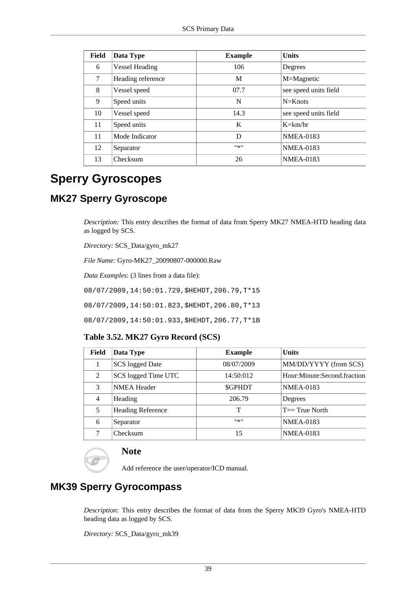| Field | Data Type             | <b>Example</b> | <b>Units</b>          |
|-------|-----------------------|----------------|-----------------------|
| 6     | <b>Vessel Heading</b> | 106            | Degrees               |
| 7     | Heading reference     | M              | M=Magnetic            |
| 8     | Vessel speed          | 07.7           | see speed units field |
| 9     | Speed units           | N              | $N=Knots$             |
| 10    | Vessel speed          | 14.3           | see speed units field |
| 11    | Speed units           | K              | $K=\text{km/hr}$      |
| 11    | Mode Indicator        | D              | <b>NMEA-0183</b>      |
| 12    | Separator             | $11 - 11$      | <b>NMEA-0183</b>      |
| 13    | Checksum              | 26             | <b>NMEA-0183</b>      |

# **Sperry Gyroscopes**

### **MK27 Sperry Gyroscope**

*Description:* This entry describes the format of data from Sperry MK27 NMEA-HTD heading data as logged by SCS.

*Directory:* SCS\_Data/gyro\_mk27

*File Name:* Gyro-MK27\_20090807-000000.Raw

*Data Examples*: (3 lines from a data file):

08/07/2009,14:50:01.729,\$HEHDT,206.79,T\*15

08/07/2009,14:50:01.823,\$HEHDT,206.80,T\*13

08/07/2009,14:50:01.933,\$HEHDT,206.77,T\*1B

### **Table 3.52. MK27 Gyro Record (SCS)**

| Field | Data Type                | <b>Example</b> | <b>Units</b>                |
|-------|--------------------------|----------------|-----------------------------|
|       | SCS logged Date          | 08/07/2009     | MM/DD/YYYY (from SCS)       |
| 2     | SCS logged Time UTC      | 14:50:012      | Hour:Minute:Second.fraction |
| 3     | <b>NMEA Header</b>       | <b>SGPHDT</b>  | <b>NMEA-0183</b>            |
| 4     | Heading                  | 206.79         | Degrees                     |
| 5     | <b>Heading Reference</b> | т              | $T == True$ North           |
| 6     | Separator                | $11 - 11$      | <b>NMEA-0183</b>            |
|       | Checksum                 | 15             | <b>NMEA-0183</b>            |

### **Note**

Add reference the user/operator/ICD manual.

## **MK39 Sperry Gyrocompass**

*Description:* This entry describes the format of data from the Sperry MK39 Gyro's NMEA-HTD heading data as logged by SCS.

*Directory:* SCS\_Data/gyro\_mk39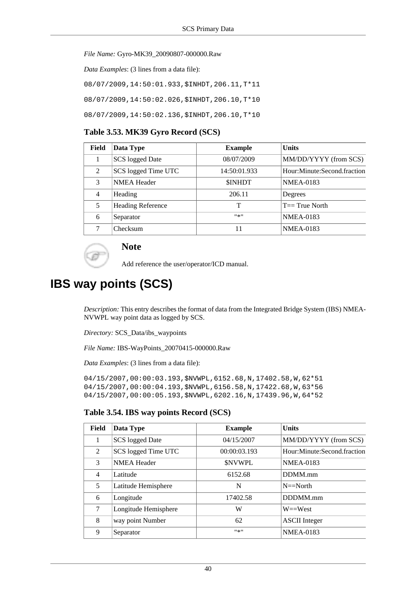#### *File Name:* Gyro-MK39\_20090807-000000.Raw

*Data Examples*: (3 lines from a data file):

08/07/2009,14:50:01.933,\$INHDT,206.11,T\*11

08/07/2009,14:50:02.026,\$INHDT,206.10,T\*10

08/07/2009,14:50:02.136,\$INHDT,206.10,T\*10

#### **Table 3.53. MK39 Gyro Record (SCS)**

| Field          | Data Type                | <b>Example</b> | <b>Units</b>                |
|----------------|--------------------------|----------------|-----------------------------|
|                | SCS logged Date          | 08/07/2009     | MM/DD/YYYY (from SCS)       |
| 2              | SCS logged Time UTC      | 14:50:01.933   | Hour:Minute:Second.fraction |
| 3              | <b>NMEA</b> Header       | <b>SINHDT</b>  | <b>NMEA-0183</b>            |
| $\overline{4}$ | Heading                  | 206.11         | Degrees                     |
| 5              | <b>Heading Reference</b> | т              | $T == True$ North           |
| 6              | Separator                | #来#            | <b>NMEA-0183</b>            |
|                | Checksum                 |                | <b>NMEA-0183</b>            |

### **Note**

Add reference the user/operator/ICD manual.

# **IBS way points (SCS)**

*Description:* This entry describes the format of data from the Integrated Bridge System (IBS) NMEA-NVWPL way point data as logged by SCS.

*Directory:* SCS\_Data/ibs\_waypoints

*File Name:* IBS-WayPoints\_20070415-000000.Raw

*Data Examples*: (3 lines from a data file):

04/15/2007,00:00:03.193,\$NVWPL,6152.68,N,17402.58,W,62\*51 04/15/2007,00:00:04.193,\$NVWPL,6156.58,N,17422.68,W,63\*56 04/15/2007,00:00:05.193,\$NVWPL,6202.16,N,17439.96,W,64\*52

#### **Table 3.54. IBS way points Record (SCS)**

| Field | Data Type            | <b>Example</b> | <b>Units</b>                |
|-------|----------------------|----------------|-----------------------------|
| 1     | SCS logged Date      | 04/15/2007     | MM/DD/YYYY (from SCS)       |
| 2     | SCS logged Time UTC  | 00:00:03.193   | Hour:Minute:Second.fraction |
| 3     | <b>NMEA Header</b>   | <b>SNVWPL</b>  | <b>NMEA-0183</b>            |
| 4     | Latitude             | 6152.68        | DDMM.mm                     |
| 5     | Latitude Hemisphere  | N              | $N = N$ orth                |
| 6     | Longitude            | 17402.58       | DDDMM.mm                    |
| 7     | Longitude Hemisphere | W              | $W = West$                  |
| 8     | way point Number     | 62             | <b>ASCII</b> Integer        |
| 9     | Separator            | #来#            | <b>NMEA-0183</b>            |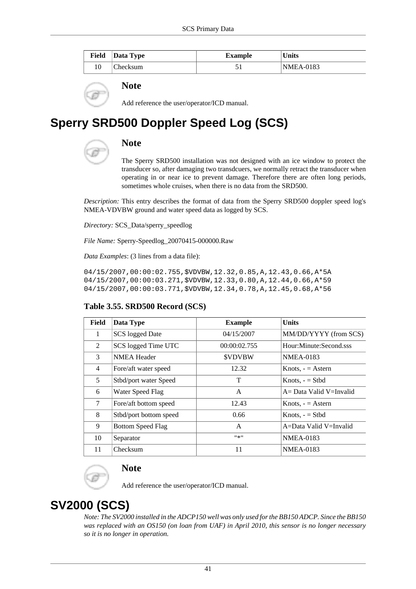| Field Data Type | Example | <b>Units</b>     |
|-----------------|---------|------------------|
| Checksum        |         | <b>NMEA-0183</b> |

Add reference the user/operator/ICD manual.

# **Sperry SRD500 Doppler Speed Log (SCS)**



### **Note**

The Sperry SRD500 installation was not designed with an ice window to protect the transducer so, after damaging two transdcuers, we normally retract the transducer when operating in or near ice to prevent damage. Therefore there are often long periods, sometimes whole cruises, when there is no data from the SRD500.

*Description:* This entry describes the format of data from the Sperry SRD500 doppler speed log's NMEA-VDVBW ground and water speed data as logged by SCS.

*Directory:* SCS\_Data/sperry\_speedlog

*File Name:* Sperry-Speedlog\_20070415-000000.Raw

*Data Examples*: (3 lines from a data file):

04/15/2007,00:00:02.755,\$VDVBW,12.32,0.85,A,12.43,0.66,A\*5A 04/15/2007,00:00:03.271,\$VDVBW,12.33,0.80,A,12.44,0.66,A\*59 04/15/2007,00:00:03.771,\$VDVBW,12.34,0.78,A,12.45,0.68,A\*56

### **Table 3.55. SRD500 Record (SCS)**

| Field          | Data Type                | <b>Example</b> | <b>Units</b>               |
|----------------|--------------------------|----------------|----------------------------|
| 1              | <b>SCS</b> logged Date   | 04/15/2007     | MM/DD/YYYY (from SCS)      |
| 2              | SCS logged Time UTC      | 00:00:02.755   | Hour:Minute:Second.sss     |
| 3              | <b>NMEA Header</b>       | <b>SVDVBW</b>  | <b>NMEA-0183</b>           |
| $\overline{4}$ | Fore/aft water speed     | 12.32          | Knots, $ =$ Astern         |
| 5              | Stbd/port water Speed    | T              | Knots, $-$ = Stbd          |
| 6              | Water Speed Flag         | A              | $A = Data$ Valid V=Invalid |
| 7              | Fore/aft bottom speed    | 12.43          | Knots, $ =$ Astern         |
| 8              | Stbd/port bottom speed   | 0.66           | Knots, $-$ = Stbd          |
| 9              | <b>Bottom Speed Flag</b> | A              | A=Data Valid V=Invalid     |
| 10             | Separator                | #来#            | <b>NMEA-0183</b>           |
| 11             | Checksum                 | 11             | <b>NMEA-0183</b>           |



### **Note**

Add reference the user/operator/ICD manual.

# **SV2000 (SCS)**

*Note: The SV2000 installed in the ADCP150 well was only used for the BB150 ADCP. Since the BB150 was replaced with an OS150 (on loan from UAF) in April 2010, this sensor is no longer necessary so it is no longer in operation.*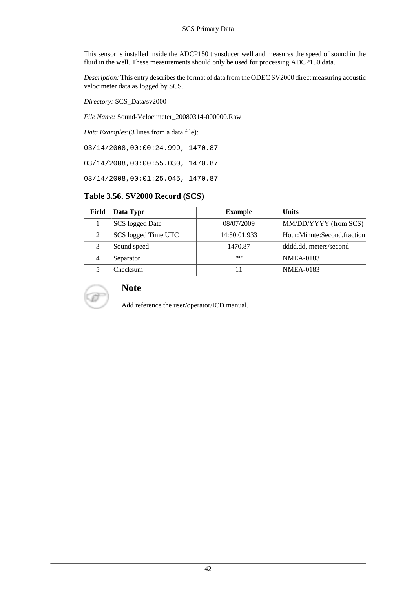This sensor is installed inside the ADCP150 transducer well and measures the speed of sound in the fluid in the well. These measurements should only be used for processing ADCP150 data.

*Description:* This entry describes the format of data from the ODEC SV2000 direct measuring acoustic velocimeter data as logged by SCS.

*Directory:* SCS\_Data/sv2000

*File Name:* Sound-Velocimeter\_20080314-000000.Raw

*Data Examples*:(3 lines from a data file):

03/14/2008,00:00:24.999, 1470.87

03/14/2008,00:00:55.030, 1470.87

03/14/2008,00:01:25.045, 1470.87

### **Table 3.56. SV2000 Record (SCS)**

| Field | Data Type           | <b>Example</b> | <b>Units</b>                |
|-------|---------------------|----------------|-----------------------------|
|       | SCS logged Date     | 08/07/2009     | MM/DD/YYYY (from SCS)       |
| 2     | SCS logged Time UTC | 14:50:01.933   | Hour:Minute:Second.fraction |
|       | Sound speed         | 1470.87        | dddd.dd, meters/second      |
| 4     | Separator           | $11 \times 11$ | <b>NMEA-0183</b>            |
|       | Checksum            |                | <b>NMEA-0183</b>            |



### **Note**

Add reference the user/operator/ICD manual.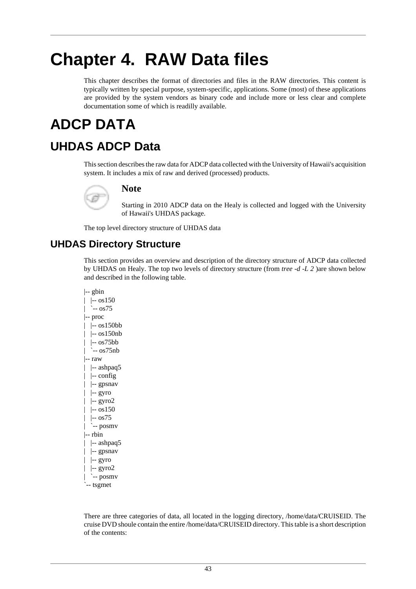# **Chapter 4. RAW Data files**

This chapter describes the format of directories and files in the RAW directories. This content is typically written by special purpose, system-specific, applications. Some (most) of these applications are provided by the system vendors as binary code and include more or less clear and complete documentation some of which is readilly available.

# **ADCP DATA**

# **UHDAS ADCP Data**

This section describes the raw data for ADCP data collected with the University of Hawaii's acquisition system. It includes a mix of raw and derived (processed) products.



### **Note**

Starting in 2010 ADCP data on the Healy is collected and logged with the University of Hawaii's UHDAS package.

The top level directory structure of UHDAS data

### **UHDAS Directory Structure**

This section provides an overview and description of the directory structure of ADCP data collected by UHDAS on Healy. The top two levels of directory structure (from *tree -d -L 2* )are shown below and described in the following table.

|-- gbin  $|$  -- os150 | `-- os75 |-- proc | |-- os150bb | |-- os150nb | |-- os75bb | `-- os75nb |-- raw | |-- ashpaq5 | |-- config | |-- gpsnav | |-- gyro | |-- gyro2  $|$  -- os150 | |-- os75 | `-- posmv |-- rbin | |-- ashpaq5 | |-- gpsnav | |-- gyro | |-- gyro2 | `--  $\text{posmv}$ `-- tsgmet

There are three categories of data, all located in the logging directory, /home/data/CRUISEID. The cruise DVD shoule contain the entire /home/data/CRUISEID directory. This table is a short description of the contents: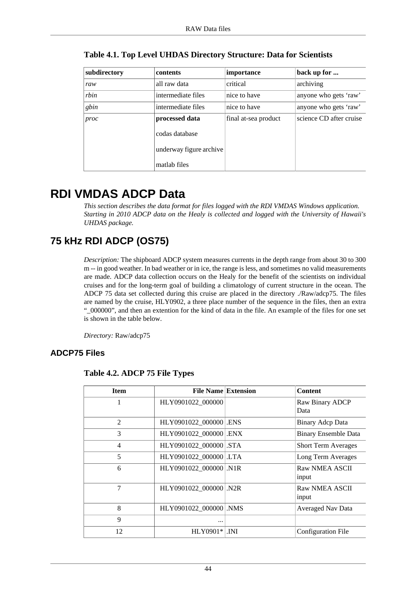| subdirectory | contents                | importance           | back up for             |
|--------------|-------------------------|----------------------|-------------------------|
| raw          | all raw data            | critical             | archiving               |
| rbin         | intermediate files      | nice to have         | anyone who gets 'raw'   |
| gbin         | intermediate files      | nice to have         | anyone who gets 'raw'   |
| proc         | processed data          | final at-sea product | science CD after cruise |
|              | codas database          |                      |                         |
|              | underway figure archive |                      |                         |
|              | matlab files            |                      |                         |

**Table 4.1. Top Level UHDAS Directory Structure: Data for Scientists**

# **RDI VMDAS ADCP Data**

*This section describes the data format for files logged with the RDI VMDAS Windows application. Starting in 2010 ADCP data on the Healy is collected and logged with the University of Hawaii's UHDAS package.*

# **75 kHz RDI ADCP (OS75)**

*Description:* The shipboard ADCP system measures currents in the depth range from about 30 to 300 m -- in good weather. In bad weather or in ice, the range is less, and sometimes no valid measurements are made. ADCP data collection occurs on the Healy for the benefit of the scientists on individual cruises and for the long-term goal of building a climatology of current structure in the ocean. The ADCP 75 data set collected during this cruise are placed in the directory ./Raw/adcp75. The files are named by the cruise, HLY0902, a three place number of the sequence in the files, then an extra "\_000000", and then an extention for the kind of data in the file. An example of the files for one set is shown in the table below.

*Directory:* Raw/adcp75

### **ADCP75 Files**

| <b>Item</b>    | <b>File Name Extension</b> | <b>Content</b>              |
|----------------|----------------------------|-----------------------------|
| 1              | HLY0901022_000000          | Raw Binary ADCP<br>Data     |
| $\overline{2}$ | HLY0901022 000000 ENS      | Binary Adep Data            |
| 3              | HLY0901022_000000 ENX      | <b>Binary Ensemble Data</b> |
| $\overline{4}$ | HLY0901022_000000 STA      | <b>Short Term Averages</b>  |
| 5              | HLY0901022_000000 LTA      | Long Term Averages          |
| 6              | HLY0901022_000000  .N1R    | Raw NMEA ASCII<br>input     |
| 7              | HLY0901022 000000 N2R      | Raw NMEA ASCII<br>input     |
| 8              | HLY0901022 000000 NMS      | <b>Averaged Nav Data</b>    |
| 9              |                            |                             |
| 12             | $HLY0901*$ . INI           | Configuration File          |

**Table 4.2. ADCP 75 File Types**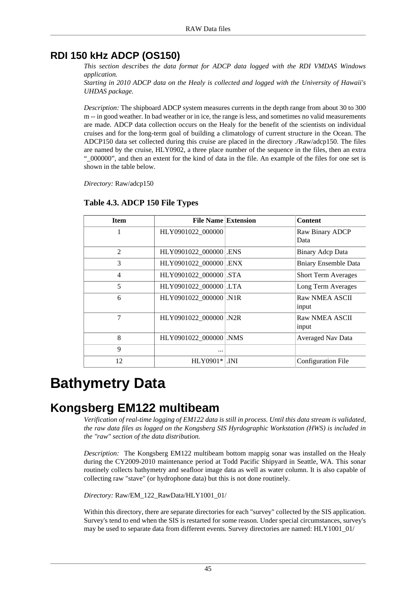### **RDI 150 kHz ADCP (OS150)**

*This section describes the data format for ADCP data logged with the RDI VMDAS Windows application.*

*Starting in 2010 ADCP data on the Healy is collected and logged with the University of Hawaii's UHDAS package.*

*Description:* The shipboard ADCP system measures currents in the depth range from about 30 to 300 m -- in good weather. In bad weather or in ice, the range is less, and sometimes no valid measurements are made. ADCP data collection occurs on the Healy for the benefit of the scientists on individual cruises and for the long-term goal of building a climatology of current structure in the Ocean. The ADCP150 data set collected during this cruise are placed in the directory ./Raw/adcp150. The files are named by the cruise, HLY0902, a three place number of the sequence in the files, then an extra "\_000000", and then an extent for the kind of data in the file. An example of the files for one set is shown in the table below.

*Directory:* Raw/adcp150

| <b>Item</b>    | <b>File Name Extension</b> | <b>Content</b>                 |
|----------------|----------------------------|--------------------------------|
| 1              | HLY0901022_000000          | Raw Binary ADCP<br>Data        |
| $\mathfrak{D}$ | HLY0901022_000000 ENS      | Binary Adep Data               |
| 3              | HLY0901022_000000 ENX      | <b>Bniary Ensemble Data</b>    |
| 4              | HLY0901022_000000 STA      | <b>Short Term Averages</b>     |
| 5              | HLY0901022_000000 LTA      | Long Term Averages             |
| 6              | HLY0901022 000000 N1R      | Raw NMEA ASCII<br>input        |
| $\overline{7}$ | HLY0901022_000000 N2R      | <b>Raw NMEA ASCII</b><br>input |
| 8              | HLY0901022 000000 NMS      | <b>Averaged Nav Data</b>       |
| 9              |                            |                                |
| 12             | $HLY0901*$ . INI           | Configuration File             |

### **Table 4.3. ADCP 150 File Types**

# **Bathymetry Data**

# **Kongsberg EM122 multibeam**

*Verification of real-time logging of EM122 data is still in process. Until this data stream is validated, the raw data files as logged on the Kongsberg SIS Hyrdographic Workstation (HWS) is included in the "raw" section of the data distribution.*

*Description:* The Kongsberg EM122 multibeam bottom mappig sonar was installed on the Healy during the CY2009-2010 maintenance period at Todd Pacific Shipyard in Seattle, WA. This sonar routinely collects bathymetry and seafloor image data as well as water column. It is also capable of collecting raw "stave" (or hydrophone data) but this is not done routinely.

*Directory:* Raw/EM\_122\_RawData/HLY1001\_01/

Within this directory, there are separate directories for each "survey" collected by the SIS application. Survey's tend to end when the SIS is restarted for some reason. Under special circumstances, survey's may be used to separate data from different events. Survey directories are named: HLY1001\_01/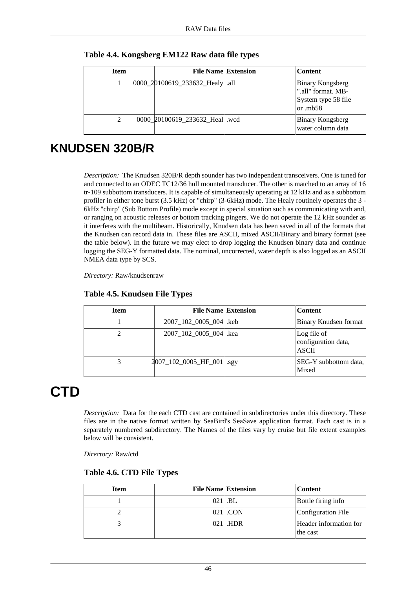| <b>Item</b> | <b>File Name Extension</b>        | <b>Content</b>                                                                    |
|-------------|-----------------------------------|-----------------------------------------------------------------------------------|
|             | 0000_20100619_233632_Healy   .all | <b>Binary Kongsberg</b><br>".all" format. MB-<br>System type 58 file<br>or $mb58$ |
|             | 0000_20100619_233632_Heal .wcd    | <b>Binary Kongsberg</b><br>water column data                                      |

**Table 4.4. Kongsberg EM122 Raw data file types**

# **KNUDSEN 320B/R**

*Description:* The Knudsen 320B/R depth sounder has two independent transceivers. One is tuned for and connected to an ODEC TC12/36 hull mounted transducer. The other is matched to an array of 16 tr-109 subbottom transducers. It is capable of simultaneously operating at 12 kHz and as a subbottom profiler in either tone burst (3.5 kHz) or "chirp" (3-6kHz) mode. The Healy routinely operates the 3 - 6kHz "chirp" (Sub Bottom Profile) mode except in special situation such as communicating with and, or ranging on acoustic releases or bottom tracking pingers. We do not operate the 12 kHz sounder as it interferes with the multibeam. Historically, Knudsen data has been saved in all of the formats that the Knudsen can record data in. These files are ASCII, mixed ASCII/Binary and binary format (see the table below). In the future we may elect to drop logging the Knudsen binary data and continue logging the SEG-Y formatted data. The nominal, uncorrected, water depth is also logged as an ASCII NMEA data type by SCS.

*Directory:* Raw/knudsenraw

| <b>Item</b> | <b>File Name Extension</b> | <b>Content</b>                                     |
|-------------|----------------------------|----------------------------------------------------|
|             | 2007_102_0005_004   .keb   | Binary Knudsen format                              |
|             | 2007_102_0005_004   .kea   | Log file of<br>configuration data,<br><b>ASCII</b> |
|             | 2007_102_0005_HF_001 .sgy  | SEG-Y subbottom data,<br>Mixed                     |

### **Table 4.5. Knudsen File Types**

# **CTD**

*Description:* Data for the each CTD cast are contained in subdirectories under this directory. These files are in the native format written by SeaBird's SeaSave application format. Each cast is in a separately numbered subdirectory. The Names of the files vary by cruise but file extent examples below will be consistent.

*Directory:* Raw/ctd

| Table 4.6. CTD File Types |  |  |  |
|---------------------------|--|--|--|
|---------------------------|--|--|--|

| <b>Item</b> | <b>File Name Extension</b> | <b>Content</b>                     |
|-------------|----------------------------|------------------------------------|
|             | $021$ .BL                  | Bottle firing info                 |
|             | $021$ .CON                 | Configuration File                 |
|             | $021$ .HDR                 | Header information for<br>the cast |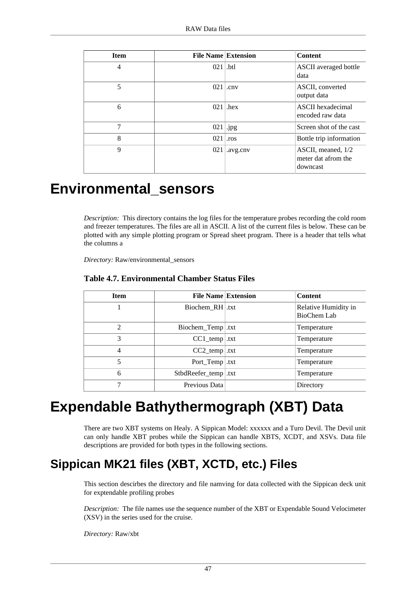| <b>Item</b> | <b>File Name Extension</b> |              | <b>Content</b>                                        |
|-------------|----------------------------|--------------|-------------------------------------------------------|
| 4           | 021                        | .btl         | <b>ASCII</b> averaged bottle<br>data                  |
| 5           | 021                        | cnv          | ASCII, converted<br>output data                       |
| 6           | 021                        | hex          | ASCII hexadecimal<br>encoded raw data                 |
| 7           | 021                        | $\vert$ .jpg | Screen shot of the cast                               |
| 8           | 021                        | .ros         | Bottle trip information                               |
| 9           | 021                        | .avg.cnv     | ASCII, meaned, 1/2<br>meter dat afrom the<br>downcast |

# **Environmental\_sensors**

*Description:* This directory contains the log files for the temperature probes recording the cold room and freezer temperatures. The files are all in ASCII. A list of the current files is below. These can be plotted with any simple plotting program or Spread sheet program. There is a header that tells what the columns a

*Directory:* Raw/environmental\_sensors

| <b>Item</b>   | <b>File Name Extension</b> | <b>Content</b>                      |
|---------------|----------------------------|-------------------------------------|
|               | Biochem_RH   .txt          | Relative Humidity in<br>BioChem Lab |
| $\mathcal{L}$ | Biochem_Temp .txt          | Temperature                         |
| 3             | $CC1$ _temp .txt           | Temperature                         |
| 4             | $CC2$ _temp   .txt         | Temperature                         |
| 5             | Port Temp.txt              | Temperature                         |
| 6             | StbdReefer_temp .txt       | Temperature                         |
|               | Previous Data              | Directory                           |

### **Table 4.7. Environmental Chamber Status Files**

# **Expendable Bathythermograph (XBT) Data**

There are two XBT systems on Healy. A Sippican Model: xxxxxx and a Turo Devil. The Devil unit can only handle XBT probes while the Sippican can handle XBTS, XCDT, and XSVs. Data file descriptions are provided for both types in the following sections.

# **Sippican MK21 files (XBT, XCTD, etc.) Files**

This section descirbes the directory and file namving for data collected with the Sippican deck unit for exptendable profiling probes

*Description:* The file names use the sequence number of the XBT or Expendable Sound Velocimeter (XSV) in the series used for the cruise.

*Directory:* Raw/xbt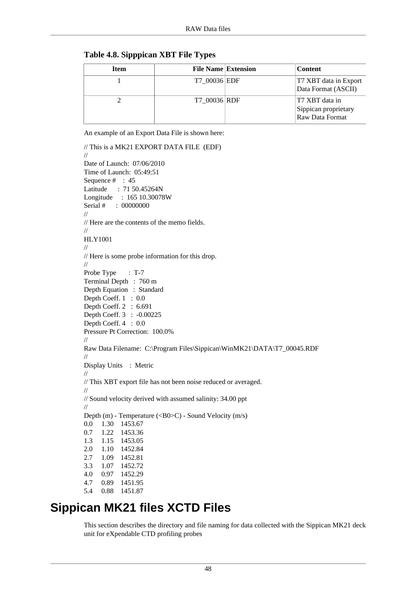#### **Table 4.8. Sipppican XBT File Types**

| <b>Item</b> | <b>File Name Extension</b> | <b>Content</b>                                            |
|-------------|----------------------------|-----------------------------------------------------------|
|             | T7 00036 EDF               | T7 XBT data in Export<br>Data Format (ASCII)              |
|             | T7 00036 RDF               | T7 XBT data in<br>Sippican proprietary<br>Raw Data Format |

An example of an Export Data File is shown here:

```
// This is a MK21 EXPORT DATA FILE (EDF)
//
Date of Launch: 07/06/2010
Time of Launch: 05:49:51
Sequence # : 45
Latitude : 71 50.45264N
Longitude : 165 10.30078W
Serial # : 00000000
//
// Here are the contents of the memo fields.
//
HLY1001
//
// Here is some probe information for this drop.
//
Probe Type : T-7
Terminal Depth : 760 m
Depth Equation : Standard
Depth Coeff. 1 : 0.0
Depth Coeff. 2 : 6.691
Depth Coeff. 3 : -0.00225
Depth Coeff. 4 : 0.0
Pressure Pt Correction: 100.0%
//
Raw Data Filename: C:\Program Files\Sippican\WinMK21\DATA\T7_00045.RDF
//
Display Units : Metric
//
// This XBT export file has not been noise reduced or averaged.
//
// Sound velocity derived with assumed salinity: 34.00 ppt
//
Depth (m) - Temperature (<B0>C) - Sound Velocity (m/s)
0.0 1.30 1453.67
0.7 1.22 1453.36
1.3 1.15 1453.05
2.0 1.10 1452.84
2.7 1.09 1452.81
3.3 1.07 1452.72
4.0 0.97 1452.29
4.7 0.89 1451.95
5.4 0.88 1451.87
```
# **Sippican MK21 files XCTD Files**

This section describes the directory and file naming for data collected with the Sippican MK21 deck unit for eXpendable CTD profiling probes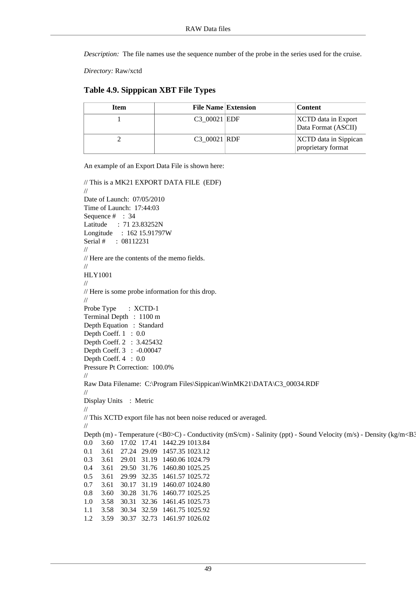*Description:* The file names use the sequence number of the probe in the series used for the cruise.

*Directory:* Raw/xctd

#### **Table 4.9. Sipppican XBT File Types**

| Item | <b>File Name Extension</b> | <b>Content</b>                              |
|------|----------------------------|---------------------------------------------|
|      | C3 00021 EDF               | XCTD data in Export<br>Data Format (ASCII)  |
|      | C3 00021 RDF               | XCTD data in Sippican<br>proprietary format |

An example of an Export Data File is shown here:

```
// This is a MK21 EXPORT DATA FILE (EDF)
//
Date of Launch: 07/05/2010
Time of Launch: 17:44:03
Sequence # : 34
Latitude : 71 23.83252N
Longitude : 162 15.91797W
Serial # : 08112231
//
// Here are the contents of the memo fields.
//
HLY1001
//
// Here is some probe information for this drop.
//
Probe Type : XCTD-1
Terminal Depth : 1100 m
Depth Equation : Standard
Depth Coeff. 1: 0.0
Depth Coeff. 2 : 3.425432
Depth Coeff. 3 : -0.00047
Depth Coeff. 4 : 0.0
Pressure Pt Correction: 100.0%
//
Raw Data Filename: C:\Program Files\Sippican\WinMK21\DATA\C3_00034.RDF
//
Display Units : Metric
//
// This XCTD export file has not been noise reduced or averaged.
//
Depth (m) - Temperature (<B0>C) - Conductivity (mS/cm) - Salinity (ppt) - Sound Velocity (m/s) - Density (kg/m<B3
0.0 3.60 17.02 17.41 1442.29 1013.84
0.1 3.61 27.24 29.09 1457.35 1023.12
0.3 3.61 29.01 31.19 1460.06 1024.79
0.4 3.61 29.50 31.76 1460.80 1025.25
0.5 3.61 29.99 32.35 1461.57 1025.72
0.7 3.61 30.17 31.19 1460.07 1024.80
0.8 3.60 30.28 31.76 1460.77 1025.25
1.0 3.58 30.31 32.36 1461.45 1025.73
1.1 3.58 30.34 32.59 1461.75 1025.92
1.2 3.59 30.37 32.73 1461.97 1026.02
```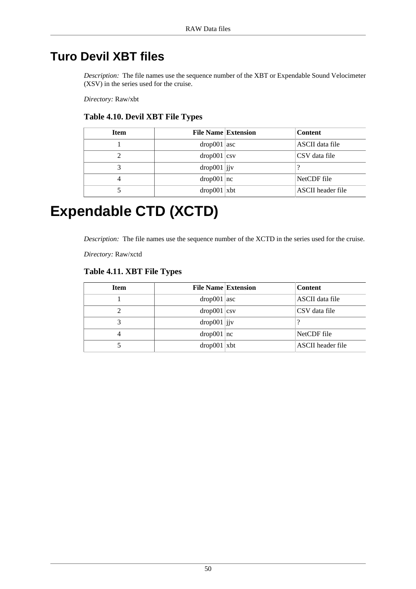# **Turo Devil XBT files**

*Description:* The file names use the sequence number of the XBT or Expendable Sound Velocimeter (XSV) in the series used for the cruise.

*Directory:* Raw/xbt

### **Table 4.10. Devil XBT File Types**

| <b>Item</b> | <b>File Name Extension</b>          | <b>Content</b>    |
|-------------|-------------------------------------|-------------------|
|             | $drop001$ asc                       | ASCII data file   |
|             | $drop001$ $\vert$ csv               | CSV data file     |
|             | $drop001$  jv                       |                   |
|             | drop001 nc                          | NetCDF file       |
|             | $\frac{\text{drop001}}{\text{xbt}}$ | ASCII header file |

# **Expendable CTD (XCTD)**

*Description:* The file names use the sequence number of the XCTD in the series used for the cruise.

*Directory:* Raw/xctd

### **Table 4.11. XBT File Types**

| <b>Item</b> | <b>File Name Extension</b>          | <b>Content</b>    |
|-------------|-------------------------------------|-------------------|
|             | $\frac{\text{drop001}}{\text{asc}}$ | ASCII data file   |
|             | $drop001$ $\vert$ csv               | CSV data file     |
|             | $\frac{d}{d}$ rop $\frac{1}{d}$ ijv |                   |
|             | drop001 nc                          | NetCDF file       |
|             | $drop001  $ xbt                     | ASCII header file |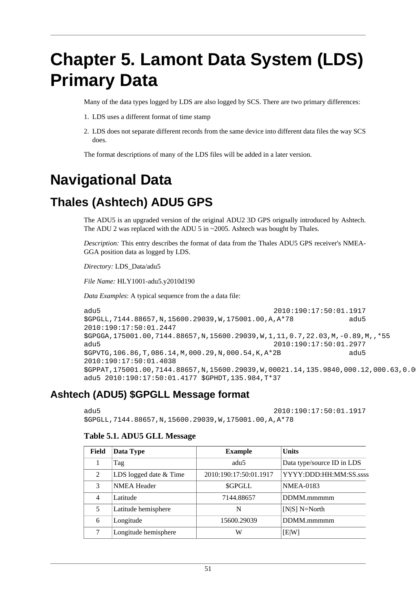# **Chapter 5. Lamont Data System (LDS) Primary Data**

Many of the data types logged by LDS are also logged by SCS. There are two primary differences:

- 1. LDS uses a different format of time stamp
- 2. LDS does not separate different records from the same device into different data files the way SCS does.

The format descriptions of many of the LDS files will be added in a later version.

# **Navigational Data**

# **Thales (Ashtech) ADU5 GPS**

The ADU5 is an upgraded version of the original ADU2 3D GPS orignally introduced by Ashtech. The ADU 2 was replaced with the ADU 5 in ~2005. Ashtech was bought by Thales.

*Description:* This entry describes the format of data from the Thales ADU5 GPS receiver's NMEA-GGA position data as logged by LDS.

*Directory:* LDS\_Data/adu5

*File Name:* HLY1001-adu5.y2010d190

*Data Examples*: A typical sequence from the a data file:

```
adu5 2010:190:17:50:01.1917
$GPGLL,7144.88657,N,15600.29039,W,175001.00,A,A*78 adu5
2010:190:17:50:01.2447
$GPGGA,175001.00,7144.88657,N,15600.29039,W,1,11,0.7,22.03,M,-0.89,M,,*55
adu5 2010:190:17:50:01.2977
$GPVTG,106.86,T,086.14,M,000.29,N,000.54,K,A*2B adu5
2010:190:17:50:01.4038
$GPPAT,175001.00,7144.88657,N,15600.29039,W,00021.14,135.9840,000.12,000.63,0.0
adu5 2010:190:17:50:01.4177 $GPHDT,135.984,T*37
```
### **Ashtech (ADU5) \$GPGLL Message format**

adu5 2010:190:17:50:01.1917 \$GPGLL,7144.88657,N,15600.29039,W,175001.00,A,A\*78

#### **Table 5.1. ADU5 GLL Message**

| Field          | Data Type              | <b>Example</b>         | <b>Units</b>               |
|----------------|------------------------|------------------------|----------------------------|
|                | Tag                    | adu <sub>5</sub>       | Data type/source ID in LDS |
| $\mathfrak{D}$ | LDS logged date & Time | 2010:190:17:50:01.1917 | YYYY:DDD:HH:MM:SS.ssss     |
| 3              | <b>NMEA</b> Header     | <b>SGPGLL</b>          | <b>NMEA-0183</b>           |
| 4              | Latitude               | 7144.88657             | DDMM.mmmmm                 |
| 5              | Latitude hemisphere    | N                      | $[N S]$ N=North            |
| 6              | Longitude              | 15600.29039            | DDMM.mmmmm                 |
|                | Longitude hemisphere   | W                      | [E W]                      |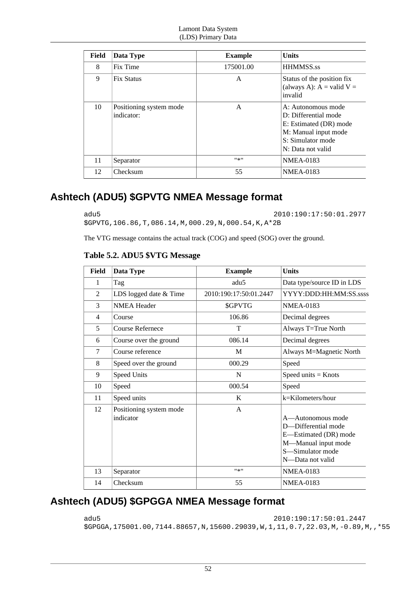| Field | Data Type                             | <b>Example</b> | <b>Units</b>                                                                                                                           |
|-------|---------------------------------------|----------------|----------------------------------------------------------------------------------------------------------------------------------------|
| 8     | Fix Time                              | 175001.00      | <b>HHMMSS.ss</b>                                                                                                                       |
| 9     | Fix Status                            | A              | Status of the position fix<br>(always A): $A =$ valid $V =$<br>invalid                                                                 |
| 10    | Positioning system mode<br>indicator: | A              | A: Autonomous mode<br>D: Differential mode<br>E: Estimated (DR) mode<br>M: Manual input mode<br>S: Simulator mode<br>N: Data not valid |
| 11    | Separator                             | #来#            | <b>NMEA-0183</b>                                                                                                                       |
| 12    | Checksum                              | 55             | <b>NMEA-0183</b>                                                                                                                       |

## **Ashtech (ADU5) \$GPVTG NMEA Message format**

adu5 2010:190:17:50:01.2977 \$GPVTG,106.86,T,086.14,M,000.29,N,000.54,K,A\*2B

The VTG message contains the actual track (COG) and speed (SOG) over the ground.

| Table 5.2. ADU5 \$VTG Message |
|-------------------------------|
|-------------------------------|

| <b>Field</b>   | Data Type                            | <b>Example</b>         | <b>Units</b>                                                                                                                     |
|----------------|--------------------------------------|------------------------|----------------------------------------------------------------------------------------------------------------------------------|
| 1              | Tag                                  | adu5                   | Data type/source ID in LDS                                                                                                       |
| 2              | LDS logged date & Time               | 2010:190:17:50:01.2447 | YYYY:DDD:HH:MM:SS.sssss                                                                                                          |
| 3              | <b>NMEA Header</b>                   | \$GPVTG                | <b>NMEA-0183</b>                                                                                                                 |
| $\overline{4}$ | Course                               | 106.86                 | Decimal degrees                                                                                                                  |
| 5              | <b>Course Refernece</b>              | T                      | Always T=True North                                                                                                              |
| 6              | Course over the ground               | 086.14                 | Decimal degrees                                                                                                                  |
| $\overline{7}$ | Course reference                     | M                      | Always M=Magnetic North                                                                                                          |
| 8              | Speed over the ground                | 000.29                 | Speed                                                                                                                            |
| 9              | Speed Units                          | N                      | Speed units $=$ Knots                                                                                                            |
| 10             | Speed                                | 000.54                 | Speed                                                                                                                            |
| 11             | Speed units                          | K                      | k=Kilometers/hour                                                                                                                |
| 12             | Positioning system mode<br>indicator | $\mathsf{A}$           | A—Autonomous mode<br>D-Differential mode<br>E-Estimated (DR) mode<br>M-Manual input mode<br>S-Simulator mode<br>N—Data not valid |
| 13             | Separator                            | 11米11                  | <b>NMEA-0183</b>                                                                                                                 |
| 14             | Checksum                             | 55                     | <b>NMEA-0183</b>                                                                                                                 |

# **Ashtech (ADU5) \$GPGGA NMEA Message format**

adu5 2010:190:17:50:01.2447 \$GPGGA,175001.00,7144.88657,N,15600.29039,W,1,11,0.7,22.03,M,-0.89,M,,\*55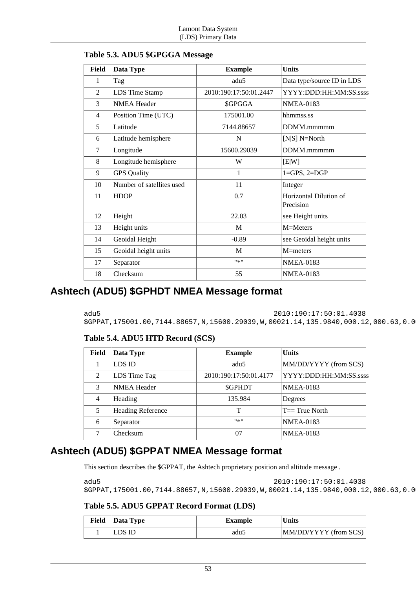| <b>Field</b> | Data Type                 | <b>Example</b>         | <b>Units</b>                        |
|--------------|---------------------------|------------------------|-------------------------------------|
| 1            | Tag                       | adu5                   | Data type/source ID in LDS          |
| 2            | LDS Time Stamp            | 2010:190:17:50:01.2447 | YYYY:DDD:HH:MM:SS.ssss              |
| 3            | <b>NMEA</b> Header        | \$GPGGA                | <b>NMEA-0183</b>                    |
| 4            | Position Time (UTC)       | 175001.00              | hhmmss.ss                           |
| 5            | Latitude                  | 7144.88657             | DDMM.mmmmm                          |
| 6            | Latitude hemisphere       | N                      | [ $N S]$ $N=North$                  |
| 7            | Longitude                 | 15600.29039            | DDMM.mmmmm                          |
| 8            | Longitude hemisphere      | W                      | [E W]                               |
| 9            | <b>GPS</b> Quality        | 1                      | $1 = GPS, 2 = DGP$                  |
| 10           | Number of satellites used | 11                     | Integer                             |
| 11           | <b>HDOP</b>               | 0.7                    | Horizontal Dilution of<br>Precision |
| 12           | Height                    | 22.03                  | see Height units                    |
| 13           | Height units              | M                      | M=Meters                            |
| 14           | Geoidal Height            | $-0.89$                | see Geoidal height units            |
| 15           | Geoidal height units      | M                      | $M=$ meters                         |
| 17           | Separator                 | $9*9$                  | <b>NMEA-0183</b>                    |
| 18           | Checksum                  | 55                     | <b>NMEA-0183</b>                    |

### **Table 5.3. ADU5 \$GPGGA Message**

### **Ashtech (ADU5) \$GPHDT NMEA Message format**

adu5 2010:190:17:50:01.4038

\$GPPAT,175001.00,7144.88657,N,15600.29039,W,00021.14,135.9840,000.12,000.63,0.0

### **Table 5.4. ADU5 HTD Record (SCS)**

| Field         | Data Type                | <b>Example</b>         | <b>Units</b>           |
|---------------|--------------------------|------------------------|------------------------|
|               | LDS ID                   | adu <sub>5</sub>       | MM/DD/YYYY (from SCS)  |
| $\mathcal{L}$ | LDS Time Tag             | 2010:190:17:50:01.4177 | YYYY:DDD:HH:MM:SS.ssss |
| 3             | <b>NMEA Header</b>       | <b>SGPHDT</b>          | <b>NMEA-0183</b>       |
| 4             | Heading                  | 135.984                | Degrees                |
| 5             | <b>Heading Reference</b> |                        | $T == True$ North      |
| 6             | Separator                | #종!!                   | <b>NMEA-0183</b>       |
| ℸ             | Checksum                 | 07                     | <b>NMEA-0183</b>       |

### **Ashtech (ADU5) \$GPPAT NMEA Message format**

This section describes the \$GPPAT, the Ashtech proprietary position and altitude message .

```
adu5 2010:190:17:50:01.4038
$GPPAT,175001.00,7144.88657,N,15600.29039,W,00021.14,135.9840,000.12,000.63,0.0
```
### **Table 5.5. ADU5 GPPAT Record Format (LDS)**

| Field | Data Type | <b>Example</b> | <b>Units</b>          |
|-------|-----------|----------------|-----------------------|
|       | LDS ID    | adu5           | MM/DD/YYYY (from SCS) |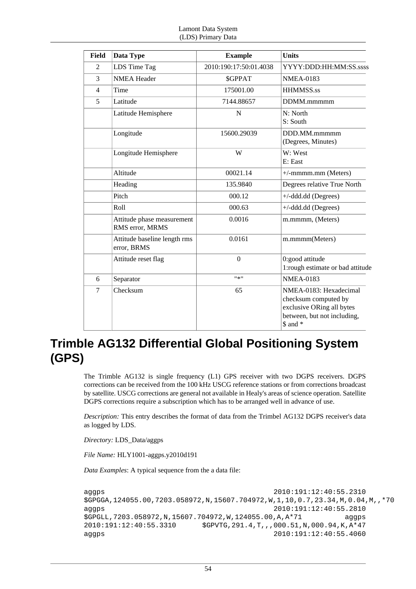| <b>Field</b>   | Data Type                                     | <b>Example</b>         | <b>Units</b>                                                                                                           |
|----------------|-----------------------------------------------|------------------------|------------------------------------------------------------------------------------------------------------------------|
| 2              | LDS Time Tag                                  | 2010:190:17:50:01.4038 | YYYY:DDD:HH:MM:SS.ssss                                                                                                 |
| 3              | <b>NMEA Header</b>                            | \$GPPAT                | <b>NMEA-0183</b>                                                                                                       |
| $\overline{4}$ | Time                                          | 175001.00              | HHMMSS.ss                                                                                                              |
| 5              | Latitude                                      | 7144.88657             | DDMM.mmmmm                                                                                                             |
|                | Latitude Hemisphere                           | N                      | N: North<br>S: South                                                                                                   |
|                | Longitude                                     | 15600.29039            | DDD.MM.mmmmm<br>(Degrees, Minutes)                                                                                     |
|                | Longitude Hemisphere                          | W                      | W: West<br>E: East                                                                                                     |
|                | Altitude                                      | 00021.14               | $+/-$ mmm.mm (Meters)                                                                                                  |
|                | Heading                                       | 135.9840               | Degrees relative True North                                                                                            |
|                | Pitch                                         | 000.12                 | $+/-$ ddd.dd (Degrees)                                                                                                 |
|                | Roll                                          | 000.63                 | $+/-$ ddd.dd (Degrees)                                                                                                 |
|                | Attitude phase measurement<br>RMS error, MRMS | 0.0016                 | m.mmmm, (Meters)                                                                                                       |
|                | Attitude baseline length rms<br>error, BRMS   | 0.0161                 | m.mmmm(Meters)                                                                                                         |
|                | Attitude reset flag                           | $\overline{0}$         | 0:good attitude<br>1:rough estimate or bad attitude                                                                    |
| 6              | Separator                                     | ***                    | <b>NMEA-0183</b>                                                                                                       |
| 7              | Checksum                                      | 65                     | NMEA-0183: Hexadecimal<br>checksum computed by<br>exclusive ORing all bytes<br>between, but not including,<br>\$ and * |

# **Trimble AG132 Differential Global Positioning System (GPS)**

The Trimble AG132 is single frequency (L1) GPS receiver with two DGPS receivers. DGPS corrections can be received from the 100 kHz USCG reference stations or from corrections broadcast by satellite. USCG corrections are general not available in Healy's areas of science operation. Satellite DGPS corrections require a subscription which has to be arranged well in advance of use.

*Description:* This entry describes the format of data from the Trimbel AG132 DGPS receiver's data as logged by LDS.

*Directory:* LDS\_Data/aggps

*File Name:* HLY1001-aggps.y2010d191

*Data Examples*: A typical sequence from the a data file:

```
aggps 2010:191:12:40:55.2310
$GPGGA,124055.00,7203.058972,N,15607.704972,W,1,10,0.7,23.34,M,0.04,M,,*70
aggps 2010:191:12:40:55.2810
$GPGLL,7203.058972,N,15607.704972,W,124055.00,A,A*71 aggps
2010:191:12:40:55.3310 $GPVTG,291.4,T,,,000.51,N,000.94,K,A*47
aggps 2010:191:12:40:55.4060
```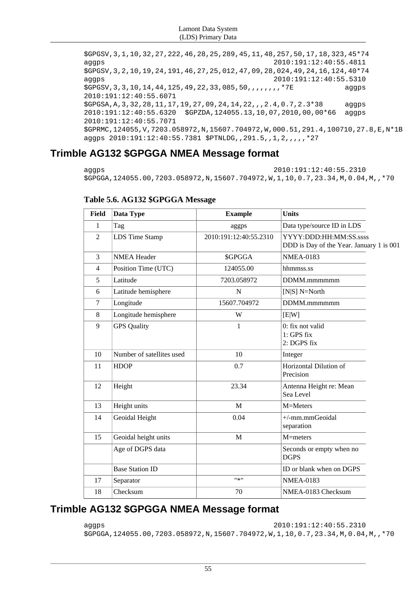\$GPGSV,3,1,10,32,27,222,46,28,25,289,45,11,48,257,50,17,18,323,45\*74 aggps 2010:191:12:40:55.4811 \$GPGSV,3,2,10,19,24,191,46,27,25,012,47,09,28,024,49,24,16,124,40\*74 aggps 2010:191:12:40:55.5310 \$GPGSV,3,3,10,14,44,125,49,22,33,085,50,,,,,,,,\*7E aggps 2010:191:12:40:55.6071  $SGPGSA, A, 3, 32, 28, 11, 17, 19, 27, 09, 24, 14, 22, ..., 2, 4, 0, 7, 2, 3*38$  aggps 2010:191:12:40:55.6320 \$GPZDA,124055.13,10,07,2010,00,00\*66 aggps 2010:191:12:40:55.7071 \$GPRMC,124055,V,7203.058972,N,15607.704972,W,000.51,291.4,100710,27.8,E,N\*1B aggps 2010:191:12:40:55.7381 \$PTNLDG,,291.5,,1,2,,,,,\*27

## **Trimble AG132 \$GPGGA NMEA Message format**

aggps 2010:191:12:40:55.2310 \$GPGGA,124055.00,7203.058972,N,15607.704972,W,1,10,0.7,23.34,M,0.04,M,,\*70

| <b>Field</b>             | Data Type                 | <b>Example</b>         | <b>Units</b>                                                        |  |
|--------------------------|---------------------------|------------------------|---------------------------------------------------------------------|--|
| 1                        | Tag                       | aggps                  | Data type/source ID in LDS                                          |  |
| $\overline{2}$           | <b>LDS</b> Time Stamp     | 2010:191:12:40:55.2310 | YYYY:DDD:HH:MM:SS.sssss<br>DDD is Day of the Year. January 1 is 001 |  |
| 3                        | <b>NMEA Header</b>        | \$GPGGA                | <b>NMEA-0183</b>                                                    |  |
| $\overline{\mathcal{L}}$ | Position Time (UTC)       | 124055.00              | hhmmss.ss                                                           |  |
| 5                        | Latitude                  | 7203.058972            | DDMM.mmmmmm                                                         |  |
| 6                        | Latitude hemisphere       | $\overline{N}$         | $[N S]$ N=North                                                     |  |
| 7                        | Longitude                 | 15607.704972           | DDMM.mmmmmm                                                         |  |
| 8                        | Longitude hemisphere      | W                      | [E W]                                                               |  |
| 9                        | <b>GPS</b> Quality        | 1                      | $0$ : fix not valid<br>1: GPS fix<br>2: DGPS fix                    |  |
| 10                       | Number of satellites used | 10                     | Integer                                                             |  |
| 11                       | <b>HDOP</b>               | 0.7                    | Horizontal Dilution of<br>Precision                                 |  |
| 12                       | Height                    | 23.34                  | Antenna Height re: Mean<br>Sea Level                                |  |
| 13                       | Height units              | M                      | M=Meters                                                            |  |
| 14                       | Geoidal Height            | 0.04                   | +/-mm.mmGeoidal<br>separation                                       |  |
| 15                       | Geoidal height units      | M                      | M=meters                                                            |  |
|                          | Age of DGPS data          |                        | Seconds or empty when no<br><b>DGPS</b>                             |  |
|                          | <b>Base Station ID</b>    |                        | ID or blank when on DGPS                                            |  |
| 17                       | Separator                 | $"$ * $"$              | <b>NMEA-0183</b>                                                    |  |
| 18                       | Checksum                  | 70                     | NMEA-0183 Checksum                                                  |  |

### **Table 5.6. AG132 \$GPGGA Message**

## **Trimble AG132 \$GPGGA NMEA Message format**

aggps 2010:191:12:40:55.2310 \$GPGGA,124055.00,7203.058972,N,15607.704972,W,1,10,0.7,23.34,M,0.04,M,,\*70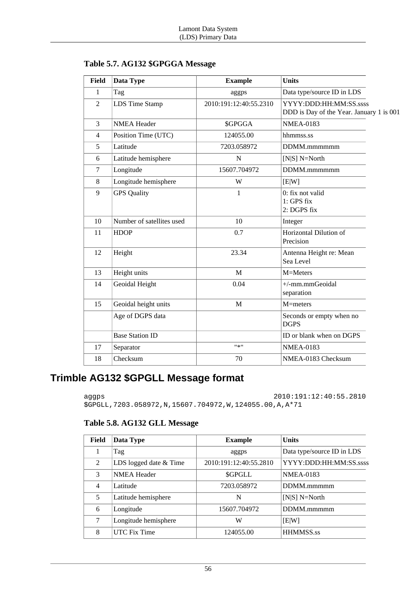| <b>Field</b>   | Data Type                 | <b>Example</b>         | <b>Units</b>                                                        |
|----------------|---------------------------|------------------------|---------------------------------------------------------------------|
| $\mathbf{1}$   | Tag                       | aggps                  | Data type/source ID in LDS                                          |
| 2              | <b>LDS</b> Time Stamp     | 2010:191:12:40:55.2310 | YYYY:DDD:HH:MM:SS.sssss<br>DDD is Day of the Year. January 1 is 001 |
| 3              | <b>NMEA Header</b>        | \$GPGGA                | <b>NMEA-0183</b>                                                    |
| $\overline{4}$ | Position Time (UTC)       | 124055.00              | hhmmss.ss                                                           |
| 5              | Latitude                  | 7203.058972            | DDMM.mmmmmm                                                         |
| 6              | Latitude hemisphere       | $\mathbf N$            | $[N S]$ N=North                                                     |
| $\tau$         | Longitude                 | 15607.704972           | DDMM.mmmmmm                                                         |
| 8              | Longitude hemisphere      | W                      | [E W]                                                               |
| 9              | <b>GPS Quality</b>        | $\mathbf{1}$           | 0: fix not valid<br>$1: GPS$ fix<br>2: DGPS fix                     |
| 10             | Number of satellites used | 10                     | Integer                                                             |
| 11             | <b>HDOP</b>               | 0.7                    | Horizontal Dilution of<br>Precision                                 |
| 12             | Height                    | 23.34                  | Antenna Height re: Mean<br>Sea Level                                |
| 13             | Height units              | M                      | M=Meters                                                            |
| 14             | Geoidal Height            | 0.04                   | +/-mm.mmGeoidal<br>separation                                       |
| 15             | Geoidal height units      | $\mathbf M$            | M=meters                                                            |
|                | Age of DGPS data          |                        | Seconds or empty when no<br><b>DGPS</b>                             |
|                | <b>Base Station ID</b>    |                        | ID or blank when on DGPS                                            |
| 17             | Separator                 | $11*11$                | <b>NMEA-0183</b>                                                    |
| 18             | Checksum                  | 70                     | NMEA-0183 Checksum                                                  |
|                |                           |                        |                                                                     |

**Table 5.7. AG132 \$GPGGA Message**

### **Trimble AG132 \$GPGLL Message format**

aggps 2010:191:12:40:55.2810

\$GPGLL,7203.058972,N,15607.704972,W,124055.00,A,A\*71

### **Table 5.8. AG132 GLL Message**

| Field          | Data Type              | <b>Example</b>         | <b>Units</b>               |
|----------------|------------------------|------------------------|----------------------------|
|                | Tag                    | aggps                  | Data type/source ID in LDS |
| 2              | LDS logged date & Time | 2010:191:12:40:55.2810 | YYYY:DDD:HH:MM:SS.ssss     |
| 3              | <b>NMEA</b> Header     | <b>SGPGLL</b>          | <b>NMEA-0183</b>           |
| $\overline{4}$ | Latitude               | 7203.058972            | DDMM.mmmmm                 |
| 5              | Latitude hemisphere    | N                      | $[N S]$ N=North            |
| 6              | Longitude              | 15607.704972           | DDMM.mmmmm                 |
| 7              | Longitude hemisphere   | W                      | E[W]                       |
| 8              | UTC Fix Time           | 124055.00              | <b>HHMMSS.ss</b>           |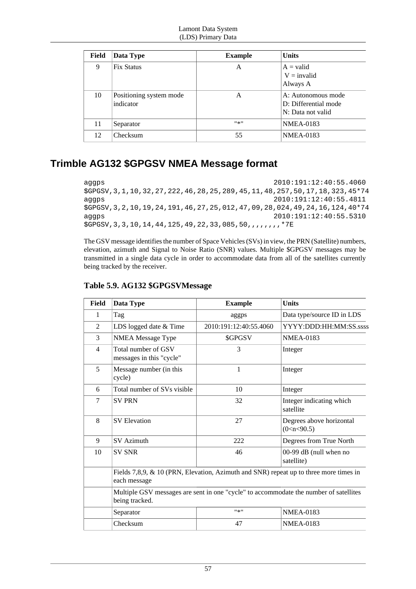| Field | Data Type                            | <b>Example</b> | <b>Units</b>                                                    |
|-------|--------------------------------------|----------------|-----------------------------------------------------------------|
| 9     | <b>Fix Status</b>                    | A              | $A = valid$<br>$V = invalid$<br>Always A                        |
| 10    | Positioning system mode<br>indicator | A              | A: Autonomous mode<br>D: Differential mode<br>N: Data not valid |
| 11    | Separator                            | #종!!           | <b>NMEA-0183</b>                                                |
| 12    | Checksum                             | 55             | <b>NMEA-0183</b>                                                |

### **Trimble AG132 \$GPGSV NMEA Message format**

aggps 2010:191:12:40:55.4060 \$GPGSV,3,1,10,32,27,222,46,28,25,289,45,11,48,257,50,17,18,323,45\*74 aggps 2010:191:12:40:55.4811 \$GPGSV,3,2,10,19,24,191,46,27,25,012,47,09,28,024,49,24,16,124,40\*74 aggps 2010:191:12:40:55.5310 \$GPGSV,3,3,10,14,44,125,49,22,33,085,50,,,,,,,,\*7E

The GSV message identifies the number of Space Vehicles (SVs) in view, the PRN (Satellite) numbers, elevation, azimuth and Signal to Noise Ratio (SNR) values. Multiple \$GPGSV messages may be transmitted in a single data cycle in order to accommodate data from all of the satellites currently being tracked by the receiver.

| <b>Field</b>   | Data Type                                                                                               | <b>Example</b>         | <b>Units</b>                               |
|----------------|---------------------------------------------------------------------------------------------------------|------------------------|--------------------------------------------|
| 1              | Tag                                                                                                     | aggps                  | Data type/source ID in LDS                 |
| $\overline{2}$ | LDS logged date & Time                                                                                  | 2010:191:12:40:55.4060 | YYYY:DDD:HH:MM:SS.ssss                     |
| 3              | NMEA Message Type                                                                                       | \$GPGSV                | <b>NMEA-0183</b>                           |
| $\overline{4}$ | Total number of GSV<br>messages in this "cycle"                                                         | 3                      | Integer                                    |
| 5              | Message number (in this<br>cycle)                                                                       | 1                      | Integer                                    |
| 6              | Total number of SVs visible                                                                             | 10                     | Integer                                    |
| 7              | <b>SV PRN</b>                                                                                           | 32                     | Integer indicating which<br>satellite      |
| 8              | <b>SV</b> Elevation                                                                                     | 27                     | Degrees above horizontal<br>(0 < n < 90.5) |
| 9              | <b>SV</b> Azimuth                                                                                       | 222                    | Degrees from True North                    |
| 10             | <b>SV SNR</b>                                                                                           | 46                     | 00-99 dB (null when no<br>satellite)       |
|                | Fields 7,8,9, & 10 (PRN, Elevation, Azimuth and SNR) repeat up to three more times in<br>each message   |                        |                                            |
|                | Multiple GSV messages are sent in one "cycle" to accommodate the number of satellites<br>being tracked. |                        |                                            |
|                | Separator                                                                                               | 11米11                  | <b>NMEA-0183</b>                           |
|                | Checksum                                                                                                | 47                     | <b>NMEA-0183</b>                           |

### **Table 5.9. AG132 \$GPGSVMessage**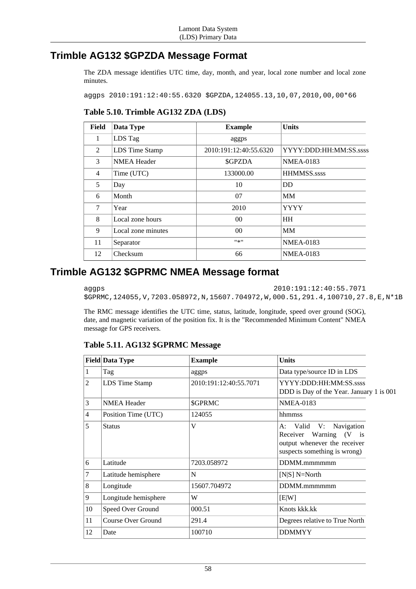### **Trimble AG132 \$GPZDA Message Format**

The ZDA message identifies UTC time, day, month, and year, local zone number and local zone minutes.

aggps 2010:191:12:40:55.6320 \$GPZDA,124055.13,10,07,2010,00,00\*66

### **Table 5.10. Trimble AG132 ZDA (LDS)**

| <b>Field</b>   | Data Type          | <b>Example</b>         | <b>Units</b>           |
|----------------|--------------------|------------------------|------------------------|
| $\mathbf{1}$   | LDS Tag            | aggps                  |                        |
| $\mathfrak{D}$ | LDS Time Stamp     | 2010:191:12:40:55.6320 | YYYY:DDD:HH:MM:SS.ssss |
| 3              | <b>NMEA Header</b> | \$GPZDA                | <b>NMEA-0183</b>       |
| 4              | Time (UTC)         | 133000.00              | <b>HHMMSS.ssss</b>     |
| 5              | Day                | 10                     | <b>DD</b>              |
| 6              | Month              | 07                     | <b>MM</b>              |
| 7              | Year               | 2010                   | <b>YYYY</b>            |
| 8              | Local zone hours   | 00                     | <b>HH</b>              |
| 9              | Local zone minutes | 0 <sup>0</sup>         | <b>MM</b>              |
| 11             | Separator          | $11 \times 11$         | <b>NMEA-0183</b>       |
| 12             | Checksum           | 66                     | <b>NMEA-0183</b>       |

### **Trimble AG132 \$GPRMC NMEA Message format**

aggps 2010:191:12:40:55.7071 \$GPRMC,124055,V,7203.058972,N,15607.704972,W,000.51,291.4,100710,27.8,E,N\*1B

The RMC message identifies the UTC time, status, latitude, longitude, speed over ground (SOG), date, and magnetic variation of the position fix. It is the "Recommended Minimum Content" NMEA message for GPS receivers.

|    | <b>Field Data Type</b> | <b>Example</b>         | <b>Units</b>                                                                                                     |  |
|----|------------------------|------------------------|------------------------------------------------------------------------------------------------------------------|--|
| 1  | Tag                    | aggps                  | Data type/source ID in LDS                                                                                       |  |
| 2  | LDS Time Stamp         | 2010:191:12:40:55.7071 | YYYY:DDD:HH:MM:SS.ssss<br>DDD is Day of the Year. January 1 is 001                                               |  |
| 3  | <b>NMEA Header</b>     | \$GPRMC                | <b>NMEA-0183</b>                                                                                                 |  |
| 4  | Position Time (UTC)    | 124055                 | hhmmss                                                                                                           |  |
| 5  | <b>Status</b>          | V                      | A: Valid V: Navigation<br>Receiver Warning (V is<br>output whenever the receiver<br>suspects something is wrong) |  |
| 6  | Latitude               | 7203.058972            | DDMM.mmmmmm                                                                                                      |  |
| 7  | Latitude hemisphere    | N                      | $[N S]$ N=North                                                                                                  |  |
| 8  | Longitude              | 15607.704972           | DDMM.mmmmmm                                                                                                      |  |
| 9  | Longitude hemisphere   | W                      | [E W]                                                                                                            |  |
| 10 | Speed Over Ground      | 000.51                 | Knots kkk.kk                                                                                                     |  |
| 11 | Course Over Ground     | 291.4                  | Degrees relative to True North                                                                                   |  |
| 12 | Date                   | 100710                 | <b>DDMMYY</b>                                                                                                    |  |

**Table 5.11. AG132 \$GPRMC Message**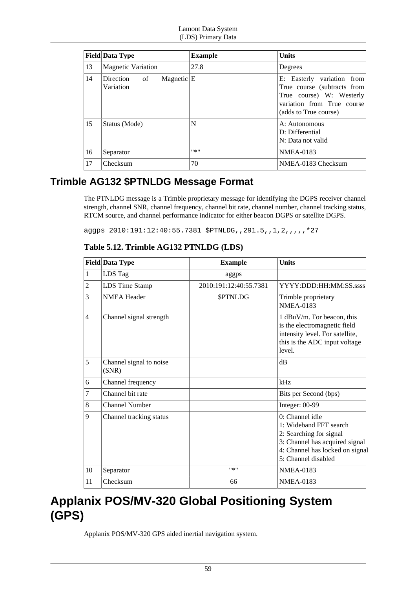|    | <b>Field Data Type</b>                         | <b>Example</b> | <b>Units</b>                                                                                                                                 |
|----|------------------------------------------------|----------------|----------------------------------------------------------------------------------------------------------------------------------------------|
| 13 | <b>Magnetic Variation</b>                      | 27.8           | Degrees                                                                                                                                      |
| 14 | of<br>Magnetic $ E $<br>Direction<br>Variation |                | E: Easterly variation from<br>True course (subtracts from<br>True course) W: Westerly<br>variation from True course<br>(adds to True course) |
| 15 | Status (Mode)                                  | N              | A: Autonomous<br>D: Differential<br>N: Data not valid                                                                                        |
| 16 | Separator                                      | #来#            | <b>NMEA-0183</b>                                                                                                                             |
| 17 | Checksum                                       | 70             | NMEA-0183 Checksum                                                                                                                           |

### **Trimble AG132 \$PTNLDG Message Format**

The PTNLDG message is a Trimble proprietary message for identifying the DGPS receiver channel strength, channel SNR, channel frequency, channel bit rate, channel number, channel tracking status, RTCM source, and channel performance indicator for either beacon DGPS or satellite DGPS.

aggps 2010:191:12:40:55.7381 \$PTNLDG,,291.5,,1,2,,,,,\*27

|                | <b>Field Data Type</b>           | <b>Example</b>         | <b>Units</b>                                                                                                                                                       |
|----------------|----------------------------------|------------------------|--------------------------------------------------------------------------------------------------------------------------------------------------------------------|
| 1              | LDS Tag                          | aggps                  |                                                                                                                                                                    |
| $\overline{c}$ | LDS Time Stamp                   | 2010:191:12:40:55.7381 | YYYY:DDD:HH:MM:SS.ssss                                                                                                                                             |
| 3              | <b>NMEA</b> Header               | <b>SPTNLDG</b>         | Trimble proprietary<br><b>NMEA-0183</b>                                                                                                                            |
| $\overline{4}$ | Channel signal strength          |                        | 1 dBuV/m. For beacon, this<br>is the electromagnetic field<br>intensity level. For satellite,<br>this is the ADC input voltage<br>level.                           |
| 5              | Channel signal to noise<br>(SNR) |                        | dB                                                                                                                                                                 |
| 6              | Channel frequency                |                        | kHz                                                                                                                                                                |
| 7              | Channel bit rate                 |                        | Bits per Second (bps)                                                                                                                                              |
| 8              | <b>Channel Number</b>            |                        | Integer: 00-99                                                                                                                                                     |
| 9              | Channel tracking status          |                        | $0:$ Channel idle<br>1: Wideband FFT search<br>2: Searching for signal<br>3: Channel has acquired signal<br>4: Channel has locked on signal<br>5: Channel disabled |
| 10             | Separator                        | $11 \times 11$         | <b>NMEA-0183</b>                                                                                                                                                   |
| 11             | Checksum                         | 66                     | <b>NMEA-0183</b>                                                                                                                                                   |

**Table 5.12. Trimble AG132 PTNLDG (LDS)**

# **Applanix POS/MV-320 Global Positioning System (GPS)**

Applanix POS/MV-320 GPS aided inertial navigation system.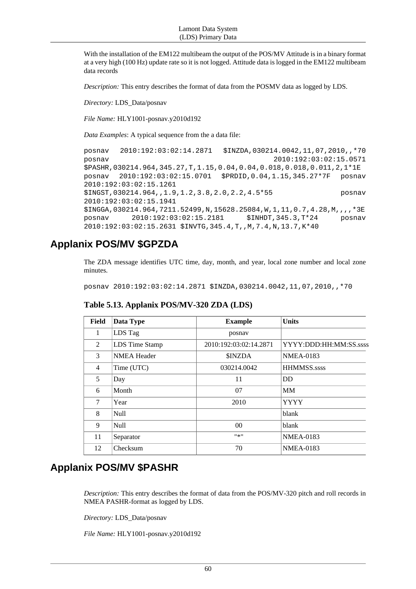With the installation of the EM122 multibeam the output of the POS/MV Attitude is in a binary format at a very high (100 Hz) update rate so it is not logged. Attitude data is logged in the EM122 multibeam data records

*Description:* This entry describes the format of data from the POSMV data as logged by LDS.

*Directory:* LDS\_Data/posnav

*File Name:* HLY1001-posnav.y2010d192

*Data Examples*: A typical sequence from the a data file:

posnav 2010:192:03:02:14.2871 \$INZDA,030214.0042,11,07,2010,,\*70 posnav 2010:192:03:02:15.0571 \$PASHR,030214.964,345.27,T,1.15,0.04,0.04,0.018,0.018,0.011,2,1\*1E posnav 2010:192:03:02:15.0701 \$PRDID,0.04,1.15,345.27\*7F posnav 2010:192:03:02:15.1261 \$INGST,030214.964,,1.9,1.2,3.8,2.0,2.2,4.5\*55 posnav 2010:192:03:02:15.1941 \$INGGA,030214.964,7211.52499,N,15628.25084,W,1,11,0.7,4.28,M,,,,\*3E posnav 2010:192:03:02:15.2181 \$INHDT,345.3,T\*24 posnav 2010:192:03:02:15.2631 \$INVTG,345.4,T,,M,7.4,N,13.7,K\*40

### **Applanix POS/MV \$GPZDA**

The ZDA message identifies UTC time, day, month, and year, local zone number and local zone minutes.

posnav 2010:192:03:02:14.2871 \$INZDA,030214.0042,11,07,2010,,\*70

| Field | Data Type          | <b>Example</b>         | <b>Units</b>           |
|-------|--------------------|------------------------|------------------------|
| 1     | LDS Tag            | posnav                 |                        |
| 2     | LDS Time Stamp     | 2010:192:03:02:14.2871 | YYYY:DDD:HH:MM:SS.ssss |
| 3     | <b>NMEA Header</b> | <b>\$INZDA</b>         | <b>NMEA-0183</b>       |
| 4     | Time (UTC)         | 030214.0042            | <b>HHMMSS.ssss</b>     |
| 5     | Day                | 11                     | DD                     |
| 6     | Month              | 07                     | MМ                     |
| 7     | Year               | 2010                   | <b>YYYY</b>            |
| 8     | <b>Null</b>        |                        | blank                  |
| 9     | <b>Null</b>        | 0 <sup>0</sup>         | blank                  |
| 11    | Separator          | $11 \times 11$         | <b>NMEA-0183</b>       |
| 12    | Checksum           | 70                     | <b>NMEA-0183</b>       |

**Table 5.13. Applanix POS/MV-320 ZDA (LDS)**

### **Applanix POS/MV \$PASHR**

*Description:* This entry describes the format of data from the POS/MV-320 pitch and roll records in NMEA PASHR-format as logged by LDS.

*Directory:* LDS\_Data/posnav

*File Name:* HLY1001-posnav.y2010d192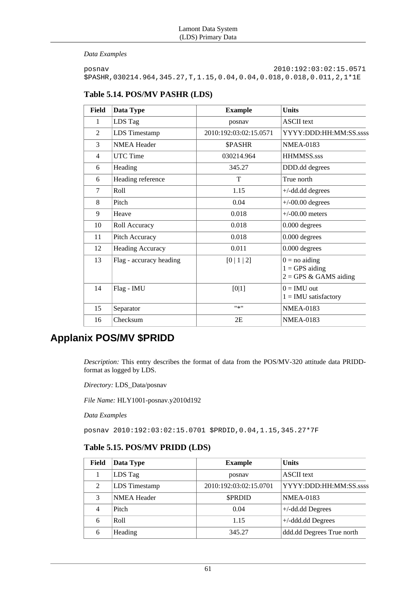*Data Examples*

posnav 2010:192:03:02:15.0571 \$PASHR,030214.964,345.27,T,1.15,0.04,0.04,0.018,0.018,0.011,2,1\*1E

### **Table 5.14. POS/MV PASHR (LDS)**

| <b>Field</b>   | Data Type               | <b>Example</b>         | <b>Units</b>                                                    |
|----------------|-------------------------|------------------------|-----------------------------------------------------------------|
| 1              | LDS Tag                 | posnav                 | <b>ASCII</b> text                                               |
| $\overline{2}$ | <b>LDS</b> Timestamp    | 2010:192:03:02:15.0571 | YYYY:DDD:HH:MM:SS.ssss                                          |
| 3              | <b>NMEA Header</b>      | <b>SPASHR</b>          | <b>NMEA-0183</b>                                                |
| $\overline{4}$ | <b>UTC</b> Time         | 030214.964             | <b>HHMMSS.sss</b>                                               |
| 6              | Heading                 | 345.27                 | DDD.dd degrees                                                  |
| 6              | Heading reference       | T                      | True north                                                      |
| 7              | Roll                    | 1.15                   | $+/-$ dd.dd degrees                                             |
| 8              | Pitch                   | 0.04                   | $+/-00.00$ degrees                                              |
| 9              | Heave                   | 0.018                  | $+/-00.00$ meters                                               |
| 10             | Roll Accuracy           | 0.018                  | 0.000 degrees                                                   |
| 11             | Pitch Accuracy          | 0.018                  | 0.000 degrees                                                   |
| 12             | <b>Heading Accuracy</b> | 0.011                  | 0.000 degrees                                                   |
| 13             | Flag - accuracy heading | [0 1 2]                | $0 = no$ aiding<br>$1 = GPS$ aiding<br>$2 = GPS \& GAMS$ aiding |
| 14             | Flag - IMU              | [0 1]                  | $0 = IMU$ out<br>$1 = IMU$ satisfactory                         |
| 15             | Separator               | $9*9$                  | <b>NMEA-0183</b>                                                |
| 16             | Checksum                | 2E                     | <b>NMEA-0183</b>                                                |

### **Applanix POS/MV \$PRIDD**

*Description:* This entry describes the format of data from the POS/MV-320 attitude data PRIDDformat as logged by LDS.

*Directory:* LDS\_Data/posnav

*File Name:* HLY1001-posnav.y2010d192

*Data Examples*

posnav 2010:192:03:02:15.0701 \$PRDID,0.04,1.15,345.27\*7F

### **Table 5.15. POS/MV PRIDD (LDS)**

| <b>Field</b> | Data Type          | <b>Example</b>         | <b>Units</b>              |
|--------------|--------------------|------------------------|---------------------------|
|              | LDS Tag            | posnav                 | <b>ASCII</b> text         |
| 2            | LDS Timestamp      | 2010:192:03:02:15.0701 | YYYY:DDD:HH:MM:SS.ssss    |
| 3            | <b>NMEA</b> Header | <b>\$PRDID</b>         | <b>NMEA-0183</b>          |
| 4            | Pitch              | 0.04                   | $+/-$ dd.dd Degrees       |
| 6            | Roll               | 1.15                   | $+/-$ ddd.dd Degrees      |
| 6            | Heading            | 345.27                 | ddd.dd Degrees True north |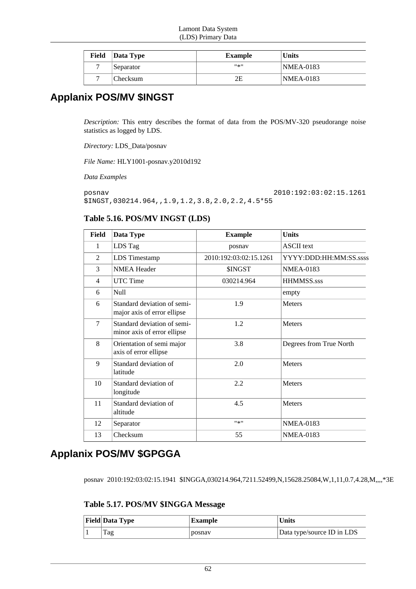| Field | $\vert$ Data Type | <b>Example</b> | <b>Units</b> |
|-------|-------------------|----------------|--------------|
| −     | Separator         | #종!!           | NMEA-0183    |
| −     | Checksum          | 2Ε             | NMEA-0183    |

## **Applanix POS/MV \$INGST**

*Description:* This entry describes the format of data from the POS/MV-320 pseudorange noise statistics as logged by LDS.

*Directory:* LDS\_Data/posnav

*File Name:* HLY1001-posnav.y2010d192

*Data Examples*

posnav 2010:192:03:02:15.1261 \$INGST,030214.964,,1.9,1.2,3.8,2.0,2.2,4.5\*55

### **Table 5.16. POS/MV INGST (LDS)**

| Field  | Data Type                                                  | <b>Example</b>         | <b>Units</b>            |
|--------|------------------------------------------------------------|------------------------|-------------------------|
| 1      | LDS Tag                                                    | posnav                 | <b>ASCII</b> text       |
| 2      | <b>LDS</b> Timestamp                                       | 2010:192:03:02:15.1261 | YYYY:DDD:HH:MM:SS.ssss  |
| 3      | <b>NMEA Header</b>                                         | <b>SINGST</b>          | <b>NMEA-0183</b>        |
| 4      | <b>UTC</b> Time                                            | 030214.964             | <b>HHMMSS.sss</b>       |
| 6      | Null                                                       |                        | empty                   |
| 6      | Standard deviation of semi-<br>major axis of error ellipse | 1.9                    | <b>Meters</b>           |
| $\tau$ | Standard deviation of semi-<br>minor axis of error ellipse | 1.2                    | <b>Meters</b>           |
| 8      | Orientation of semi major<br>axis of error ellipse         | 3.8                    | Degrees from True North |
| 9      | Standard deviation of<br>latitude                          | 2.0                    | <b>Meters</b>           |
| 10     | Standard deviation of<br>longitude                         | 2.2                    | <b>Meters</b>           |
| 11     | Standard deviation of<br>altitude                          | 4.5                    | <b>Meters</b>           |
| 12     | Separator                                                  | #来#                    | <b>NMEA-0183</b>        |
| 13     | Checksum                                                   | 55                     | <b>NMEA-0183</b>        |

## **Applanix POS/MV \$GPGGA**

posnav 2010:192:03:02:15.1941 \$INGGA,030214.964,7211.52499,N,15628.25084,W,1,11,0.7,4.28,M,,,,\*3E

**Table 5.17. POS/MV \$INGGA Message**

| <b>Field Data Type</b> | <b>Example</b> | <b>Units</b>               |
|------------------------|----------------|----------------------------|
| Tag                    | posnav         | Data type/source ID in LDS |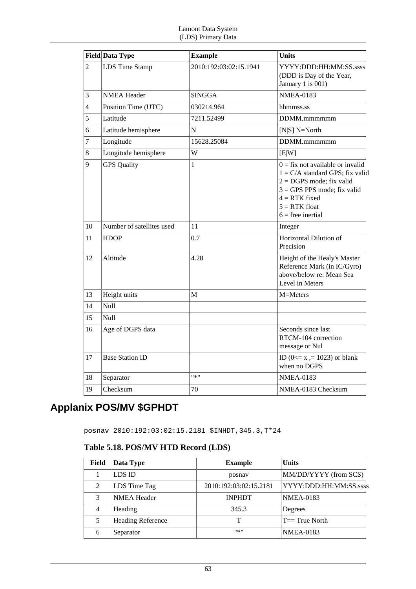|                | <b>Field Data Type</b>    | <b>Example</b>         | <b>Units</b>                                                                                                                                                                                        |
|----------------|---------------------------|------------------------|-----------------------------------------------------------------------------------------------------------------------------------------------------------------------------------------------------|
| $\overline{2}$ | LDS Time Stamp            | 2010:192:03:02:15.1941 | YYYY:DDD:HH:MM:SS.ssss<br>(DDD is Day of the Year,<br>January 1 is 001)                                                                                                                             |
| 3              | <b>NMEA Header</b>        | <b>\$INGGA</b>         | <b>NMEA-0183</b>                                                                                                                                                                                    |
| 4              | Position Time (UTC)       | 030214.964             | hhmmss.ss                                                                                                                                                                                           |
| 5              | Latitude                  | 7211.52499             | DDMM.mmmmmm                                                                                                                                                                                         |
| 6              | Latitude hemisphere       | N                      | [ $N S]$ $N=North$                                                                                                                                                                                  |
| $\overline{7}$ | Longitude                 | 15628.25084            | DDMM.mmmmmm                                                                                                                                                                                         |
| 8              | Longitude hemisphere      | W                      | [E W]                                                                                                                                                                                               |
| 9              | <b>GPS Quality</b>        | $\mathbf{1}$           | $0 =$ fix not available or invalid<br>$1 = C/A$ standard GPS; fix valid<br>$2 = DGPS$ mode; fix valid<br>$3 = GPS$ PPS mode; fix valid<br>$4 = RTK$ fixed<br>$5 = RTK$ float<br>$6$ = free inertial |
| 10             | Number of satellites used | 11                     | Integer                                                                                                                                                                                             |
| 11             | <b>HDOP</b>               | 0.7                    | Horizontal Dilution of<br>Precision                                                                                                                                                                 |
| 12             | Altitude                  | 4.28                   | Height of the Healy's Master<br>Reference Mark (in IC/Gyro)<br>above/below re: Mean Sea<br>Level in Meters                                                                                          |
| 13             | Height units              | M                      | M=Meters                                                                                                                                                                                            |
| 14             | Null                      |                        |                                                                                                                                                                                                     |
| 15             | Null                      |                        |                                                                                                                                                                                                     |
| 16             | Age of DGPS data          |                        | Seconds since last<br>RTCM-104 correction<br>message or Nul                                                                                                                                         |
| 17             | <b>Base Station ID</b>    |                        | ID ( $0 \le x = 1023$ ) or blank<br>when no DGPS                                                                                                                                                    |
| 18             | Separator                 | "*"                    | <b>NMEA-0183</b>                                                                                                                                                                                    |
| 19             | Checksum                  | 70                     | NMEA-0183 Checksum                                                                                                                                                                                  |

# **Applanix POS/MV \$GPHDT**

posnav 2010:192:03:02:15.2181 \$INHDT,345.3,T\*24

### **Table 5.18. POS/MV HTD Record (LDS)**

| Field | Data Type                | <b>Example</b>         | <b>Units</b>           |
|-------|--------------------------|------------------------|------------------------|
|       | LDS ID                   | posnav                 | MM/DD/YYYY (from SCS)  |
| 2     | LDS Time Tag             | 2010:192:03:02:15.2181 | YYYY:DDD:HH:MM:SS.ssss |
| 3     | <b>NMEA Header</b>       | <b>INPHDT</b>          | <b>NMEA-0183</b>       |
| 4     | Heading                  | 345.3                  | Degrees                |
| 5     | <b>Heading Reference</b> | Т                      | $T == True$ North      |
| 6     | Separator                | $11 - 11$              | <b>NMEA-0183</b>       |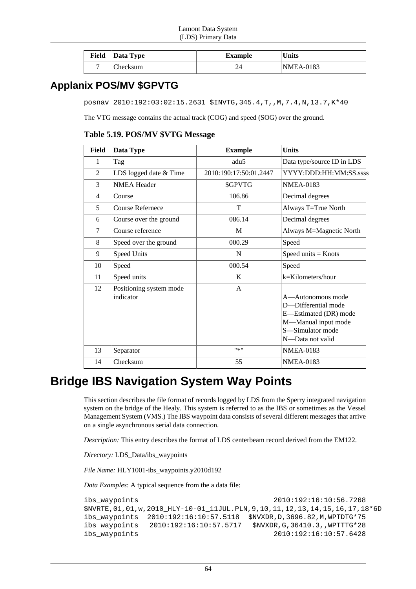| Field Data Type | Example | <b>Units</b> |
|-----------------|---------|--------------|
| Checksum        |         | NMEA-0183    |

## **Applanix POS/MV \$GPVTG**

posnav 2010:192:03:02:15.2631 \$INVTG,345.4,T,,M,7.4,N,13.7,K\*40

The VTG message contains the actual track (COG) and speed (SOG) over the ground.

**Table 5.19. POS/MV \$VTG Message**

| <b>Field</b>   | Data Type                            | <b>Example</b>         | <b>Units</b>                                                                                                                     |
|----------------|--------------------------------------|------------------------|----------------------------------------------------------------------------------------------------------------------------------|
| 1              | Tag                                  | adu <sub>5</sub>       | Data type/source ID in LDS                                                                                                       |
| 2              | LDS logged date & Time               | 2010:190:17:50:01.2447 | YYYY:DDD:HH:MM:SS.sssls                                                                                                          |
| 3              | <b>NMEA Header</b>                   | <b>SGPVTG</b>          | <b>NMEA-0183</b>                                                                                                                 |
| $\overline{4}$ | Course                               | 106.86                 | Decimal degrees                                                                                                                  |
| 5              | Course Refernece                     | T                      | Always T=True North                                                                                                              |
| 6              | Course over the ground               | 086.14                 | Decimal degrees                                                                                                                  |
| $\tau$         | Course reference                     | M                      | Always M=Magnetic North                                                                                                          |
| 8              | Speed over the ground                | 000.29                 | Speed                                                                                                                            |
| 9              | Speed Units                          | N                      | Speed units $=$ Knots                                                                                                            |
| 10             | Speed                                | 000.54                 | Speed                                                                                                                            |
| 11             | Speed units                          | K                      | $k=Kilometers/hour$                                                                                                              |
| 12             | Positioning system mode<br>indicator | A                      | A—Autonomous mode<br>D-Differential mode<br>E-Estimated (DR) mode<br>M-Manual input mode<br>S-Simulator mode<br>N-Data not valid |
| 13             | Separator                            | $"$ * $"$              | <b>NMEA-0183</b>                                                                                                                 |
| 14             | Checksum                             | 55                     | <b>NMEA-0183</b>                                                                                                                 |

# **Bridge IBS Navigation System Way Points**

This section describes the file format of records logged by LDS from the Sperry integrated navigation system on the bridge of the Healy. This system is referred to as the IBS or sometimes as the Vessel Management System (VMS.) The IBS waypoint data consists of several different messages that arrive on a single asynchronous serial data connection.

*Description:* This entry describes the format of LDS centerbeam record derived from the EM122.

*Directory:* LDS\_Data/ibs\_waypoints

*File Name:* HLY1001-ibs\_waypoints.y2010d192

*Data Examples*: A typical sequence from the a data file:

```
ibs_waypoints 2010:192:16:10:56.7268
$NVRTE,01,01,w,2010_HLY-10-01_11JUL.PLN,9,10,11,12,13,14,15,16,17,18*6D
ibs_waypoints 2010:192:16:10:57.5118 $NVXDR,D,3696.82,M,WPTDTG*75
ibs_waypoints 2010:192:16:10:57.5717 $NVXDR,G,36410.3,,WPTTTG*28
ibs_waypoints 2010:192:16:10:57.6428
```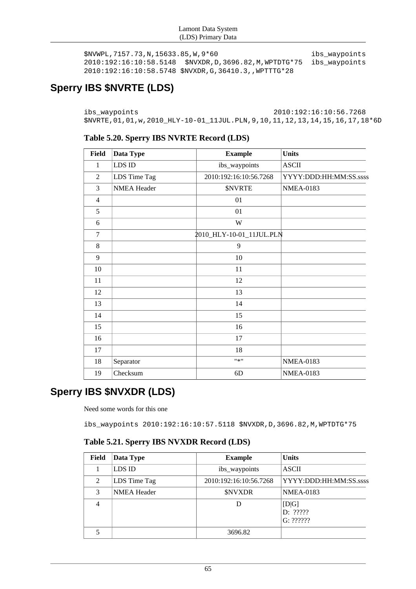```
$NVWPL,7157.73,N,15633.85,W,9*60 ibs_waypoints
2010:192:16:10:58.5148 $NVXDR,D,3696.82,M,WPTDTG*75 ibs_waypoints
2010:192:16:10:58.5748 $NVXDR,G,36410.3,,WPTTTG*28
```
# **Sperry IBS \$NVRTE (LDS)**

ibs\_waypoints 2010:192:16:10:56.7268 \$NVRTE,01,01,w,2010\_HLY-10-01\_11JUL.PLN,9,10,11,12,13,14,15,16,17,18\*6D

### **Table 5.20. Sperry IBS NVRTE Record (LDS)**

| <b>Field</b>   | Data Type          | <b>Example</b>           | <b>Units</b>           |
|----------------|--------------------|--------------------------|------------------------|
| $\mathbf{1}$   | LDS ID             | ibs_waypoints            | <b>ASCII</b>           |
| $\overline{2}$ | LDS Time Tag       | 2010:192:16:10:56.7268   | YYYY:DDD:HH:MM:SS.ssss |
| 3              | <b>NMEA Header</b> | <b><i>SNVRTE</i></b>     | <b>NMEA-0183</b>       |
| $\overline{4}$ |                    | 01                       |                        |
| 5              |                    | 01                       |                        |
| 6              |                    | W                        |                        |
| $\overline{7}$ |                    | 2010_HLY-10-01_11JUL.PLN |                        |
| 8              |                    | 9                        |                        |
| 9              |                    | 10                       |                        |
| 10             |                    | 11                       |                        |
| 11             |                    | 12                       |                        |
| 12             |                    | 13                       |                        |
| 13             |                    | 14                       |                        |
| 14             |                    | 15                       |                        |
| 15             |                    | 16                       |                        |
| 16             |                    | 17                       |                        |
| 17             |                    | 18                       |                        |
| 18             | Separator          | $"$ *"                   | <b>NMEA-0183</b>       |
| 19             | Checksum           | 6D                       | <b>NMEA-0183</b>       |

# **Sperry IBS \$NVXDR (LDS)**

Need some words for this one

ibs\_waypoints 2010:192:16:10:57.5118 \$NVXDR,D,3696.82,M,WPTDTG\*75

### **Table 5.21. Sperry IBS NVXDR Record (LDS)**

| <b>Field</b>   | Data Type          | <b>Example</b>         | <b>Units</b>                    |
|----------------|--------------------|------------------------|---------------------------------|
|                | LDS ID             | ibs_waypoints          | <b>ASCII</b>                    |
| 2              | LDS Time Tag       | 2010:192:16:10:56.7268 | YYYY:DDD:HH:MM:SS.ssss          |
| 3              | <b>NMEA Header</b> | <b>\$NVXDR</b>         | <b>NMEA-0183</b>                |
| $\overline{4}$ |                    | D                      | [D G]<br>D: ??????<br>G: ?????? |
|                |                    | 3696.82                |                                 |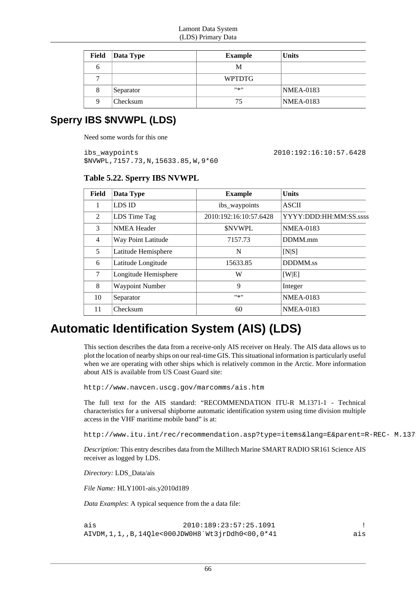| Field | Data Type | <b>Example</b> | <b>Units</b>     |
|-------|-----------|----------------|------------------|
| h     |           | M              |                  |
|       |           | <b>WPTDTG</b>  |                  |
| 8     | Separator | $11 * 11$      | <b>NMEA-0183</b> |
| Q     | Checksum  | 75             | <b>NMEA-0183</b> |

### **Sperry IBS \$NVWPL (LDS)**

Need some words for this one

ibs\_waypoints 2010:192:16:10:57.6428 \$NVWPL,7157.73,N,15633.85,W,9\*60

| Field | Data Type              | <b>Example</b>         | <b>Units</b>           |
|-------|------------------------|------------------------|------------------------|
| 1     | LDS ID                 | ibs_waypoints          | <b>ASCII</b>           |
| 2     | LDS Time Tag           | 2010:192:16:10:57.6428 | YYYY:DDD:HH:MM:SS.ssss |
| 3     | <b>NMEA Header</b>     | <b>SNVWPL</b>          | <b>NMEA-0183</b>       |
| 4     | Way Point Latitude     | 7157.73                | DDMM.mm                |
| 5     | Latitude Hemisphere    | N                      | [N S]                  |
| 6     | Latitude Longitude     | 15633.85               | <b>DDDMM.ss</b>        |
| 7     | Longitude Hemisphere   | W                      | [W E]                  |
| 8     | <b>Waypoint Number</b> | 9                      | Integer                |
| 10    | Separator              | ***                    | <b>NMEA-0183</b>       |
| 11    | Checksum               | 60                     | <b>NMEA-0183</b>       |

## **Automatic Identification System (AIS) (LDS)**

This section describes the data from a receive-only AIS receiver on Healy. The AIS data allows us to plot the location of nearby ships on our real-time GIS. This situational information is particularly useful when we are operating with other ships which is relatively common in the Arctic. More information about AIS is available from US Coast Guard site:

http://www.navcen.uscg.gov/marcomms/ais.htm

The full text for the AIS standard: "RECOMMENDATION ITU-R M.1371-1 - Technical characteristics for a universal shipborne automatic identification system using time division multiple access in the VHF maritime mobile band" is at:

http://www.itu.int/rec/recommendation.asp?type=items&lang=E&parent=R-REC- M.137

*Description:* This entry describes data from the Milltech Marine SMART RADIO SR161 Science AIS receiver as logged by LDS.

*Directory:* LDS\_Data/ais

*File Name:* HLY1001-ais.y2010d189

*Data Examples*: A typical sequence from the a data file:

ais 2010:189:23:57:25.1091 ! AIVDM,1,1,,B,14Qle<000JDW0H8`Wt3jrDdh0<00,0\*41 ais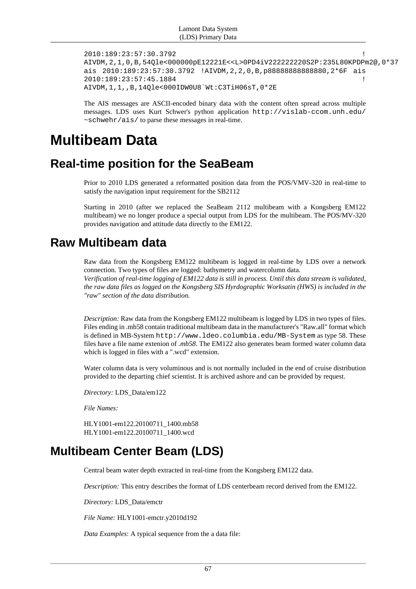```
2010:189:23:57:30.3792 !
AIVDM,2,1,0,B,54Qle<000000pE12221E<<L>0PD4iV222222220S2P:235L80KPDPm2@,0*37
ais 2010:189:23:57:30.3792 !AIVDM,2,2,0,B,p88888888888880,2*6F ais
2010:189:23:57:45.1884 !
AIVDM,1,1,,B,14Qle<000IDW0U8`Wt:C3TiH06sT,0*2E
```
The AIS messages are ASCII-encoded binary data with the content often spread across multiple messages. LDS uses Kurt Schwer's python application http://vislab-ccom.unh.edu/ ~schwehr/ais/ to parse these messages in real-time.

# **Multibeam Data**

## **Real-time position for the SeaBeam**

Prior to 2010 LDS generated a reformatted position data from the POS/VMV-320 in real-time to satisfy the navigation input requirement for the SB2112

Starting in 2010 (after we replaced the SeaBeam 2112 multibeam with a Kongsberg EM122 multibeam) we no longer produce a special output from LDS for the multibeam. The POS/MV-320 provides navigation and attitude data directly to the EM122.

## **Raw Multibeam data**

Raw data from the Kongsberg EM122 multibeam is logged in real-time by LDS over a network connection. Two types of files are logged: bathymetry and watercolumn data. *Verification of real-time logging of EM122 data is still in process. Until this data stream is validated, the raw data files as logged on the Kongsberg SIS Hyrdographic Worksatin (HWS) is included in the "raw" section of the data distribution.*

*Description:* Raw data from the Kongsberg EM122 multibeam is logged by LDS in two types of files. Files ending in .mb58 contain traditional multibeam data in the manufacturer's "Raw.all" format which is defined in MB-System http://www.ldeo.columbia.edu/MB-System as type 58. These files have a file name extenion of *.mb58*. The EM122 also generates beam formed water column data which is logged in files with a ".wcd" extension.

Water column data is very voluminous and is not normally included in the end of cruise distribution provided to the departing chief scientist. It is archived ashore and can be provided by request.

*Directory:* LDS\_Data/em122

*File Names:*

HLY1001-em122.20100711\_1400.mb58 HLY1001-em122.20100711\_1400.wcd

## **Multibeam Center Beam (LDS)**

Central beam water depth extracted in real-time from the Kongsberg EM122 data.

*Description:* This entry describes the format of LDS centerbeam record derived from the EM122.

*Directory:* LDS\_Data/emctr

*File Name:* HLY1001-emctr.y2010d192

*Data Examples*: A typical sequence from the a data file: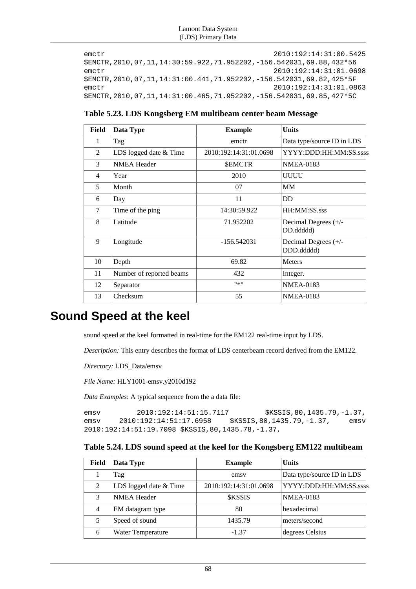#### Lamont Data System (LDS) Primary Data

```
emctr 2010:192:14:31:00.5425
$EMCTR,2010,07,11,14:30:59.922,71.952202,-156.542031,69.88,432*56
emctr 2010:192:14:31:01.0698
$EMCTR,2010,07,11,14:31:00.441,71.952202,-156.542031,69.82,425*5F
emctr 2010:192:14:31:01.0863
$EMCTR,2010,07,11,14:31:00.465,71.952202,-156.542031,69.85,427*5C
```

| Table 5.23. LDS Kongsberg EM multibeam center beam Message |  |  |
|------------------------------------------------------------|--|--|
|------------------------------------------------------------|--|--|

| <b>Field</b> | Data Type                | <b>Example</b>         | <b>Units</b>                       |
|--------------|--------------------------|------------------------|------------------------------------|
| 1            | Tag                      | emctr                  | Data type/source ID in LDS         |
| 2            | LDS logged date & Time   | 2010:192:14:31:01.0698 | YYYY:DDD:HH:MM:SS.sssls            |
| 3            | <b>NMEA Header</b>       | <b>\$EMCTR</b>         | <b>NMEA-0183</b>                   |
| 4            | Year                     | 2010                   | UUUU                               |
| 5            | Month                    | 07                     | <b>MM</b>                          |
| 6            | Day                      | 11                     | <b>DD</b>                          |
| $\tau$       | Time of the ping         | 14:30:59.922           | HH:MM:SS.sss                       |
| 8            | Latitude                 | 71.952202              | Decimal Degrees (+/-<br>DD.ddddd)  |
| 9            | Longitude                | $-156.542031$          | Decimal Degrees (+/-<br>DDD.ddddd) |
| 10           | Depth                    | 69.82                  | <b>Meters</b>                      |
| 11           | Number of reported beams | 432                    | Integer.                           |
| 12           | Separator                | #来!!                   | <b>NMEA-0183</b>                   |
| 13           | Checksum                 | 55                     | <b>NMEA-0183</b>                   |

## **Sound Speed at the keel**

sound speed at the keel formatted in real-time for the EM122 real-time input by LDS.

*Description:* This entry describes the format of LDS centerbeam record derived from the EM122.

*Directory:* LDS\_Data/emsv

*File Name:* HLY1001-emsv.y2010d192

*Data Examples*: A typical sequence from the a data file:

emsv 2010:192:14:51:15.7117 \$KSSIS,80,1435.79,-1.37, emsv 2010:192:14:51:17.6958 \$KSSIS,80,1435.79,-1.37, emsv 2010:192:14:51:19.7098 \$KSSIS,80,1435.78,-1.37,

### **Table 5.24. LDS sound speed at the keel for the Kongsberg EM122 multibeam**

| Field | Data Type              | <b>Example</b>         | <b>Units</b>               |
|-------|------------------------|------------------------|----------------------------|
|       | Tag                    | emsy                   | Data type/source ID in LDS |
| 2     | LDS logged date & Time | 2010:192:14:31:01.0698 | YYYY:DDD:HH:MM:SS.ssss     |
| 3     | <b>NMEA Header</b>     | <b><i>SKSSIS</i></b>   | <b>NMEA-0183</b>           |
| 4     | EM datagram type       | 80                     | hexadecimal                |
| 5     | Speed of sound         | 1435.79                | meters/second              |
| 6     | Water Temperature      | $-1.37$                | degrees Celsius            |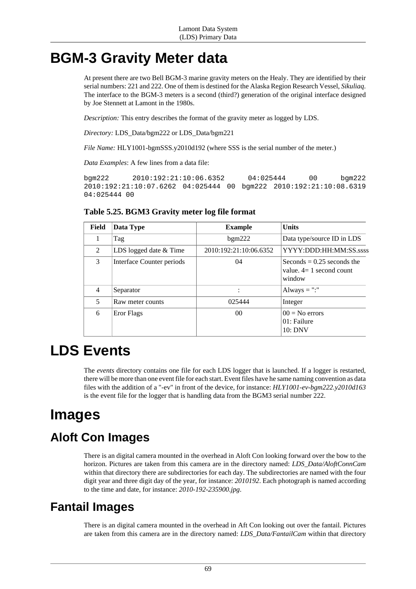# **BGM-3 Gravity Meter data**

At present there are two Bell BGM-3 marine gravity meters on the Healy. They are identified by their serial numbers: 221 and 222. One of them is destined for the Alaska Region Research Vessel, *Sikuliaq*. The interface to the BGM-3 meters is a second (third?) generation of the original interface designed by Joe Stennett at Lamont in the 1980s.

*Description:* This entry describes the format of the gravity meter as logged by LDS.

*Directory:* LDS\_Data/bgm222 or LDS\_Data/bgm221

*File Name:* HLY1001-bgmSSS.y2010d192 (where SSS is the serial number of the meter.)

*Data Examples*: A few lines from a data file:

bgm222 2010:192:21:10:06.6352 04:025444 00 bgm222 2010:192:21:10:07.6262 04:025444 00 bgm222 2010:192:21:10:08.6319 04:025444 00

### **Table 5.25. BGM3 Gravity meter log file format**

| Field | Data Type                 | <b>Example</b>         | <b>Units</b>                                                        |
|-------|---------------------------|------------------------|---------------------------------------------------------------------|
|       | Tag                       | bgm222                 | Data type/source ID in LDS                                          |
| 2     | LDS logged date & Time    | 2010:192:21:10:06.6352 | YYYY:DDD:HH:MM:SS.ssss                                              |
| 3     | Interface Counter periods | 04                     | Seconds = $0.25$ seconds the<br>value. $4=1$ second count<br>window |
| 4     | Separator                 | $\ddot{\cdot}$         | Always = ":"                                                        |
| 5     | Raw meter counts          | 025444                 | Integer                                                             |
| 6     | Eror Flags                | 00                     | $00 = No$ errors<br>01: Failure<br>10:DNV                           |

# **LDS Events**

The *events* directory contains one file for each LDS logger that is launched. If a logger is restarted, there will be more than one event file for each start. Event files have he same naming convention as data files with the addition of a "-ev" in front of the device, for instance: *HLY1001-ev-bgm222.y2010d163* is the event file for the logger that is handling data from the BGM3 serial number 222.

# **Images**

## **Aloft Con Images**

There is an digital camera mounted in the overhead in Aloft Con looking forward over the bow to the horizon. Pictures are taken from this camera are in the directory named: *LDS\_Data/AloftConnCam* within that directory there are subdirectories for each day. The subdirectories are named with the four digit year and three digit day of the year, for instance: *2010192*. Each photograph is named according to the time and date, for instance: *2010-192-235900.jpg*.

## **Fantail Images**

There is an digital camera mounted in the overhead in Aft Con looking out over the fantail. Pictures are taken from this camera are in the directory named: *LDS\_Data/FantailCam* within that directory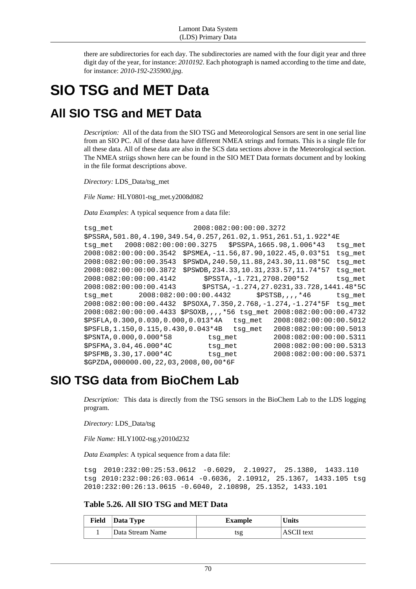there are subdirectories for each day. The subdirectories are named with the four digit year and three digit day of the year, for instance: *2010192*. Each photograph is named according to the time and date, for instance: *2010-192-235900.jpg*.

# **SIO TSG and MET Data**

## **All SIO TSG and MET Data**

*Description:* All of the data from the SIO TSG and Meteorological Sensors are sent in one serial line from an SIO PC. All of these data have different NMEA strings and formats. This is a single file for all these data. All of these data are also in the SCS data sections above in the Meteorological section. The NMEA striigs shown here can be found in the SIO MET Data formats document and by looking in the file format descriptions above.

*Directory:* LDS\_Data/tsg\_met

*File Name:* HLY0801-tsg\_met.y2008d082

*Data Examples*: A typical sequence from a data file:

```
tsq met 2008:082:00:00:00.3272
$PSSRA,501.80,4.190,349.54,0.257,261.02,1.951,261.51,1.922*4E
tsg_met 2008:082:00:00:00.3275 $PSSPA,1665.98,1.006*43 tsg_met
2008:082:00:00:00.3542 $PSMEA,-11.56,87.90,1022.45,0.03*51 tsg_met
2008:082:00:00:00.3543 $PSWDA,240.50,11.88,243.30,11.08*5C tsg_met
2008:082:00:00:00.3872 $PSWDB,234.33,10.31,233.57,11.74*57 tsg_met
2008:082:00:00:00.4142 $PSSTA,-1.721,2708.200*52 tsg_met
2008:082:00:00:00.4143 $PSTSA,-1.274,27.0231,33.728,1441.48*5C
tsq met 2008:082:00:00:00.4432 $PSTSB,,,,*46 tsg_met
2008:082:00:00:00.4432 $PSOXA,7.350,2.768,-1.274,-1.274*5F tsg_met
2008:082:00:00:00.4433 $PSOXB,,,,*56 tsg_met 2008:082:00:00:00.4732
$PSFLA,0.300,0.030,0.000,0.013*4A tsg_met 2008:082:00:00:00.5012
$PSFLB,1.150,0.115,0.430,0.043*4B tsg_met 2008:082:00:00:00.5013
$PSNTA,0.000,0.000*58 tsg_met 2008:082:00:00:00.5311
$PSFMA,3.04,46.000*4C tsg_met 2008:082:00:00:00.5313
$PSFMB,3.30,17.000*4C tsg_met 2008:082:00:00:00.5371
$GPZDA,000000.00,22,03,2008,00,00*6F
```
## **SIO TSG data from BioChem Lab**

*Description:* This data is directly from the TSG sensors in the BioChem Lab to the LDS logging program.

*Directory:* LDS\_Data/tsg

*File Name:* HLY1002-tsg.y2010d232

*Data Examples*: A typical sequence from a data file:

```
tsg 2010:232:00:25:53.0612 -0.6029, 2.10927, 25.1380, 1433.110
tsg 2010:232:00:26:03.0614 -0.6036, 2.10912, 25.1367, 1433.105 tsg
2010:232:00:26:13.0615 -0.6040, 2.10898, 25.1352, 1433.101
```
### **Table 5.26. All SIO TSG and MET Data**

| Field | $\vert$ Data Type | <b>Example</b> | <b>Units</b>      |
|-------|-------------------|----------------|-------------------|
|       | Data Stream Name  | tsg            | <b>ASCII</b> text |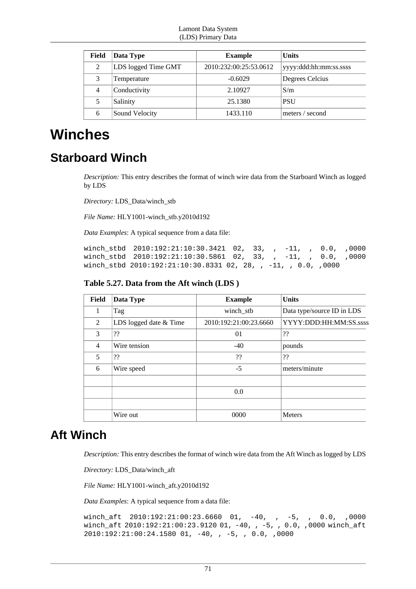| Field | Data Type           | <b>Example</b>         | <b>Units</b>           |
|-------|---------------------|------------------------|------------------------|
| 2     | LDS logged Time GMT | 2010:232:00:25:53.0612 | yyyy:ddd:hh:mm:ss.ssss |
| 3     | Temperature         | $-0.6029$              | Degrees Celcius        |
| 4     | Conductivity        | 2.10927                | S/m                    |
| 5     | Salinity            | 25.1380                | <b>PSU</b>             |
| 6     | Sound Velocity      | 1433.110               | meters / second        |

## **Winches**

## **Starboard Winch**

*Description:* This entry describes the format of winch wire data from the Starboard Winch as logged by LDS

*Directory:* LDS\_Data/winch\_stb

*File Name:* HLY1001-winch\_stb.y2010d192

*Data Examples*: A typical sequence from a data file:

winch\_stbd 2010:192:21:10:30.3421 02, 33, , -11, , 0.0, ,0000 winch stbd 2010:192:21:10:30.5861 02, 33, , -11, , 0.0, ,0000 winch\_stbd 2010:192:21:10:30.8331 02, 28, , -11, , 0.0, ,0000

**Table 5.27. Data from the Aft winch (LDS )**

| <b>Field</b>   | Data Type              | <b>Example</b>         | <b>Units</b>               |
|----------------|------------------------|------------------------|----------------------------|
| 1              | Tag                    | winch_stb              | Data type/source ID in LDS |
| 2              | LDS logged date & Time | 2010:192:21:00:23.6660 | YYYY:DDD:HH:MM:SS.ssss     |
| 3              | ??                     | 01                     | ??                         |
| $\overline{4}$ | Wire tension           | $-40$                  | pounds                     |
| 5              | ??                     | ??                     | ??                         |
| 6              | Wire speed             | $-5$                   | meters/minute              |
|                |                        |                        |                            |
|                |                        | 0.0                    |                            |
|                |                        |                        |                            |
|                | Wire out               | 0000                   | <b>Meters</b>              |

## **Aft Winch**

*Description:* This entry describes the format of winch wire data from the Aft Winch as logged by LDS

*Directory:* LDS\_Data/winch\_aft

*File Name:* HLY1001-winch\_aft.y2010d192

*Data Examples*: A typical sequence from a data file:

```
winch_aft 2010:192:21:00:23.6660 01, -40, , -5, , 0.0, ,0000
winch_aft 2010:192:21:00:23.9120 01, -40, , -5, , 0.0, ,0000 winch_aft
2010:192:21:00:24.1580 01, -40, , -5, , 0.0, ,0000
```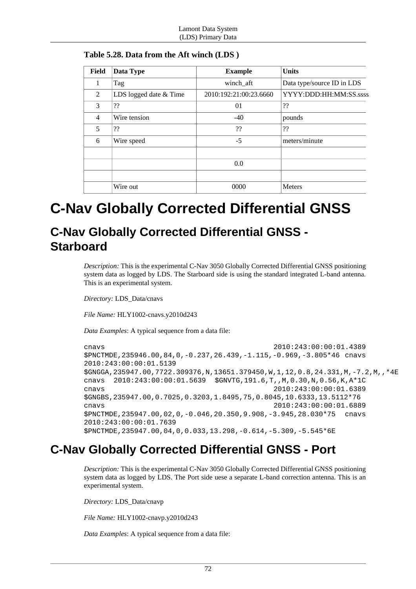| Field          | Data Type              | <b>Example</b>         | <b>Units</b>               |
|----------------|------------------------|------------------------|----------------------------|
| 1              | Tag                    | winch_aft              | Data type/source ID in LDS |
| 2              | LDS logged date & Time | 2010:192:21:00:23.6660 | YYYY:DDD:HH:MM:SS.ssss     |
| 3              | ??                     | 01                     | ??                         |
| $\overline{4}$ | Wire tension           | $-40$                  | pounds                     |
| 5              | ??                     | ??                     | ??                         |
| 6              | Wire speed             | $-5$                   | meters/minute              |
|                |                        |                        |                            |
|                |                        | 0.0                    |                            |
|                |                        |                        |                            |
|                | Wire out               | 0000                   | <b>Meters</b>              |

**Table 5.28. Data from the Aft winch (LDS )**

# **C-Nav Globally Corrected Differential GNSS**

## **C-Nav Globally Corrected Differential GNSS - Starboard**

*Description:* This is the experimental C-Nav 3050 Globally Corrected Differential GNSS positioning system data as logged by LDS. The Starboard side is using the standard integrated L-band antenna. This is an experimental system.

*Directory:* LDS\_Data/cnavs

*File Name:* HLY1002-cnavs.y2010d243

*Data Examples*: A typical sequence from a data file:

```
cnavs 2010:243:00:00:01.4389
$PNCTMDE,235946.00,84,0,-0.237,26.439,-1.115,-0.969,-3.805*46 cnavs
2010:243:00:00:01.5139
$GNGGA,235947.00,7722.309376,N,13651.379450,W,1,12,0.8,24.331,M,-7.2,M,,*4E
cnavs 2010:243:00:00:01.5639 $GNVTG,191.6,T,,M,0.30,N,0.56,K,A*1C
cnavs 2010:243:00:00:01.6389
$GNGBS,235947.00,0.7025,0.3203,1.8495,75,0.8045,10.6333,13.5112*76
cnavs 2010:243:00:00:01.6889
$PNCTMDE,235947.00,02,0,-0.046,20.350,9.908,-3.945,28.030*75 cnavs
2010:243:00:00:01.7639
$PNCTMDE,235947.00,04,0,0.033,13.298,-0.614,-5.309,-5.545*6E
```
## **C-Nav Globally Corrected Differential GNSS - Port**

*Description:* This is the experimental C-Nav 3050 Globally Corrected Differential GNSS positioning system data as logged by LDS. The Port side uese a separate L-band correction antenna. This is an experimental system.

*Directory:* LDS\_Data/cnavp

*File Name:* HLY1002-cnavp.y2010d243

*Data Examples*: A typical sequence from a data file: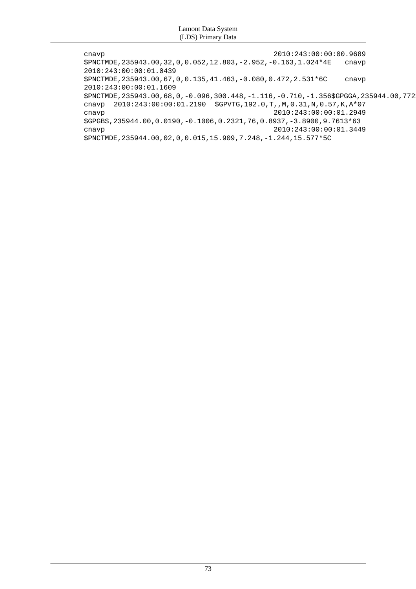| cnavp                                                                                       | 2010:243:00:00:00.9689 |       |
|---------------------------------------------------------------------------------------------|------------------------|-------|
| $$PNCTMDE, 235943.00, 32, 0, 0.052, 12.803, -2.952, -0.163, 1.024*4E$                       |                        | cnavp |
| 2010:243:00:00:01.0439                                                                      |                        |       |
| $$PNCTIME, 235943.00, 67, 0, 0.135, 41.463, -0.080, 0.472, 2.531*6C$                        |                        | cnavp |
| 2010:243:00:00:01.1609                                                                      |                        |       |
| \$PNCTMDE, 235943.00, 68, 0, -0.096, 300.448, -1.116, -0.710, -1.356\$GPGGA, 235944.00, 772 |                        |       |
| cnavp                                                                                       |                        |       |
| cnavp                                                                                       | 2010:243:00:00:01.2949 |       |
| $SGPGBS, 235944.00, 0.0190, -0.1006, 0.2321, 76, 0.8937, -3.8900, 9.7613*63$                |                        |       |
| cnavp                                                                                       | 2010:243:00:00:01.3449 |       |
| \$PNCTMDE, 235944.00,02,0,0.015, 15.909, 7.248, -1.244, 15.577*5C                           |                        |       |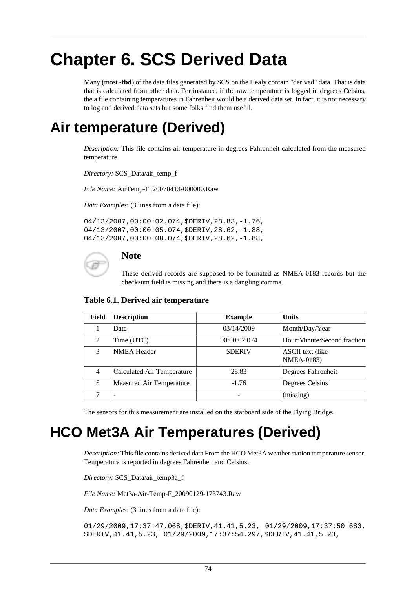# **Chapter 6. SCS Derived Data**

Many (most -**tbd**) of the data files generated by SCS on the Healy contain "derived" data. That is data that is calculated from other data. For instance, if the raw temperature is logged in degrees Celsius, the a file containing temperatures in Fahrenheit would be a derived data set. In fact, it is not necessary to log and derived data sets but some folks find them useful.

# **Air temperature (Derived)**

*Description:* This file contains air temperature in degrees Fahrenheit calculated from the measured temperature

*Directory:* SCS\_Data/air\_temp\_f

*File Name:* AirTemp-F\_20070413-000000.Raw

*Data Examples*: (3 lines from a data file):

04/13/2007,00:00:02.074,\$DERIV,28.83,-1.76, 04/13/2007,00:00:05.074,\$DERIV,28.62,-1.88, 04/13/2007,00:00:08.074,\$DERIV,28.62,-1.88,

### **Note**

These derived records are supposed to be formated as NMEA-0183 records but the checksum field is missing and there is a dangling comma.

| Field          | <b>Description</b>                | <b>Example</b> | <b>Units</b>                            |
|----------------|-----------------------------------|----------------|-----------------------------------------|
|                | Date                              | 03/14/2009     | Month/Day/Year                          |
| 2              | Time (UTC)                        | 00:00:02.074   | Hour:Minute:Second.fraction             |
| 3              | <b>NMEA Header</b>                | <b>SDERIV</b>  | ASCII text (like)<br><b>NMEA-0183</b> ) |
| $\overline{4}$ | <b>Calculated Air Temperature</b> | 28.83          | Degrees Fahrenheit                      |
| 5              | Measured Air Temperature          | $-1.76$        | Degrees Celsius                         |
|                |                                   |                | (missing)                               |

The sensors for this measurement are installed on the starboard side of the Flying Bridge.

# **HCO Met3A Air Temperatures (Derived)**

*Description:* This file contains derived data From the HCO Met3A weather station temperature sensor. Temperature is reported in degrees Fahrenheit and Celsius.

*Directory:* SCS\_Data/air\_temp3a\_f

*File Name:* Met3a-Air-Temp-F\_20090129-173743.Raw

*Data Examples*: (3 lines from a data file):

01/29/2009,17:37:47.068,\$DERIV,41.41,5.23, 01/29/2009,17:37:50.683, \$DERIV,41.41,5.23, 01/29/2009,17:37:54.297,\$DERIV,41.41,5.23,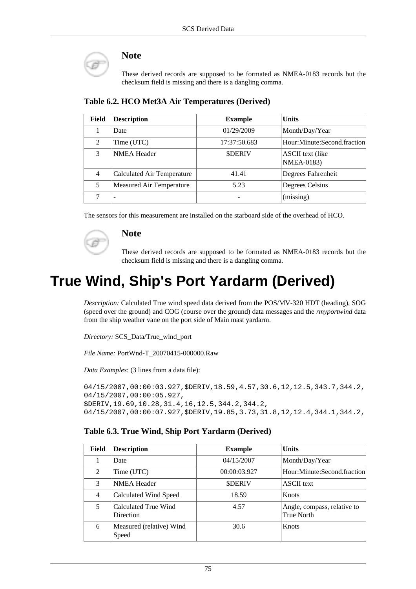

### **Note**

These derived records are supposed to be formated as NMEA-0183 records but the checksum field is missing and there is a dangling comma.

| Field         | <b>Description</b>                | <b>Example</b> | <b>Units</b>                                 |
|---------------|-----------------------------------|----------------|----------------------------------------------|
|               | Date                              | 01/29/2009     | Month/Day/Year                               |
| 2             | Time (UTC)                        | 17:37:50.683   | Hour:Minute:Second.fraction                  |
| $\mathcal{F}$ | <b>NMEA</b> Header                | <b>SDERIV</b>  | <b>ASCII</b> text (like<br><b>NMEA-0183)</b> |
| 4             | <b>Calculated Air Temperature</b> | 41.41          | Degrees Fahrenheit                           |
| 5             | Measured Air Temperature          | 5.23           | Degrees Celsius                              |
|               |                                   |                | (missing)                                    |

**Table 6.2. HCO Met3A Air Temperatures (Derived)**

The sensors for this measurement are installed on the starboard side of the overhead of HCO.

### **Note**

These derived records are supposed to be formated as NMEA-0183 records but the checksum field is missing and there is a dangling comma.

# **True Wind, Ship's Port Yardarm (Derived)**

*Description:* Calculated True wind speed data derived from the POS/MV-320 HDT (heading), SOG (speed over the ground) and COG (course over the ground) data messages and the *rmyportwind* data from the ship weather vane on the port side of Main mast yardarm.

*Directory:* SCS\_Data/True\_wind\_port

*File Name:* PortWnd-T\_20070415-000000.Raw

*Data Examples*: (3 lines from a data file):

04/15/2007,00:00:03.927,\$DERIV,18.59,4.57,30.6,12,12.5,343.7,344.2, 04/15/2007,00:00:05.927, \$DERIV,19.69,10.28,31.4,16,12.5,344.2,344.2, 04/15/2007,00:00:07.927,\$DERIV,19.85,3.73,31.8,12,12.4,344.1,344.2,

### **Table 6.3. True Wind, Ship Port Yardarm (Derived)**

| Field          | <b>Description</b>                       | <b>Example</b> | <b>Units</b>                                     |
|----------------|------------------------------------------|----------------|--------------------------------------------------|
|                | Date                                     | 04/15/2007     | Month/Day/Year                                   |
| $\mathcal{L}$  | Time (UTC)                               | 00:00:03.927   | Hour:Minute:Second.fraction                      |
| 3              | <b>NMEA Header</b>                       | <b>SDERIV</b>  | <b>ASCII</b> text                                |
| $\overline{4}$ | Calculated Wind Speed                    | 18.59          | Knots                                            |
| 5              | Calculated True Wind<br><b>Direction</b> | 4.57           | Angle, compass, relative to<br><b>True North</b> |
| 6              | Measured (relative) Wind<br>Speed        | 30.6           | Knots                                            |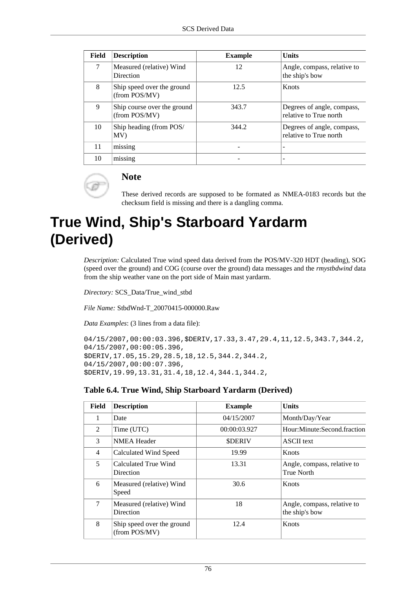| Field | <b>Description</b>                           | <b>Example</b> | <b>Units</b>                                         |
|-------|----------------------------------------------|----------------|------------------------------------------------------|
| 7     | Measured (relative) Wind<br>Direction        | 12             | Angle, compass, relative to<br>the ship's bow        |
| 8     | Ship speed over the ground<br>(from POS/MV)  | 12.5           | Knots                                                |
| 9     | Ship course over the ground<br>(from POS/MV) | 343.7          | Degrees of angle, compass,<br>relative to True north |
| 10    | Ship heading (from POS/<br>MV)               | 344.2          | Degrees of angle, compass,<br>relative to True north |
| 11    | missing                                      |                |                                                      |
| 10    | missing                                      |                |                                                      |



### **Note**

These derived records are supposed to be formated as NMEA-0183 records but the checksum field is missing and there is a dangling comma.

# **True Wind, Ship's Starboard Yardarm (Derived)**

*Description:* Calculated True wind speed data derived from the POS/MV-320 HDT (heading), SOG (speed over the ground) and COG (course over the ground) data messages and the *rmystbdwind* data from the ship weather vane on the port side of Main mast yardarm.

*Directory:* SCS\_Data/True\_wind\_stbd

*File Name:* StbdWnd-T\_20070415-000000.Raw

*Data Examples*: (3 lines from a data file):

```
04/15/2007,00:00:03.396,$DERIV,17.33,3.47,29.4,11,12.5,343.7,344.2,
04/15/2007,00:00:05.396,
$DERIV,17.05,15.29,28.5,18,12.5,344.2,344.2,
04/15/2007,00:00:07.396,
$DERIV,19.99,13.31,31.4,18,12.4,344.1,344.2,
```
### **Table 6.4. True Wind, Ship Starboard Yardarm (Derived)**

| Field        | <b>Description</b>                          | <b>Example</b> | Units                                            |
|--------------|---------------------------------------------|----------------|--------------------------------------------------|
| $\mathbf{1}$ | Date                                        | 04/15/2007     | Month/Day/Year                                   |
| 2            | Time (UTC)                                  | 00:00:03.927   | Hour:Minute:Second.fraction                      |
| 3            | <b>NMEA Header</b>                          | <b>SDERIV</b>  | <b>ASCII</b> text                                |
| 4            | Calculated Wind Speed                       | 19.99          | Knots                                            |
| 5            | Calculated True Wind<br>Direction           | 13.31          | Angle, compass, relative to<br><b>True North</b> |
| 6            | Measured (relative) Wind<br>Speed           | 30.6           | Knots                                            |
| 7            | Measured (relative) Wind<br>Direction       | 18             | Angle, compass, relative to<br>the ship's bow    |
| 8            | Ship speed over the ground<br>(from POS/MV) | 12.4           | Knots                                            |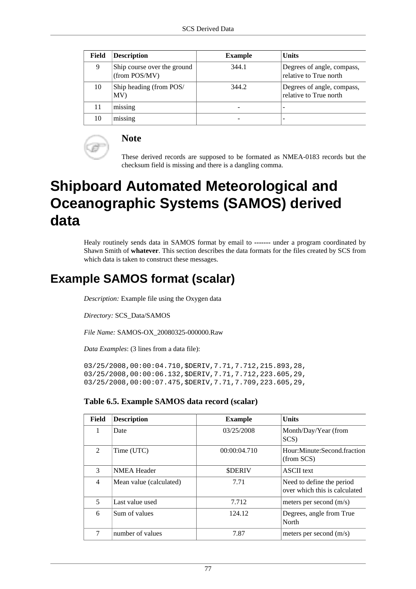| Field | <b>Description</b>                           | <b>Example</b> | <b>Units</b>                                         |
|-------|----------------------------------------------|----------------|------------------------------------------------------|
| 9     | Ship course over the ground<br>(from POS/MV) | 344.1          | Degrees of angle, compass,<br>relative to True north |
| 10    | Ship heading (from POS/<br>MV)               | 344.2          | Degrees of angle, compass,<br>relative to True north |
| 11    | missing                                      |                |                                                      |
| 10    | missing                                      |                |                                                      |



### **Note**

These derived records are supposed to be formated as NMEA-0183 records but the checksum field is missing and there is a dangling comma.

# **Shipboard Automated Meteorological and Oceanographic Systems (SAMOS) derived data**

Healy routinely sends data in SAMOS format by email to **-------** under a program coordinated by Shawn Smith of **whatever**. This section describes the data formats for the files created by SCS from which data is taken to construct these messages.

## **Example SAMOS format (scalar)**

*Description:* Example file using the Oxygen data

*Directory:* SCS\_Data/SAMOS

*File Name:* SAMOS-OX\_20080325-000000.Raw

*Data Examples*: (3 lines from a data file):

03/25/2008,00:00:04.710,\$DERIV,7.71,7.712,215.893,28, 03/25/2008,00:00:06.132,\$DERIV,7.71,7.712,223.605,29, 03/25/2008,00:00:07.475,\$DERIV,7.71,7.709,223.605,29,

### **Table 6.5. Example SAMOS data record (scalar)**

| Field          | <b>Description</b>      | <b>Example</b> | <b>Units</b>                                               |
|----------------|-------------------------|----------------|------------------------------------------------------------|
| 1              | Date                    | 03/25/2008     | Month/Day/Year (from<br>SCS)                               |
| $\mathfrak{D}$ | Time (UTC)              | 00:00:04.710   | Hour: Minute: Second fraction<br>(from SCS)                |
| 3              | <b>NMEA Header</b>      | <b>SDERIV</b>  | <b>ASCII</b> text                                          |
| $\overline{4}$ | Mean value (calculated) | 7.71           | Need to define the period<br>over which this is calculated |
| 5              | Last value used         | 7.712          | meters per second (m/s)                                    |
| 6              | Sum of values           | 124.12         | Degrees, angle from True<br>North                          |
|                | number of values        | 7.87           | meters per second $(m/s)$                                  |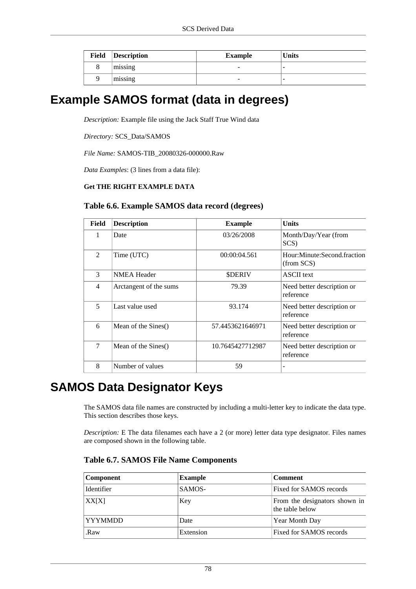| <b>Field</b> | Description | Example                  | <b>Units</b> |
|--------------|-------------|--------------------------|--------------|
|              | missing     | $\overline{\phantom{a}}$ | -            |
|              | missing     | $\overline{\phantom{a}}$ | -            |

## **Example SAMOS format (data in degrees)**

*Description:* Example file using the Jack Staff True Wind data

*Directory:* SCS\_Data/SAMOS

*File Name:* SAMOS-TIB\_20080326-000000.Raw

*Data Examples*: (3 lines from a data file):

### **Get THE RIGHT EXAMPLE DATA**

### **Table 6.6. Example SAMOS data record (degrees)**

| Field          | <b>Description</b>     | <b>Example</b>   | <b>Units</b>                              |
|----------------|------------------------|------------------|-------------------------------------------|
| 1              | Date                   | 03/26/2008       | Month/Day/Year (from<br>SCS)              |
| $\mathfrak{D}$ | Time (UTC)             | 00:00:04.561     | Hour:Minute:Second.fraction<br>(from SCS) |
| 3              | <b>NMEA Header</b>     | <b>SDERIV</b>    | <b>ASCII</b> text                         |
| 4              | Arctangent of the sums | 79.39            | Need better description or<br>reference   |
| 5              | Last value used        | 93.174           | Need better description or<br>reference   |
| 6              | Mean of the Sines()    | 57.4453621646971 | Need better description or<br>reference   |
| $\tau$         | Mean of the Sines()    | 10.7645427712987 | Need better description or<br>reference   |
| 8              | Number of values       | 59               |                                           |

## **SAMOS Data Designator Keys**

The SAMOS data file names are constructed by including a multi-letter key to indicate the data type. This section describes those keys.

*Description:* E The data filenames each have a 2 (or more) letter data type designator. Files names are composed shown in the following table.

| Component       | <b>Example</b> | <b>Comment</b>                                   |
|-----------------|----------------|--------------------------------------------------|
| Identifier      | SAMOS-         | Fixed for SAMOS records                          |
| XX[X]           | Key            | From the designators shown in<br>the table below |
| <b>TYYYMMDD</b> | Date           | <b>Year Month Day</b>                            |
| .Raw            | Extension      | Fixed for SAMOS records                          |

**Table 6.7. SAMOS File Name Components**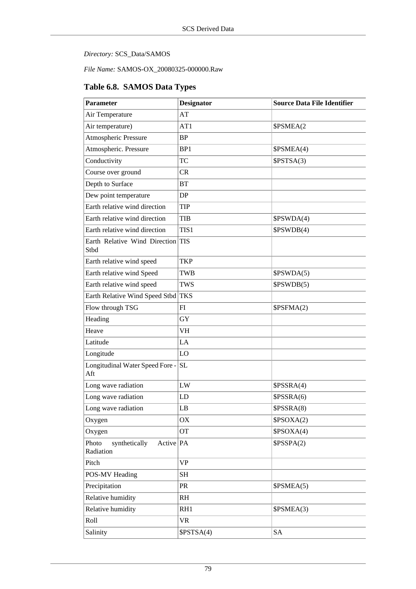*Directory:* SCS\_Data/SAMOS

*File Name:* SAMOS-OX\_20080325-000000.Raw

### **Table 6.8. SAMOS Data Types**

| <b>Parameter</b>                                 | <b>Designator</b> | <b>Source Data File Identifier</b> |
|--------------------------------------------------|-------------------|------------------------------------|
| Air Temperature                                  | AT                |                                    |
| Air temperature)                                 | AT1               | \$PSMEA(2                          |
| Atmospheric Pressure                             | <b>BP</b>         |                                    |
| Atmospheric. Pressure                            | BP1               | \$PSMEA(4)                         |
| Conductivity                                     | <b>TC</b>         | \$PSTSA(3)                         |
| Course over ground                               | CR                |                                    |
| Depth to Surface                                 | <b>BT</b>         |                                    |
| Dew point temperature                            | DP                |                                    |
| Earth relative wind direction                    | <b>TIP</b>        |                                    |
| Earth relative wind direction                    | <b>TIB</b>        | \$PSWDA(4)                         |
| Earth relative wind direction                    | TIS1              | \$PSWDB(4)                         |
| Earth Relative Wind Direction<br>Stbd            | <b>TIS</b>        |                                    |
| Earth relative wind speed                        | <b>TKP</b>        |                                    |
| Earth relative wind Speed                        | <b>TWB</b>        | \$PSWDA(5)                         |
| Earth relative wind speed                        | <b>TWS</b>        | \$PSWDB(5)                         |
| Earth Relative Wind Speed Stbd                   | <b>TKS</b>        |                                    |
| Flow through TSG                                 | FI                | \$PSFMA(2)                         |
| Heading                                          | GY                |                                    |
| Heave                                            | <b>VH</b>         |                                    |
| Latitude                                         | LA                |                                    |
| Longitude                                        | LO                |                                    |
| Longitudinal Water Speed Fore -<br>Aft           | <b>SL</b>         |                                    |
| Long wave radiation                              | ${\rm LW}$        | \$PSSRA(4)                         |
| Long wave radiation                              | LD                | \$PSSRA(6)                         |
| Long wave radiation                              | LB                | \$PSSRA(8)                         |
| Oxygen                                           | OX                | \$PSOXA(2)                         |
| Oxygen                                           | <b>OT</b>         | \$PSOXA(4)                         |
| Photo<br>Active PA<br>synthetically<br>Radiation |                   | \$PSSPA(2)                         |
| Pitch                                            | <b>VP</b>         |                                    |
| POS-MV Heading                                   | <b>SH</b>         |                                    |
| Precipitation                                    | PR                | \$PSMEA(5)                         |
| Relative humidity                                | RH                |                                    |
| Relative humidity                                | RH1               | \$PSMEA(3)                         |
| Roll                                             | <b>VR</b>         |                                    |
| Salinity                                         | \$PSTSA(4)        | <b>SA</b>                          |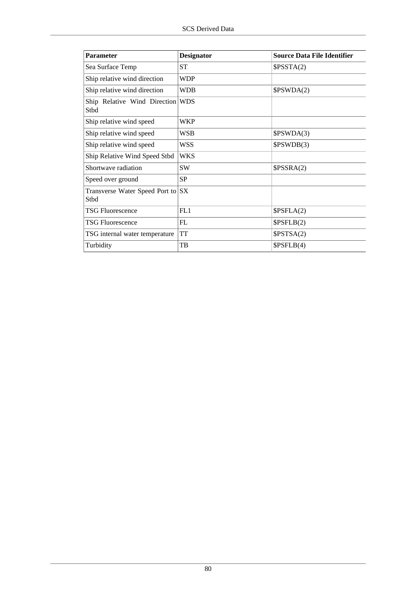| <b>Parameter</b>                          | <b>Designator</b> | <b>Source Data File Identifier</b> |
|-------------------------------------------|-------------------|------------------------------------|
| Sea Surface Temp                          | <b>ST</b>         | \$PSSTA(2)                         |
| Ship relative wind direction              | WDP               |                                    |
| Ship relative wind direction              | WDB               | \$PSWDA(2)                         |
| Ship Relative Wind Direction<br>Stbd      | <b>WDS</b>        |                                    |
| Ship relative wind speed                  | WKP               |                                    |
| Ship relative wind speed                  | WSB               | \$PSWDA(3)                         |
| Ship relative wind speed                  | WSS               | \$PSWDB(3)                         |
| Ship Relative Wind Speed Stbd             | WKS               |                                    |
| Shortwave radiation                       | <b>SW</b>         | SPSSRA(2)                          |
| Speed over ground                         | <b>SP</b>         |                                    |
| Transverse Water Speed Port to SX<br>Stbd |                   |                                    |
| <b>TSG Fluorescence</b>                   | FL1               | SPSFLA(2)                          |
| <b>TSG Fluorescence</b>                   | FL                | \$PSFLB(2)                         |
| TSG internal water temperature            | <b>TT</b>         | \$PSTSA(2)                         |
| Turbidity                                 | TB                | SPSFLB(4)                          |